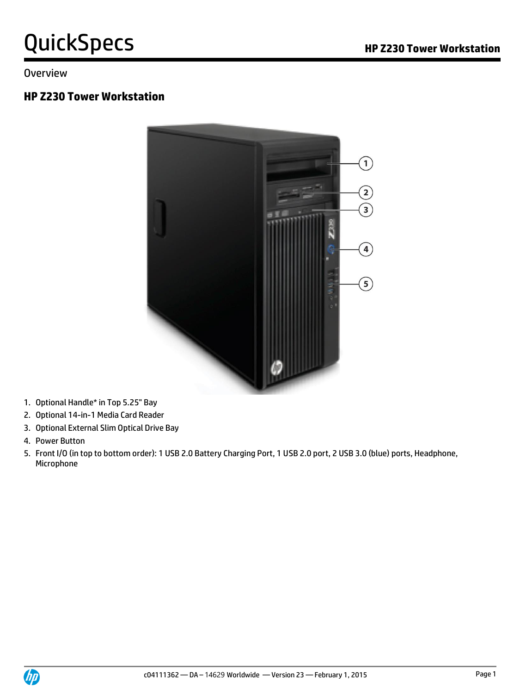#### **Overview**

#### **HP Z230 Tower Workstation**



- 1. Optional Handle\* in Top 5.25" Bay
- 2. Optional 14-in-1 Media Card Reader
- 3. Optional External Slim Optical Drive Bay
- 4. Power Button
- 5. Front I/O (in top to bottom order): 1 USB 2.0 Battery Charging Port, 1 USB 2.0 port, 2 USB 3.0 (blue) ports, Headphone, Microphone

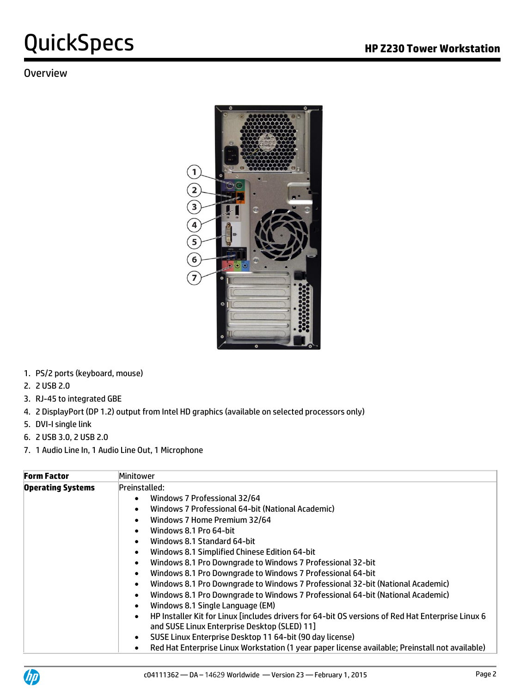#### **Overview**



- 1. PS/2 ports (keyboard, mouse)
- 2. 2 USB 2.0
- 3. RJ-45 to integrated GBE
- 4. 2 DisplayPort (DP 1.2) output from Intel HD graphics (available on selected processors only)
- 5. DVI-I single link
- 6. 2 USB 3.0, 2 USB 2.0
- 7. 1 Audio Line In, 1 Audio Line Out, 1 Microphone

| <b>Form Factor</b>       | Minitower                                                                                                      |
|--------------------------|----------------------------------------------------------------------------------------------------------------|
| <b>Operating Systems</b> | Preinstalled:                                                                                                  |
|                          | Windows 7 Professional 32/64<br>$\bullet$                                                                      |
|                          | Windows 7 Professional 64-bit (National Academic)                                                              |
|                          | Windows 7 Home Premium 32/64                                                                                   |
|                          | Windows 8.1 Pro 64-bit                                                                                         |
|                          | Windows 8.1 Standard 64-bit                                                                                    |
|                          | Windows 8.1 Simplified Chinese Edition 64-bit                                                                  |
|                          | Windows 8.1 Pro Downgrade to Windows 7 Professional 32-bit                                                     |
|                          | Windows 8.1 Pro Downgrade to Windows 7 Professional 64-bit                                                     |
|                          | Windows 8.1 Pro Downgrade to Windows 7 Professional 32-bit (National Academic)<br>$\bullet$                    |
|                          | Windows 8.1 Pro Downgrade to Windows 7 Professional 64-bit (National Academic)                                 |
|                          | Windows 8.1 Single Language (EM)                                                                               |
|                          | HP Installer Kit for Linux [includes drivers for 64-bit OS versions of Red Hat Enterprise Linux 6<br>$\bullet$ |
|                          | and SUSE Linux Enterprise Desktop (SLED) 11]                                                                   |
|                          | SUSE Linux Enterprise Desktop 11 64-bit (90 day license)                                                       |
|                          | Red Hat Enterprise Linux Workstation (1 year paper license available; Preinstall not available)                |

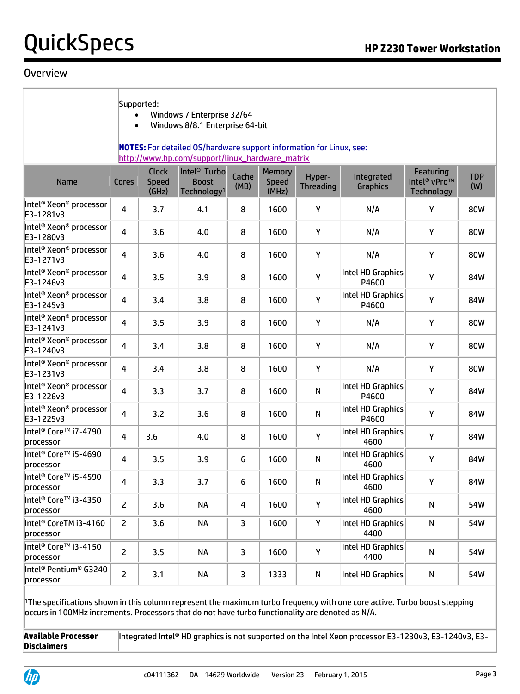#### **Overview**

| Supported:<br>Windows 7 Enterprise 32/64<br>Windows 8/8.1 Enterprise 64-bit<br>$\bullet$<br><b>NOTES:</b> For detailed OS/hardware support information for Linux, see:<br>http://www.hp.com/support/linux_hardware_matrix |              |                                       |                                                                     |                         |                                 |                            |                               |                                                            |                   |
|---------------------------------------------------------------------------------------------------------------------------------------------------------------------------------------------------------------------------|--------------|---------------------------------------|---------------------------------------------------------------------|-------------------------|---------------------------------|----------------------------|-------------------------------|------------------------------------------------------------|-------------------|
| <b>Name</b>                                                                                                                                                                                                               | Cores        | <b>Clock</b><br><b>Speed</b><br>(GHz) | Intel <sup>®</sup> Turbo<br><b>Boost</b><br>Technology <sup>1</sup> | Cache<br>(MB)           | Memory<br><b>Speed</b><br>(MHz) | Hyper-<br><b>Threading</b> | Integrated<br><b>Graphics</b> | Featuring<br>Intel <sup>®</sup> vPro™<br><b>Technology</b> | <b>TDP</b><br>(W) |
| Intel <sup>®</sup> Xeon® processor<br>E3-1281v3                                                                                                                                                                           | 4            | 3.7                                   | 4.1                                                                 | 8                       | 1600                            | Υ                          | N/A                           | Υ                                                          | 80W               |
| Intel <sup>®</sup> Xeon® processor<br>E3-1280v3                                                                                                                                                                           | 4            | 3.6                                   | 4.0                                                                 | 8                       | 1600                            | Υ                          | N/A                           | Υ                                                          | 80W               |
| Intel <sup>®</sup> Xeon® processor<br>E3-1271v3                                                                                                                                                                           | 4            | 3.6                                   | 4.0                                                                 | 8                       | 1600                            | Υ                          | N/A                           | Υ                                                          | 80W               |
| Intel <sup>®</sup> Xeon® processor<br>E3-1246v3                                                                                                                                                                           | 4            | 3.5                                   | 3.9                                                                 | 8                       | 1600                            | Y                          | Intel HD Graphics<br>P4600    | Υ                                                          | 84W               |
| Intel <sup>®</sup> Xeon® processor<br>E3-1245v3                                                                                                                                                                           | 4            | 3.4                                   | 3.8                                                                 | 8                       | 1600                            | Y                          | Intel HD Graphics<br>P4600    | Υ                                                          | 84W               |
| Intel® Xeon® processor<br>E3-1241v3                                                                                                                                                                                       | 4            | 3.5                                   | 3.9                                                                 | 8                       | 1600                            | Υ                          | N/A                           | Υ                                                          | 80W               |
| Intel <sup>®</sup> Xeon® processor<br>E3-1240v3                                                                                                                                                                           | 4            | 3.4                                   | 3.8                                                                 | 8                       | 1600                            | Υ                          | N/A                           | Υ                                                          | 80W               |
| Intel <sup>®</sup> Xeon® processor<br>E3-1231v3                                                                                                                                                                           | 4            | 3.4                                   | 3.8                                                                 | 8                       | 1600                            | Υ                          | N/A                           | Υ                                                          | 80W               |
| Intel <sup>®</sup> Xeon® processor<br>E3-1226v3                                                                                                                                                                           | 4            | 3.3                                   | 3.7                                                                 | 8                       | 1600                            | ${\sf N}$                  | Intel HD Graphics<br>P4600    | Υ                                                          | 84W               |
| Intel® Xeon® processor<br>E3-1225v3                                                                                                                                                                                       | 4            | 3.2                                   | 3.6                                                                 | 8                       | 1600                            | N                          | Intel HD Graphics<br>P4600    | Υ                                                          | 84W               |
| Intel® Core™ i7-4790<br>processor                                                                                                                                                                                         | 4            | 3.6                                   | 4.0                                                                 | 8                       | 1600                            | Υ                          | Intel HD Graphics<br>4600     | Υ                                                          | 84W               |
| Intel <sup>®</sup> Core <sup>™</sup> i5-4690<br>processor                                                                                                                                                                 | 4            | 3.5                                   | 3.9                                                                 | 6                       | 1600                            | N                          | Intel HD Graphics<br>4600     | Υ                                                          | 84W               |
| ∥ntel® Core™ i5-4590<br>processor                                                                                                                                                                                         | 4            | 3.3                                   | 3.7                                                                 | 6                       | 1600                            | N                          | Intel HD Graphics<br>4600     | Υ                                                          | 84W               |
| Intel® Core™ i3-4350<br>processor                                                                                                                                                                                         | $\mathsf{Z}$ | 3.6                                   | <b>NA</b>                                                           | $\overline{\mathbf{4}}$ | 1600                            | Y                          | Intel HD Graphics<br>4600     | ${\sf N}$                                                  | 54W               |
| Intel <sup>®</sup> CoreTM i3-4160<br>processor                                                                                                                                                                            | $\mathsf{Z}$ | 3.6                                   | <b>NA</b>                                                           | 3                       | 1600                            | Υ                          | Intel HD Graphics<br>4400     | ${\sf N}$                                                  | 54W               |
| Intel <sup>®</sup> Core™ i3-4150<br>processor                                                                                                                                                                             | 2            | 3.5                                   | <b>NA</b>                                                           | 3                       | 1600                            | Y                          | Intel HD Graphics<br>4400     | N                                                          | 54W               |
| Intel <sup>®</sup> Pentium <sup>®</sup> G3240<br>processor                                                                                                                                                                | $\mathsf{Z}$ | 3.1                                   | <b>NA</b>                                                           | 3                       | 1333                            | N                          | Intel HD Graphics             | N                                                          | 54W               |

<sup>1</sup>The specifications shown in this column represent the maximum turbo frequency with one core active. Turbo boost stepping occurs in 100MHz increments. Processors that do not have turbo functionality are denoted as N/A.

**Available Processor Disclaimers** Integrated Intel® HD graphics is not supported on the Intel Xeon processor E3-1230v3, E3-1240v3, E3-

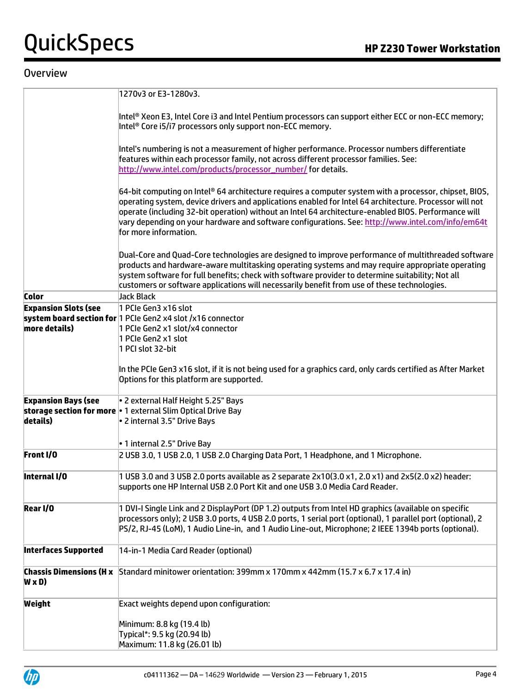#### **Overview**

|                                                | 1270v3 or E3-1280v3.                                                                                                                                                                                                                                                                                                                                                                                                                                       |
|------------------------------------------------|------------------------------------------------------------------------------------------------------------------------------------------------------------------------------------------------------------------------------------------------------------------------------------------------------------------------------------------------------------------------------------------------------------------------------------------------------------|
|                                                | Intel® Xeon E3, Intel Core i3 and Intel Pentium processors can support either ECC or non-ECC memory;<br>Intel® Core i5/i7 processors only support non-ECC memory.                                                                                                                                                                                                                                                                                          |
|                                                | Intel's numbering is not a measurement of higher performance. Processor numbers differentiate<br>features within each processor family, not across different processor families. See:<br>http://www.intel.com/products/processor_number/ for details.                                                                                                                                                                                                      |
|                                                | $64$ -bit computing on Intel® 64 architecture requires a computer system with a processor, chipset, BIOS,<br>operating system, device drivers and applications enabled for Intel 64 architecture. Processor will not<br>operate (including 32-bit operation) without an Intel 64 architecture-enabled BIOS. Performance will<br>vary depending on your hardware and software configurations. See: http://www.intel.com/info/em64t<br>for more information. |
|                                                | Dual-Core and Quad-Core technologies are designed to improve performance of multithreaded software<br>products and hardware-aware multitasking operating systems and may require appropriate operating<br>system software for full benefits; check with software provider to determine suitability; Not all<br>customers or software applications will necessarily benefit from use of these technologies.                                                 |
| <b>Color</b>                                   | Jack Black                                                                                                                                                                                                                                                                                                                                                                                                                                                 |
| <b>Expansion Slots (see</b><br>more details)   | 1 PCIe Gen3 x16 slot<br>system board section for 1 PCIe Gen2 x4 slot /x16 connector<br>1 PCIe Gen2 x1 slot/x4 connector<br>1 PCIe Gen2 x1 slot<br>1 PCI slot 32-bit                                                                                                                                                                                                                                                                                        |
|                                                | In the PCIe Gen3 x16 slot, if it is not being used for a graphics card, only cards certified as After Market<br>Options for this platform are supported.                                                                                                                                                                                                                                                                                                   |
| <b>Expansion Bays (see</b><br>details)         | . 2 external Half Height 5.25" Bays<br>storage section for more   1 external Slim Optical Drive Bay<br>. 2 internal 3.5" Drive Bays<br>• 1 internal 2.5" Drive Bay                                                                                                                                                                                                                                                                                         |
| Front I/O                                      | 2 USB 3.0, 1 USB 2.0, 1 USB 2.0 Charging Data Port, 1 Headphone, and 1 Microphone.                                                                                                                                                                                                                                                                                                                                                                         |
| Internal I/O                                   | 1 USB 3.0 and 3 USB 2.0 ports available as 2 separate 2x10(3.0 x1, 2.0 x1) and 2x5(2.0 x2) header:<br>supports one HP Internal USB 2.0 Port Kit and one USB 3.0 Media Card Reader.                                                                                                                                                                                                                                                                         |
| Rear I/O                                       | 1 DVI-I Single Link and 2 DisplayPort (DP 1.2) outputs from Intel HD graphics (available on specific<br>processors only); 2 USB 3.0 ports, 4 USB 2.0 ports, 1 serial port (optional), 1 parallel port (optional), 2<br>PS/2, RJ-45 (LoM), 1 Audio Line-in, and 1 Audio Line-out, Microphone; 2 IEEE 1394b ports (optional).                                                                                                                                |
| <b>Interfaces Supported</b>                    | 14-in-1 Media Card Reader (optional)                                                                                                                                                                                                                                                                                                                                                                                                                       |
| <b>Chassis Dimensions (H x</b><br>$W \times D$ | Standard minitower orientation: 399mm x 170mm x 442mm (15.7 x 6.7 x 17.4 in)                                                                                                                                                                                                                                                                                                                                                                               |
| Weight                                         | Exact weights depend upon configuration:                                                                                                                                                                                                                                                                                                                                                                                                                   |
|                                                | Minimum: 8.8 kg (19.4 lb)<br>Typical*: 9.5 kg (20.94 lb)<br>Maximum: 11.8 kg (26.01 lb)                                                                                                                                                                                                                                                                                                                                                                    |

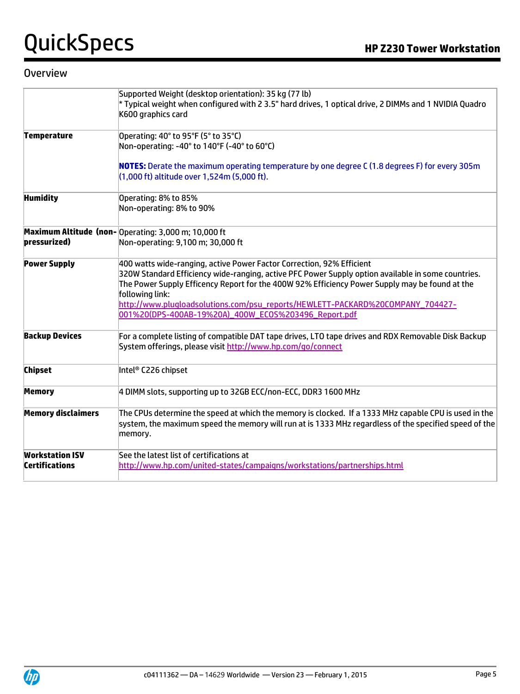#### **Overview**

|                                                 | Supported Weight (desktop orientation): 35 kg (77 lb)<br>* Typical weight when configured with 2 3.5" hard drives, 1 optical drive, 2 DIMMs and 1 NVIDIA Quadro                                                                                                                                                                                                                                                                            |
|-------------------------------------------------|--------------------------------------------------------------------------------------------------------------------------------------------------------------------------------------------------------------------------------------------------------------------------------------------------------------------------------------------------------------------------------------------------------------------------------------------|
|                                                 | K600 graphics card                                                                                                                                                                                                                                                                                                                                                                                                                         |
| <b>Temperature</b>                              | Operating: 40° to 95°F (5° to 35°C)<br>Non-operating: -40° to 140°F (-40° to 60°C)                                                                                                                                                                                                                                                                                                                                                         |
|                                                 | NOTES: Derate the maximum operating temperature by one degree C (1.8 degrees F) for every 305m<br>(1,000 ft) altitude over 1,524m (5,000 ft).                                                                                                                                                                                                                                                                                              |
| <b>Humidity</b>                                 | Operating: 8% to 85%<br>Non-operating: 8% to 90%                                                                                                                                                                                                                                                                                                                                                                                           |
| pressurized)                                    | Maximum Altitude (non-Operating: 3,000 m; 10,000 ft<br>Non-operating: 9,100 m; 30,000 ft                                                                                                                                                                                                                                                                                                                                                   |
| <b>Power Supply</b>                             | 400 watts wide-ranging, active Power Factor Correction, 92% Efficient<br>320W Standard Efficiency wide-ranging, active PFC Power Supply option available in some countries.<br>The Power Supply Efficency Report for the 400W 92% Efficiency Power Supply may be found at the<br>following link:<br>http://www.plugloadsolutions.com/psu_reports/HEWLETT-PACKARD%20COMPANY_704427-<br>001%20(DPS-400AB-19%20A)_400W_EC0S%203496_Report.pdf |
| <b>Backup Devices</b>                           | For a complete listing of compatible DAT tape drives, LTO tape drives and RDX Removable Disk Backup<br>System offerings, please visit http://www.hp.com/go/connect                                                                                                                                                                                                                                                                         |
| <b>Chipset</b>                                  | Intel® C226 chipset                                                                                                                                                                                                                                                                                                                                                                                                                        |
| <b>Memory</b>                                   | 4 DIMM slots, supporting up to 32GB ECC/non-ECC, DDR3 1600 MHz                                                                                                                                                                                                                                                                                                                                                                             |
| <b>Memory disclaimers</b>                       | The CPUs determine the speed at which the memory is clocked. If a 1333 MHz capable CPU is used in the<br>system, the maximum speed the memory will run at is 1333 MHz regardless of the specified speed of the $\vert$<br>memory.                                                                                                                                                                                                          |
| <b>Workstation ISV</b><br><b>Certifications</b> | See the latest list of certifications at<br>http://www.hp.com/united-states/campaigns/workstations/partnerships.html                                                                                                                                                                                                                                                                                                                       |

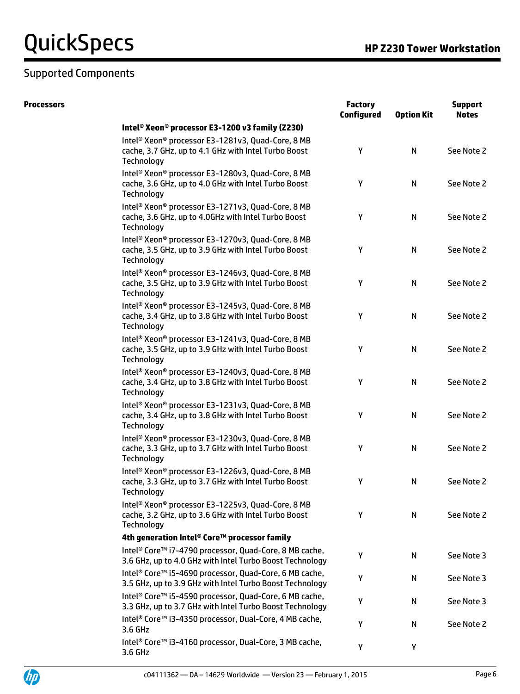### Supported Components

| <b>Processors</b> |                                                                                                                                                 | <b>Factory</b><br><b>Configured</b> | <b>Option Kit</b> | <b>Support</b><br><b>Notes</b> |
|-------------------|-------------------------------------------------------------------------------------------------------------------------------------------------|-------------------------------------|-------------------|--------------------------------|
|                   | Intel® Xeon® processor E3-1200 v3 family (Z230)                                                                                                 |                                     |                   |                                |
|                   | Intel <sup>®</sup> Xeon <sup>®</sup> processor E3-1281v3, Quad-Core, 8 MB<br>cache, 3.7 GHz, up to 4.1 GHz with Intel Turbo Boost<br>Technology | Y                                   | N                 | See Note 2                     |
|                   | Intel <sup>®</sup> Xeon <sup>®</sup> processor E3-1280v3, Quad-Core, 8 MB<br>cache, 3.6 GHz, up to 4.0 GHz with Intel Turbo Boost<br>Technology | Υ                                   | $\mathsf{N}$      | See Note 2                     |
|                   | Intel <sup>®</sup> Xeon <sup>®</sup> processor E3-1271v3, Quad-Core, 8 MB<br>cache, 3.6 GHz, up to 4.0GHz with Intel Turbo Boost<br>Technology  | Y                                   | $\mathsf{N}$      | See Note 2                     |
|                   | Intel® Xeon® processor E3-1270v3, Quad-Core, 8 MB<br>cache, 3.5 GHz, up to 3.9 GHz with Intel Turbo Boost<br>Technology                         | Υ                                   | $\mathsf{N}$      | See Note 2                     |
|                   | Intel <sup>®</sup> Xeon <sup>®</sup> processor E3-1246v3, Quad-Core, 8 MB<br>cache, 3.5 GHz, up to 3.9 GHz with Intel Turbo Boost<br>Technology | Υ                                   | $\mathsf{N}$      | See Note 2                     |
|                   | Intel <sup>®</sup> Xeon <sup>®</sup> processor E3-1245v3, Quad-Core, 8 MB<br>cache, 3.4 GHz, up to 3.8 GHz with Intel Turbo Boost<br>Technology | Υ                                   | $\mathsf{N}$      | See Note 2                     |
|                   | Intel <sup>®</sup> Xeon <sup>®</sup> processor E3-1241v3, Quad-Core, 8 MB<br>cache, 3.5 GHz, up to 3.9 GHz with Intel Turbo Boost<br>Technology | Υ                                   | $\mathsf{N}$      | See Note 2                     |
|                   | Intel <sup>®</sup> Xeon <sup>®</sup> processor E3-1240v3, Quad-Core, 8 MB<br>cache, 3.4 GHz, up to 3.8 GHz with Intel Turbo Boost<br>Technology | Y                                   | $\mathsf{N}$      | See Note 2                     |
|                   | Intel® Xeon® processor E3-1231v3, Quad-Core, 8 MB<br>cache, 3.4 GHz, up to 3.8 GHz with Intel Turbo Boost<br>Technology                         | Υ                                   | $\mathsf{N}$      | See Note 2                     |
|                   | Intel <sup>®</sup> Xeon <sup>®</sup> processor E3-1230v3, Quad-Core, 8 MB<br>cache, 3.3 GHz, up to 3.7 GHz with Intel Turbo Boost<br>Technology | Υ                                   | $\mathsf{N}$      | See Note 2                     |
|                   | Intel <sup>®</sup> Xeon <sup>®</sup> processor E3-1226v3, Quad-Core, 8 MB<br>cache, 3.3 GHz, up to 3.7 GHz with Intel Turbo Boost<br>Technology | Υ                                   | N                 | See Note 2                     |
|                   | Intel <sup>®</sup> Xeon <sup>®</sup> processor E3-1225v3, Quad-Core, 8 MB<br>cache, 3.2 GHz, up to 3.6 GHz with Intel Turbo Boost<br>Technology | Υ                                   | N                 | See Note 2                     |
|                   | 4th generation Intel® Core™ processor family                                                                                                    |                                     |                   |                                |
|                   | Intel <sup>®</sup> Core <sup>™</sup> i7-4790 processor, Quad-Core, 8 MB cache,<br>3.6 GHz, up to 4.0 GHz with Intel Turbo Boost Technology      | Y                                   | N                 | See Note 3                     |
|                   | Intel® Core™ i5-4690 processor, Quad-Core, 6 MB cache,<br>3.5 GHz, up to 3.9 GHz with Intel Turbo Boost Technology                              | Υ                                   | N                 | See Note 3                     |
|                   | Intel® Core™ i5-4590 processor, Quad-Core, 6 MB cache,<br>3.3 GHz, up to 3.7 GHz with Intel Turbo Boost Technology                              | Υ                                   | N                 | See Note 3                     |
|                   | Intel <sup>®</sup> Core™ i3-4350 processor, Dual-Core, 4 MB cache,<br>3.6 GHz                                                                   | Y                                   | N                 | See Note 2                     |
|                   | Intel <sup>®</sup> Core <sup>™</sup> i3-4160 processor, Dual-Core, 3 MB cache,<br>3.6 GHz                                                       | Υ                                   | Υ                 |                                |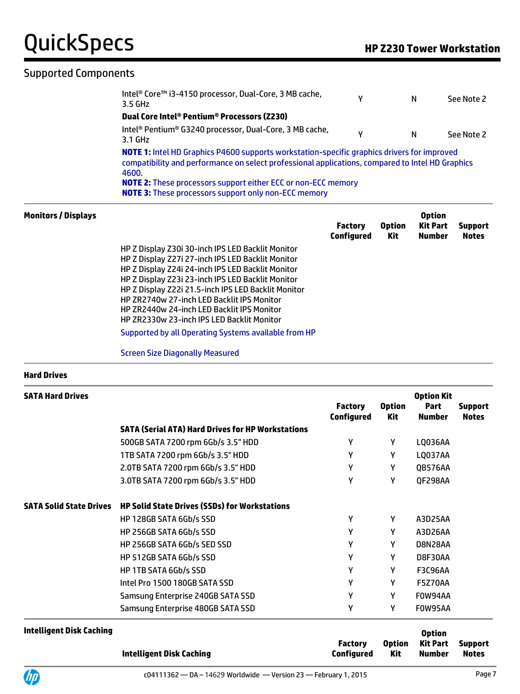#### Supported Components

| Intel <sup>®</sup> Core™ i3-4150 processor, Dual-Core, 3 MB cache,<br>3.5 GHz                                                                                                                                   | ν | N | See Note 2 |
|-----------------------------------------------------------------------------------------------------------------------------------------------------------------------------------------------------------------|---|---|------------|
| Dual Core Intel® Pentium® Processors (Z230)                                                                                                                                                                     |   |   |            |
| Intel <sup>®</sup> Pentium® G3240 processor, Dual-Core, 3 MB cache,<br>3.1 GHz                                                                                                                                  | ν | N | See Note 2 |
| <b>NOTE 1:</b> Intel HD Graphics P4600 supports workstation-specific graphics drivers for improved<br>compatibility and performance on select professional applications, compared to Intel HD Graphics<br>4600. |   |   |            |
|                                                                                                                                                                                                                 |   |   |            |
| <b>NOTE 2:</b> These processors support either ECC or non-ECC memory                                                                                                                                            |   |   |            |

| <b>Monitors / Displays</b> |                                                      | <b>Factory</b><br>Configured | <b>Option</b><br>Kit | <b>Option</b><br><b>Kit Part</b><br>Number | <b>Support</b><br><b>Notes</b> |
|----------------------------|------------------------------------------------------|------------------------------|----------------------|--------------------------------------------|--------------------------------|
|                            | HP Z Display Z30i 30-inch IPS LED Backlit Monitor    |                              |                      |                                            |                                |
|                            | HP Z Display Z27i 27-inch IPS LED Backlit Monitor    |                              |                      |                                            |                                |
|                            | HP Z Display Z24i 24-inch IPS LED Backlit Monitor    |                              |                      |                                            |                                |
|                            | HP Z Display Z23i 23-inch IPS LED Backlit Monitor    |                              |                      |                                            |                                |
|                            | HP Z Display Z22i 21.5-inch IPS LED Backlit Monitor  |                              |                      |                                            |                                |
|                            | HP ZR2740w 27-inch LED Backlit IPS Monitor           |                              |                      |                                            |                                |
|                            | <b>HP ZR2440w 24-inch LED Backlit IPS Monitor</b>    |                              |                      |                                            |                                |
|                            | HP ZR2330w 23-inch IPS LED Backlit Monitor           |                              |                      |                                            |                                |
|                            | Supported by all Operating Systems available from HP |                              |                      |                                            |                                |
|                            | <b>Screen Size Diagonally Measured</b>               |                              |                      |                                            |                                |

#### **Hard Drives**

| <b>SATA Hard Drives</b>        |                                                          | <b>Factory</b><br><b>Configured</b> | <b>Option</b><br>Kit | <b>Option Kit</b><br>Part<br><b>Number</b> | <b>Support</b><br><b>Notes</b> |
|--------------------------------|----------------------------------------------------------|-------------------------------------|----------------------|--------------------------------------------|--------------------------------|
|                                | <b>SATA (Serial ATA) Hard Drives for HP Workstations</b> |                                     |                      |                                            |                                |
|                                | 500GB SATA 7200 rpm 6Gb/s 3.5" HDD                       | γ                                   | Y                    | LQ036AA                                    |                                |
|                                | 1TB SATA 7200 rpm 6Gb/s 3.5" HDD                         | γ                                   | Y                    | LQ037AA                                    |                                |
|                                | 2.0TB SATA 7200 rpm 6Gb/s 3.5" HDD                       | γ                                   | Y                    | QB576AA                                    |                                |
|                                | 3.0TB SATA 7200 rpm 6Gb/s 3.5" HDD                       | γ                                   | γ                    | QF298AA                                    |                                |
| <b>SATA Solid State Drives</b> | <b>HP Solid State Drives (SSDs) for Workstations</b>     |                                     |                      |                                            |                                |
|                                | HP 128GB SATA 6Gb/s SSD                                  | γ                                   | Y                    | A3D25AA                                    |                                |
|                                | HP 256GB SATA 6Gb/s SSD                                  | γ                                   | Y                    | A3D26AA                                    |                                |
|                                | HP 256GB SATA 6Gb/s SED SSD                              | γ                                   | Y                    | D8N28AA                                    |                                |
|                                | HP 512GB SATA 6Gb/s SSD                                  | γ                                   | Y                    | D8F30AA                                    |                                |
|                                | HP 1TB SATA 6Gb/s SSD                                    | γ                                   | Y                    | <b>F3C96AA</b>                             |                                |
|                                | Intel Pro 1500 180GB SATA SSD                            | γ                                   | Y                    | F5Z70AA                                    |                                |
|                                | Samsung Enterprise 240GB SATA SSD                        | γ                                   | γ                    | FOW94AA                                    |                                |
|                                | Samsung Enterprise 480GB SATA SSD                        | Υ                                   | γ                    | FOW95AA                                    |                                |

| Intelligent Disk Caching |                              |               | <b>Option</b>              |              |
|--------------------------|------------------------------|---------------|----------------------------|--------------|
| Intelligent Disk Caching | <b>Factory</b><br>Configured | Option<br>Kit | Kit Part Support<br>Number | <b>Notes</b> |

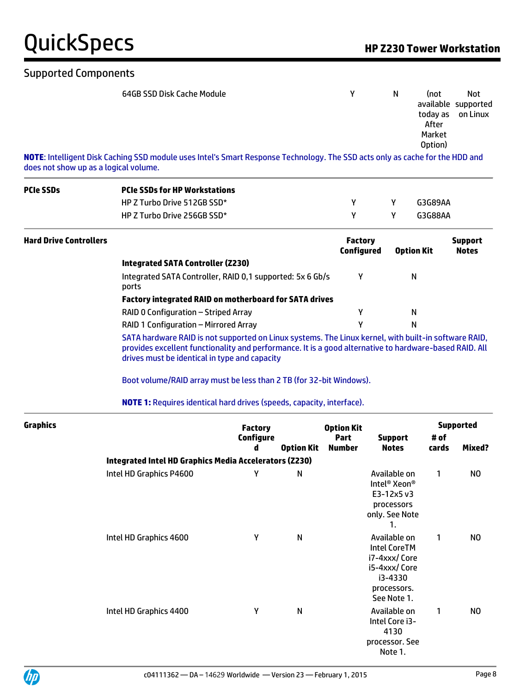#### Supported Components

| 64GB SSD Disk Cache Module                                                                                                   | N | (not<br>todav as<br>After<br>Market<br>Option) | Not<br>available supported<br>on Linux |
|------------------------------------------------------------------------------------------------------------------------------|---|------------------------------------------------|----------------------------------------|
| NOTE: Intelligent Disk Caching SSD module uses Intel's Smart Response Technology. The SSD acts only as cache for the HDD and |   |                                                |                                        |

does not show up as a logical volume.

| <b>PCIe SSDs</b>              | <b>PCIe SSDs for HP Workstations</b>                                                                                                                                                                                           |                       |                   |                                     |                                                                                                              |                   |                                |  |  |  |
|-------------------------------|--------------------------------------------------------------------------------------------------------------------------------------------------------------------------------------------------------------------------------|-----------------------|-------------------|-------------------------------------|--------------------------------------------------------------------------------------------------------------|-------------------|--------------------------------|--|--|--|
|                               | HP Z Turbo Drive 512GB SSD*                                                                                                                                                                                                    |                       |                   | Y                                   | Υ                                                                                                            | G3G89AA           |                                |  |  |  |
|                               | HP Z Turbo Drive 256GB SSD*                                                                                                                                                                                                    |                       |                   | Υ                                   | Υ                                                                                                            | G3G88AA           |                                |  |  |  |
| <b>Hard Drive Controllers</b> |                                                                                                                                                                                                                                |                       |                   | <b>Factory</b><br><b>Configured</b> |                                                                                                              | <b>Option Kit</b> | <b>Support</b><br><b>Notes</b> |  |  |  |
|                               | <b>Integrated SATA Controller (Z230)</b>                                                                                                                                                                                       |                       |                   |                                     |                                                                                                              |                   |                                |  |  |  |
|                               | Integrated SATA Controller, RAID 0,1 supported: 5x 6 Gb/s<br>ports                                                                                                                                                             |                       |                   | Υ                                   |                                                                                                              | $\mathsf{N}$      |                                |  |  |  |
|                               | Factory integrated RAID on motherboard for SATA drives                                                                                                                                                                         |                       |                   |                                     |                                                                                                              |                   |                                |  |  |  |
|                               | RAID 0 Configuration - Striped Array                                                                                                                                                                                           |                       |                   | Υ                                   |                                                                                                              | N                 |                                |  |  |  |
|                               | RAID 1 Configuration - Mirrored Array                                                                                                                                                                                          |                       |                   | Υ                                   |                                                                                                              | $\mathsf{N}$      |                                |  |  |  |
|                               | provides excellent functionality and performance. It is a good alternative to hardware-based RAID. All<br>drives must be identical in type and capacity<br>Boot volume/RAID array must be less than 2 TB (for 32-bit Windows). |                       |                   |                                     |                                                                                                              |                   |                                |  |  |  |
|                               | <b>NOTE 1:</b> Requires identical hard drives (speeds, capacity, interface).                                                                                                                                                   |                       |                   |                                     |                                                                                                              |                   |                                |  |  |  |
| <b>Graphics</b>               |                                                                                                                                                                                                                                | <b>Factory</b>        |                   | <b>Option Kit</b>                   |                                                                                                              |                   | <b>Supported</b>               |  |  |  |
|                               |                                                                                                                                                                                                                                | <b>Configure</b><br>d | <b>Option Kit</b> | Part<br><b>Number</b>               | <b>Support</b><br><b>Notes</b>                                                                               | # of<br>cards     | Mixed?                         |  |  |  |
|                               | Integrated Intel HD Graphics Media Accelerators (Z230)                                                                                                                                                                         |                       |                   |                                     |                                                                                                              |                   |                                |  |  |  |
|                               | Intel HD Graphics P4600                                                                                                                                                                                                        | Υ                     | ${\sf N}$         |                                     | Available on<br>Intel <sup>®</sup> Xeon <sup>®</sup><br>E3-12x5 v3<br>processors<br>only. See Note<br>1.     | 1                 | N <sub>0</sub>                 |  |  |  |
|                               | Intel HD Graphics 4600                                                                                                                                                                                                         | Y                     | N                 |                                     | Available on<br><b>Intel CoreTM</b><br>i7-4xxx/Core<br>i5-4xxx/Core<br>i3-4330<br>processors.<br>See Note 1. | 1                 | NO.                            |  |  |  |
|                               | Intel HD Graphics 4400                                                                                                                                                                                                         | Υ                     | N                 |                                     | Available on<br>Intel Core i3-<br>4130<br>processor. See<br>Note 1.                                          | 1                 | NO                             |  |  |  |

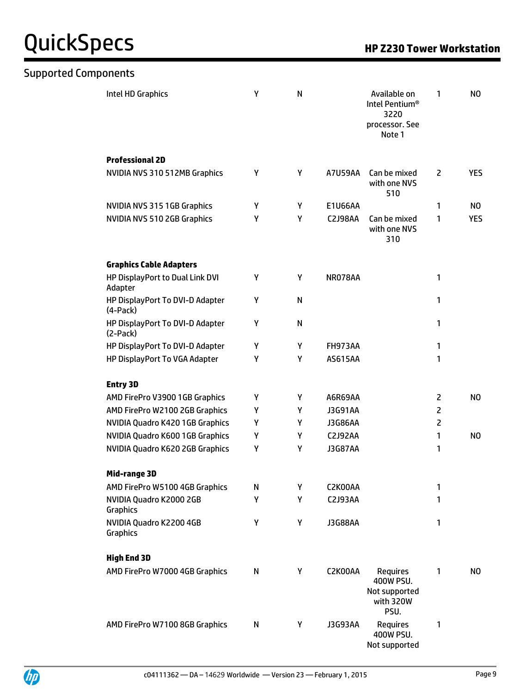Supported Components

| Intel HD Graphics                             | Υ | N | Available on<br>Intel Pentium <sup>®</sup><br>3220<br>processor. See<br>Note 1 |                                                                    | 1              | N <sub>O</sub> |
|-----------------------------------------------|---|---|--------------------------------------------------------------------------------|--------------------------------------------------------------------|----------------|----------------|
| <b>Professional 2D</b>                        |   |   |                                                                                |                                                                    |                |                |
| NVIDIA NVS 310 512MB Graphics                 | Υ | Y | A7U59AA                                                                        | Can be mixed<br>with one NVS<br>510                                | $\overline{2}$ | <b>YES</b>     |
| NVIDIA NVS 315 1GB Graphics                   | Υ | Υ | E1U66AA                                                                        |                                                                    | 1              | NO.            |
| NVIDIA NVS 510 2GB Graphics                   | Υ | Y | <b>C2J98AA</b>                                                                 | Can be mixed<br>with one NVS<br>310                                | 1              | <b>YES</b>     |
| <b>Graphics Cable Adapters</b>                |   |   |                                                                                |                                                                    |                |                |
| HP DisplayPort to Dual Link DVI<br>Adapter    | Υ | Y | NR078AA                                                                        |                                                                    | 1              |                |
| HP DisplayPort To DVI-D Adapter<br>$(4-Pack)$ | Υ | N |                                                                                |                                                                    | 1              |                |
| HP DisplayPort To DVI-D Adapter<br>$(2-Pack)$ | Υ | N |                                                                                |                                                                    | 1              |                |
| HP DisplayPort To DVI-D Adapter               | Υ | Y | <b>FH973AA</b>                                                                 |                                                                    | 1              |                |
| HP DisplayPort To VGA Adapter                 | Υ | Υ | <b>AS615AA</b>                                                                 |                                                                    | 1              |                |
| <b>Entry 3D</b>                               |   |   |                                                                                |                                                                    |                |                |
| AMD FirePro V3900 1GB Graphics                | Υ | Y | A6R69AA                                                                        |                                                                    | 2              | NO.            |
| AMD FirePro W2100 2GB Graphics                | Υ | Y | J3G91AA                                                                        |                                                                    | $\overline{2}$ |                |
| NVIDIA Quadro K420 1GB Graphics               | Υ | Υ | J3G86AA                                                                        |                                                                    | $\overline{c}$ |                |
| NVIDIA Quadro K600 1GB Graphics               | Υ | Y | C2J92AA                                                                        |                                                                    | 1              | NO.            |
| NVIDIA Quadro K620 2GB Graphics               | Υ | Υ | <b>J3G87AA</b>                                                                 |                                                                    | 1              |                |
| Mid-range 3D                                  |   |   |                                                                                |                                                                    |                |                |
| AMD FirePro W5100 4GB Graphics                | N | Y | C2K00AA                                                                        |                                                                    | 1              |                |
| NVIDIA Quadro K2000 2GB<br>Graphics           | Υ | Y | <b>C2J93AA</b>                                                                 |                                                                    | 1              |                |
| NVIDIA Quadro K2200 4GB<br>Graphics           | Υ | Υ | J3G88AA                                                                        |                                                                    | 1              |                |
| <b>High End 3D</b>                            |   |   |                                                                                |                                                                    |                |                |
| AMD FirePro W7000 4GB Graphics                | N | Υ | C2K00AA                                                                        | <b>Requires</b><br>400W PSU.<br>Not supported<br>with 320W<br>PSU. | 1              | NO.            |
| AMD FirePro W7100 8GB Graphics                | N | Υ | J3G93AA                                                                        | <b>Requires</b><br>400W PSU.<br>Not supported                      | 1              |                |

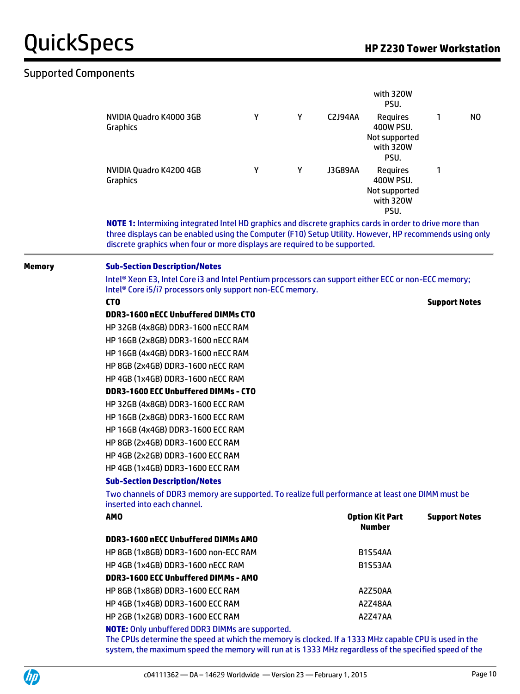### Supported Components

|        |                                                                                                                                                                                                                                                                                                   |                                                                                                  |   |                | with 320W<br>PSU.                                                  |                      |                |  |  |
|--------|---------------------------------------------------------------------------------------------------------------------------------------------------------------------------------------------------------------------------------------------------------------------------------------------------|--------------------------------------------------------------------------------------------------|---|----------------|--------------------------------------------------------------------|----------------------|----------------|--|--|
|        | NVIDIA Quadro K4000 3GB<br><b>Graphics</b>                                                                                                                                                                                                                                                        | Υ                                                                                                | Y | C2J94AA        | <b>Requires</b><br>400W PSU.<br>Not supported<br>with 320W<br>PSU. | 1                    | N <sub>0</sub> |  |  |
|        | NVIDIA Quadro K4200 4GB<br>Graphics                                                                                                                                                                                                                                                               | Υ                                                                                                | Υ | <b>J3G89AA</b> | <b>Requires</b><br>400W PSU.<br>Not supported<br>with 320W<br>PSU. | 1                    |                |  |  |
|        | NOTE 1: Intermixing integrated Intel HD graphics and discrete graphics cards in order to drive more than<br>three displays can be enabled using the Computer (F10) Setup Utility. However, HP recommends using only<br>discrete graphics when four or more displays are required to be supported. |                                                                                                  |   |                |                                                                    |                      |                |  |  |
| Memory | <b>Sub-Section Description/Notes</b><br>Intel® Xeon E3, Intel Core i3 and Intel Pentium processors can support either ECC or non-ECC memory;                                                                                                                                                      |                                                                                                  |   |                |                                                                    |                      |                |  |  |
|        | Intel <sup>®</sup> Core i5/i7 processors only support non-ECC memory.                                                                                                                                                                                                                             |                                                                                                  |   |                |                                                                    |                      |                |  |  |
|        | CT <sub>0</sub>                                                                                                                                                                                                                                                                                   |                                                                                                  |   |                |                                                                    | <b>Support Notes</b> |                |  |  |
|        | DDR3-1600 nECC Unbuffered DIMMs CTO                                                                                                                                                                                                                                                               |                                                                                                  |   |                |                                                                    |                      |                |  |  |
|        | HP 32GB (4x8GB) DDR3-1600 nECC RAM                                                                                                                                                                                                                                                                |                                                                                                  |   |                |                                                                    |                      |                |  |  |
|        | HP 16GB (2x8GB) DDR3-1600 nECC RAM                                                                                                                                                                                                                                                                |                                                                                                  |   |                |                                                                    |                      |                |  |  |
|        | HP 16GB (4x4GB) DDR3-1600 nECC RAM                                                                                                                                                                                                                                                                |                                                                                                  |   |                |                                                                    |                      |                |  |  |
|        | HP 8GB (2x4GB) DDR3-1600 nECC RAM                                                                                                                                                                                                                                                                 |                                                                                                  |   |                |                                                                    |                      |                |  |  |
|        | HP 4GB (1x4GB) DDR3-1600 nECC RAM                                                                                                                                                                                                                                                                 |                                                                                                  |   |                |                                                                    |                      |                |  |  |
|        | <b>DDR3-1600 ECC Unbuffered DIMMs - CTO</b>                                                                                                                                                                                                                                                       |                                                                                                  |   |                |                                                                    |                      |                |  |  |
|        | HP 32GB (4x8GB) DDR3-1600 ECC RAM                                                                                                                                                                                                                                                                 |                                                                                                  |   |                |                                                                    |                      |                |  |  |
|        |                                                                                                                                                                                                                                                                                                   | HP 16GB (2x8GB) DDR3-1600 ECC RAM                                                                |   |                |                                                                    |                      |                |  |  |
|        |                                                                                                                                                                                                                                                                                                   | HP 16GB (4x4GB) DDR3-1600 ECC RAM                                                                |   |                |                                                                    |                      |                |  |  |
|        | HP 8GB (2x4GB) DDR3-1600 ECC RAM                                                                                                                                                                                                                                                                  |                                                                                                  |   |                |                                                                    |                      |                |  |  |
|        |                                                                                                                                                                                                                                                                                                   | HP 4GB (2x2GB) DDR3-1600 ECC RAM                                                                 |   |                |                                                                    |                      |                |  |  |
|        |                                                                                                                                                                                                                                                                                                   | HP 4GB (1x4GB) DDR3-1600 ECC RAM                                                                 |   |                |                                                                    |                      |                |  |  |
|        | <b>Sub-Section Description/Notes</b>                                                                                                                                                                                                                                                              |                                                                                                  |   |                |                                                                    |                      |                |  |  |
|        | inserted into each channel.                                                                                                                                                                                                                                                                       | Two channels of DDR3 memory are supported. To realize full performance at least one DIMM must be |   |                |                                                                    |                      |                |  |  |
|        | <b>AMO</b>                                                                                                                                                                                                                                                                                        |                                                                                                  |   |                | <b>Option Kit Part</b><br><b>Number</b>                            | <b>Support Notes</b> |                |  |  |
|        | DDR3-1600 nECC Unbuffered DIMMs AMO                                                                                                                                                                                                                                                               |                                                                                                  |   |                |                                                                    |                      |                |  |  |
|        | HP 8GB (1x8GB) DDR3-1600 non-ECC RAM                                                                                                                                                                                                                                                              |                                                                                                  |   |                | <b>B1S54AA</b>                                                     |                      |                |  |  |
|        | HP 4GB (1x4GB) DDR3-1600 nECC RAM                                                                                                                                                                                                                                                                 |                                                                                                  |   |                | <b>B1S53AA</b>                                                     |                      |                |  |  |
|        | DDR3-1600 ECC Unbuffered DIMMs - AMO                                                                                                                                                                                                                                                              |                                                                                                  |   |                |                                                                    |                      |                |  |  |
|        | HP 8GB (1x8GB) DDR3-1600 ECC RAM                                                                                                                                                                                                                                                                  |                                                                                                  |   |                | A2Z50AA                                                            |                      |                |  |  |
|        | HP 4GB (1x4GB) DDR3-1600 ECC RAM                                                                                                                                                                                                                                                                  |                                                                                                  |   |                | A2Z48AA                                                            |                      |                |  |  |
|        | HP 2GB (1x2GB) DDR3-1600 ECC RAM                                                                                                                                                                                                                                                                  |                                                                                                  |   |                | A2Z47AA                                                            |                      |                |  |  |
|        | <b>NOTE:</b> Only unbuffered DDR3 DIMMs are supported.<br>The CPUs determine the speed at which the memory is clocked. If a 1333 MHz capable CPU is used in the<br>system, the maximum speed the memory will run at is 1333 MHz regardless of the specified speed of the                          |                                                                                                  |   |                |                                                                    |                      |                |  |  |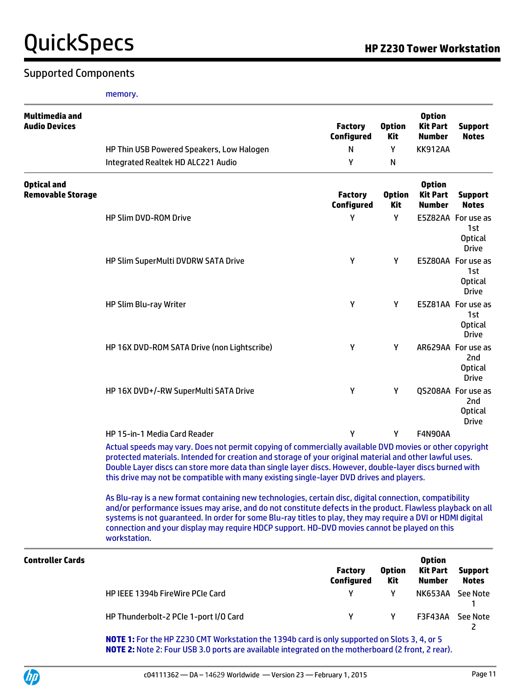#### Supported Components

memory.

| Multimedia and<br><b>Audio Devices</b> |                                                                                                                                                                                                                                                                                                                                                                                                                                                                                                                                                                                                                                                                                                                                                                                                                                                                    | <b>Factory</b><br><b>Configured</b> | <b>Option</b><br><b>Kit</b> | <b>Option</b><br><b>Kit Part</b><br><b>Number</b> | <b>Support</b><br><b>Notes</b>                                          |
|----------------------------------------|--------------------------------------------------------------------------------------------------------------------------------------------------------------------------------------------------------------------------------------------------------------------------------------------------------------------------------------------------------------------------------------------------------------------------------------------------------------------------------------------------------------------------------------------------------------------------------------------------------------------------------------------------------------------------------------------------------------------------------------------------------------------------------------------------------------------------------------------------------------------|-------------------------------------|-----------------------------|---------------------------------------------------|-------------------------------------------------------------------------|
|                                        | HP Thin USB Powered Speakers, Low Halogen                                                                                                                                                                                                                                                                                                                                                                                                                                                                                                                                                                                                                                                                                                                                                                                                                          | N                                   | Υ                           | <b>KK912AA</b>                                    |                                                                         |
|                                        | Integrated Realtek HD ALC221 Audio                                                                                                                                                                                                                                                                                                                                                                                                                                                                                                                                                                                                                                                                                                                                                                                                                                 | Υ                                   | N                           |                                                   |                                                                         |
| <b>Optical and</b>                     |                                                                                                                                                                                                                                                                                                                                                                                                                                                                                                                                                                                                                                                                                                                                                                                                                                                                    |                                     |                             | <b>Option</b>                                     |                                                                         |
| <b>Removable Storage</b>               |                                                                                                                                                                                                                                                                                                                                                                                                                                                                                                                                                                                                                                                                                                                                                                                                                                                                    | <b>Factory</b><br><b>Configured</b> | <b>Option</b><br><b>Kit</b> | <b>Kit Part</b><br><b>Number</b>                  | <b>Support</b><br><b>Notes</b>                                          |
|                                        | <b>HP Slim DVD-ROM Drive</b>                                                                                                                                                                                                                                                                                                                                                                                                                                                                                                                                                                                                                                                                                                                                                                                                                                       | Υ                                   | Υ                           |                                                   | E5Z82AA For use as<br>1st<br><b>Optical</b><br><b>Drive</b>             |
|                                        | HP Slim SuperMulti DVDRW SATA Drive                                                                                                                                                                                                                                                                                                                                                                                                                                                                                                                                                                                                                                                                                                                                                                                                                                | Υ                                   | Υ                           |                                                   | E5Z80AA For use as<br>1st<br><b>Optical</b><br><b>Drive</b>             |
|                                        | HP Slim Blu-ray Writer                                                                                                                                                                                                                                                                                                                                                                                                                                                                                                                                                                                                                                                                                                                                                                                                                                             | Υ                                   | Y                           |                                                   | E5Z81AA For use as<br>1st<br><b>Optical</b><br><b>Drive</b>             |
|                                        | HP 16X DVD-ROM SATA Drive (non Lightscribe)                                                                                                                                                                                                                                                                                                                                                                                                                                                                                                                                                                                                                                                                                                                                                                                                                        | Y                                   | Υ                           |                                                   | AR629AA For use as<br>2 <sub>nd</sub><br><b>Optical</b><br><b>Drive</b> |
|                                        | HP 16X DVD+/-RW SuperMulti SATA Drive                                                                                                                                                                                                                                                                                                                                                                                                                                                                                                                                                                                                                                                                                                                                                                                                                              | Υ                                   | Υ                           |                                                   | QS208AA For use as<br>2nd<br><b>Optical</b><br><b>Drive</b>             |
|                                        | HP 15-in-1 Media Card Reader                                                                                                                                                                                                                                                                                                                                                                                                                                                                                                                                                                                                                                                                                                                                                                                                                                       | Y                                   | Y                           | F4N90AA                                           |                                                                         |
|                                        | Actual speeds may vary. Does not permit copying of commercially available DVD movies or other copyright<br>protected materials. Intended for creation and storage of your original material and other lawful uses.<br>Double Layer discs can store more data than single layer discs. However, double-layer discs burned with<br>this drive may not be compatible with many existing single-layer DVD drives and players.<br>As Blu-ray is a new format containing new technologies, certain disc, digital connection, compatibility<br>and/or performance issues may arise, and do not constitute defects in the product. Flawless playback on all<br>systems is not guaranteed. In order for some Blu-ray titles to play, they may require a DVI or HDMI digital<br>connection and your display may require HDCP support. HD-DVD movies cannot be played on this |                                     |                             |                                                   |                                                                         |
| <b>Controller Cards</b>                | workstation.                                                                                                                                                                                                                                                                                                                                                                                                                                                                                                                                                                                                                                                                                                                                                                                                                                                       |                                     |                             | <b>Option</b>                                     |                                                                         |
|                                        |                                                                                                                                                                                                                                                                                                                                                                                                                                                                                                                                                                                                                                                                                                                                                                                                                                                                    | <b>Factory</b><br><b>Configured</b> | <b>Option</b><br>Kit        | <b>Kit Part</b><br><b>Number</b>                  | <b>Support</b><br><b>Notes</b>                                          |
|                                        | HP IEEE 1394b FireWire PCIe Card                                                                                                                                                                                                                                                                                                                                                                                                                                                                                                                                                                                                                                                                                                                                                                                                                                   | Υ                                   | Y                           | NK653AA                                           | <b>See Note</b><br>1                                                    |
|                                        | HP Thunderbolt-2 PCIe 1-port I/O Card                                                                                                                                                                                                                                                                                                                                                                                                                                                                                                                                                                                                                                                                                                                                                                                                                              | Υ                                   | Y                           | <b>F3F43AA</b>                                    | See Note<br>2                                                           |

**NOTE 1:** For the HP Z230 CMT Workstation the 1394b card is only supported on Slots 3, 4, or 5 **NOTE 2:** Note 2: Four USB 3.0 ports are available integrated on the motherboard (2 front, 2 rear).

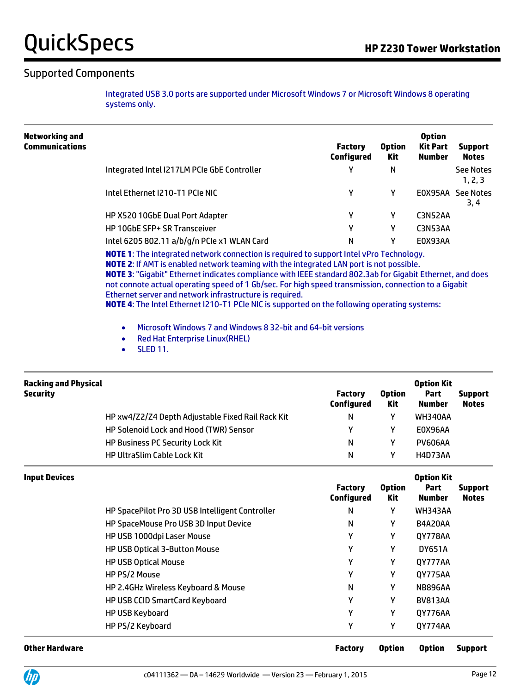### Supported Components

Integrated USB 3.0 ports are supported under Microsoft Windows 7 or Microsoft Windows 8 operating systems only.

| Networking and<br><b>Communications</b> |                                                                                                                                                                                                        | <b>Factory</b><br>Configured | <b>Option</b><br><b>Kit Part</b><br><b>Option</b><br>Number<br>Kit |                | <b>Support</b><br><b>Notes</b> |
|-----------------------------------------|--------------------------------------------------------------------------------------------------------------------------------------------------------------------------------------------------------|------------------------------|--------------------------------------------------------------------|----------------|--------------------------------|
|                                         | Integrated Intel I217LM PCIe GbE Controller                                                                                                                                                            | γ                            | N                                                                  |                | See Notes<br>1, 2, 3           |
|                                         | Intel Ethernet I210-T1 PCIe NIC                                                                                                                                                                        | γ                            |                                                                    | E0X95AA        | See Notes<br>3, 4              |
|                                         | HP X520 10GbE Dual Port Adapter                                                                                                                                                                        | γ                            |                                                                    | C3N52AA        |                                |
|                                         | HP 10GbE SFP+ SR Transceiver                                                                                                                                                                           | γ                            |                                                                    | <b>C3N53AA</b> |                                |
|                                         | Intel 6205 802.11 a/b/g/n PCIe x1 WLAN Card                                                                                                                                                            | Ν                            |                                                                    | E0X93AA        |                                |
|                                         | <b>NOTE 1:</b> The integrated network connection is required to support Intel vPro Technology.<br><b>NIOTE 5: If AMT is applied patental transition with the integrated LAN post is pat pageible</b> . |                              |                                                                    |                |                                |

**NOTE 2**: If AMT is enabled network teaming with the integrated LAN port is not possible. **NOTE 3**: "Gigabit" Ethernet indicates compliance with IEEE standard 802.3ab for Gigabit Ethernet, and does not connote actual operating speed of 1 Gb/sec. For high speed transmission, connection to a Gigabit Ethernet server and network infrastructure is required.

**NOTE 4**: The Intel Ethernet I210-T1 PCIe NIC is supported on the following operating systems:

- Microsoft Windows 7 and Windows 8 32-bit and 64-bit versions
- Red Hat Enterprise Linux (RHEL)
- SLED 11.

| <b>Racking and Physical</b><br><b>Security</b> |                                                   | <b>Factory</b><br>Configured | <b>Option</b><br>Kit | <b>Option Kit</b><br>Part<br><b>Number</b> | <b>Support</b><br><b>Notes</b> |
|------------------------------------------------|---------------------------------------------------|------------------------------|----------------------|--------------------------------------------|--------------------------------|
|                                                | HP xw4/Z2/Z4 Depth Adjustable Fixed Rail Rack Kit | N                            | v                    | <b>WH340AA</b>                             |                                |
|                                                | HP Solenoid Lock and Hood (TWR) Sensor            | γ                            | v                    | E0X96AA                                    |                                |
|                                                | <b>HP Business PC Security Lock Kit</b>           | N                            | v                    | <b>PV606AA</b>                             |                                |
|                                                | <b>HP UltraSlim Cable Lock Kit</b>                | N                            | ν                    | <b>H4D73AA</b>                             |                                |

| <b>Input Devices</b>  |                                                 | <b>Factory</b><br><b>Configured</b> | <b>Option</b><br>Kit | <b>Option Kit</b><br>Part<br>Number | <b>Support</b><br><b>Notes</b> |
|-----------------------|-------------------------------------------------|-------------------------------------|----------------------|-------------------------------------|--------------------------------|
|                       | HP SpacePilot Pro 3D USB Intelligent Controller | N                                   | γ                    | WH343AA                             |                                |
|                       | HP SpaceMouse Pro USB 3D Input Device           | N                                   | γ                    | <b>B4A20AA</b>                      |                                |
|                       | HP USB 1000dpi Laser Mouse                      | Υ                                   | γ                    | QY778AA                             |                                |
|                       | <b>HP USB Optical 3-Button Mouse</b>            | Υ                                   | γ                    | <b>DY651A</b>                       |                                |
|                       | <b>HP USB Optical Mouse</b>                     | Υ                                   | γ                    | 0Y777AA                             |                                |
|                       | HP PS/2 Mouse                                   | γ                                   | γ                    | QY775AA                             |                                |
|                       | HP 2.4GHz Wireless Keyboard & Mouse             | N                                   | γ                    | <b>NB896AA</b>                      |                                |
|                       | <b>HP USB CCID SmartCard Keyboard</b>           | Υ                                   | γ                    | <b>BV813AA</b>                      |                                |
|                       | <b>HP USB Keyboard</b>                          | γ                                   | γ                    | QY776AA                             |                                |
|                       | HP PS/2 Keyboard                                | γ                                   | γ                    | 0Y774AA                             |                                |
| <b>Other Hardware</b> |                                                 | <b>Factory</b>                      | <b>Option</b>        | <b>Option</b>                       | <b>Support</b>                 |

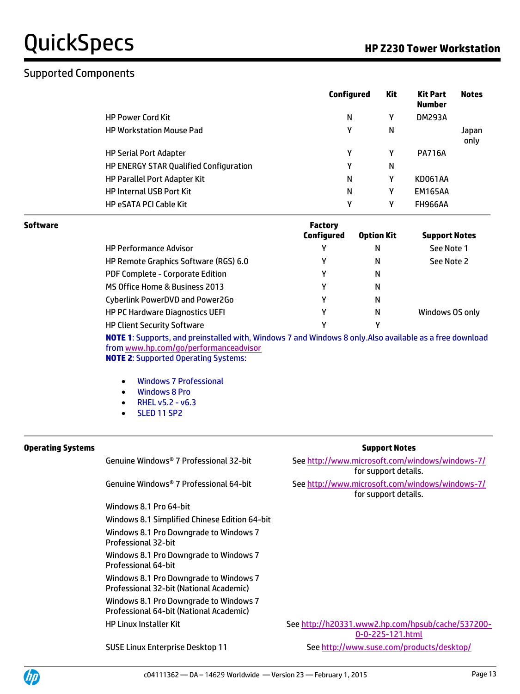### Supported Components

|                                               | Configured | Kit | <b>Kit Part</b><br><b>Number</b> | <b>Notes</b>  |
|-----------------------------------------------|------------|-----|----------------------------------|---------------|
| <b>HP Power Cord Kit</b>                      | N          | Υ   | <b>DM293A</b>                    |               |
| <b>HP Workstation Mouse Pad</b>               | γ          | N   |                                  | Japan<br>only |
| <b>HP Serial Port Adapter</b>                 | γ          | Υ   | <b>PA716A</b>                    |               |
| <b>HP ENERGY STAR Qualified Configuration</b> | γ          | N   |                                  |               |
| <b>HP Parallel Port Adapter Kit</b>           | N          | γ   | KD061AA                          |               |
| <b>HP Internal USB Port Kit</b>               | N          | Υ   | <b>EM165AA</b>                   |               |
| <b>HP eSATA PCI Cable Kit</b>                 | Υ          | Υ   | <b>FH966AA</b>                   |               |

| Software |                                         | <b>Factory</b><br><b>Configured</b> | <b>Option Kit</b> | <b>Support Notes</b> |
|----------|-----------------------------------------|-------------------------------------|-------------------|----------------------|
|          | <b>HP Performance Advisor</b>           | γ                                   | N                 | See Note 1           |
|          | HP Remote Graphics Software (RGS) 6.0   | γ                                   | N                 | See Note 2           |
|          | <b>PDF Complete - Corporate Edition</b> | γ                                   | N                 |                      |
|          | MS Office Home & Business 2013          | γ                                   | N                 |                      |
|          | Cyberlink PowerDVD and Power2Go         | γ                                   | N                 |                      |
|          | <b>HP PC Hardware Diagnostics UEFI</b>  | γ                                   | N                 | Windows OS only      |
|          | <b>HP Client Security Software</b>      | ٧                                   | ν                 |                      |

**NOTE 1**: Supports, and preinstalled with, Windows 7 and Windows 8 only.Also available as a free download fro[m www.hp.com/go/performanceadvisor](http://www.hp.com/go/performanceadvisor) **NOTE 2**: Supported Operating Systems:

Windows 7 Professional

- Windows 8 Pro
- $\bullet$  RHEL v5.2 v6.3
- SLED 11 SP2

| <b>Operating Systems</b> |                                                                                   | <b>Support Notes</b>                                                    |
|--------------------------|-----------------------------------------------------------------------------------|-------------------------------------------------------------------------|
|                          | Genuine Windows® 7 Professional 32-bit                                            | See http://www.microsoft.com/windows/windows-7/<br>for support details. |
|                          | Genuine Windows® 7 Professional 64-bit                                            | See http://www.microsoft.com/windows/windows-7/<br>for support details. |
|                          | Windows 8.1 Pro 64-bit                                                            |                                                                         |
|                          | Windows 8.1 Simplified Chinese Edition 64-bit                                     |                                                                         |
|                          | Windows 8.1 Pro Downgrade to Windows 7<br>Professional 32-bit                     |                                                                         |
|                          | Windows 8.1 Pro Downgrade to Windows 7<br>Professional 64-bit                     |                                                                         |
|                          | Windows 8.1 Pro Downgrade to Windows 7<br>Professional 32-bit (National Academic) |                                                                         |
|                          | Windows 8.1 Pro Downgrade to Windows 7<br>Professional 64-bit (National Academic) |                                                                         |
|                          | HP Linux Installer Kit                                                            | See http://h20331.www2.hp.com/hpsub/cache/537200-<br>0-0-225-121.html   |
|                          | SUSE Linux Enterprise Desktop 11                                                  | See http://www.suse.com/products/desktop/                               |

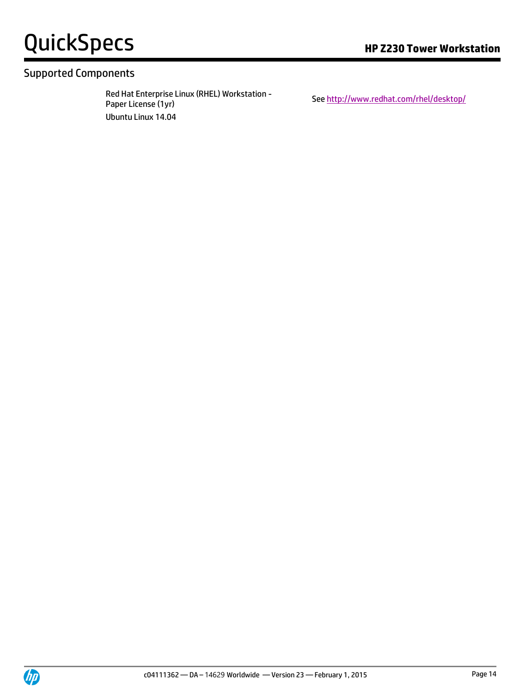# QuickSpecs **Manual Community Community** Research **Research Community Community Community** Research and Research and Research and Research and Research and Research and Research and Research and Research and Research and Re

### Supported Components

Red Hat Enterprise Linux (RHEL) Workstation -<br>Paper License (1yr) Ubuntu Linux 14.04

Se[e http://www.redhat.com/rhel/desktop/](http://www.redhat.com/rhel/desktop/)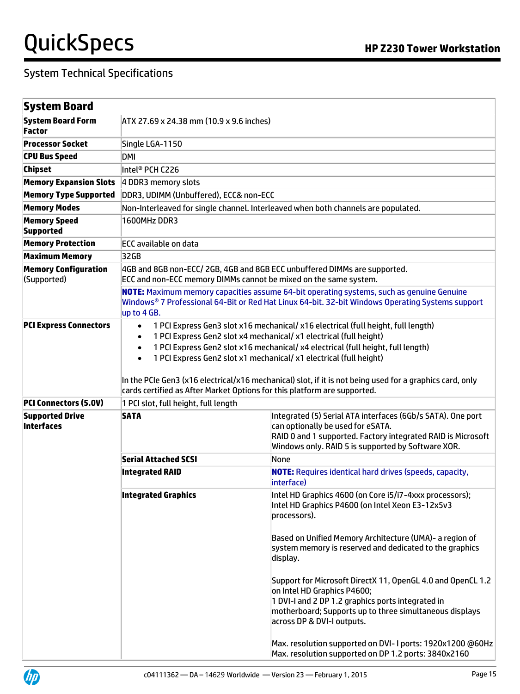| System Board                               |                                                                                                                                                                                                                                                                                                                                                                                                                                                                                                                                                               |                                                                                                                                                                                                                                          |  |  |
|--------------------------------------------|---------------------------------------------------------------------------------------------------------------------------------------------------------------------------------------------------------------------------------------------------------------------------------------------------------------------------------------------------------------------------------------------------------------------------------------------------------------------------------------------------------------------------------------------------------------|------------------------------------------------------------------------------------------------------------------------------------------------------------------------------------------------------------------------------------------|--|--|
| <b>System Board Form</b><br>Factor         | ATX 27.69 x 24.38 mm (10.9 x 9.6 inches)                                                                                                                                                                                                                                                                                                                                                                                                                                                                                                                      |                                                                                                                                                                                                                                          |  |  |
| <b>Processor Socket</b>                    | Single LGA-1150                                                                                                                                                                                                                                                                                                                                                                                                                                                                                                                                               |                                                                                                                                                                                                                                          |  |  |
| <b>CPU Bus Speed</b>                       | DMI                                                                                                                                                                                                                                                                                                                                                                                                                                                                                                                                                           |                                                                                                                                                                                                                                          |  |  |
| <b>Chipset</b>                             | Intel® PCH C226                                                                                                                                                                                                                                                                                                                                                                                                                                                                                                                                               |                                                                                                                                                                                                                                          |  |  |
| <b>Memory Expansion Slots</b>              | 4 DDR3 memory slots                                                                                                                                                                                                                                                                                                                                                                                                                                                                                                                                           |                                                                                                                                                                                                                                          |  |  |
| <b>Memory Type Supported</b>               | DDR3, UDIMM (Unbuffered), ECC& non-ECC                                                                                                                                                                                                                                                                                                                                                                                                                                                                                                                        |                                                                                                                                                                                                                                          |  |  |
| <b>Memory Modes</b>                        |                                                                                                                                                                                                                                                                                                                                                                                                                                                                                                                                                               | Non-Interleaved for single channel. Interleaved when both channels are populated.                                                                                                                                                        |  |  |
| <b>Memory Speed</b><br><b>Supported</b>    | 1600MHz DDR3                                                                                                                                                                                                                                                                                                                                                                                                                                                                                                                                                  |                                                                                                                                                                                                                                          |  |  |
| <b>Memory Protection</b>                   | <b>ECC</b> available on data                                                                                                                                                                                                                                                                                                                                                                                                                                                                                                                                  |                                                                                                                                                                                                                                          |  |  |
| <b>Maximum Memory</b>                      | 32GB                                                                                                                                                                                                                                                                                                                                                                                                                                                                                                                                                          |                                                                                                                                                                                                                                          |  |  |
| <b>Memory Configuration</b><br>(Supported) | 4GB and 8GB non-ECC/2GB, 4GB and 8GB ECC unbuffered DIMMs are supported.<br>ECC and non-ECC memory DIMMs cannot be mixed on the same system.<br>NOTE: Maximum memory capacities assume 64-bit operating systems, such as genuine Genuine<br>Windows® 7 Professional 64-Bit or Red Hat Linux 64-bit. 32-bit Windows Operating Systems support<br>up to 4 GB.                                                                                                                                                                                                   |                                                                                                                                                                                                                                          |  |  |
| <b>PCI Express Connectors</b>              | 1 PCI Express Gen3 slot x16 mechanical/ x16 electrical (full height, full length)<br>$\bullet$<br>1 PCI Express Gen2 slot x4 mechanical/ x1 electrical (full height)<br>$\bullet$<br>1 PCI Express Gen2 slot x16 mechanical/ x4 electrical (full height, full length)<br>$\bullet$<br>1 PCI Express Gen2 slot x1 mechanical/ x1 electrical (full height)<br>$\bullet$<br>In the PCIe Gen3 (x16 electrical/x16 mechanical) slot, if it is not being used for a graphics card, only<br>cards certified as After Market Options for this platform are supported. |                                                                                                                                                                                                                                          |  |  |
| <b>PCI Connectors (5.0V)</b>               | 1 PCI slot, full height, full length                                                                                                                                                                                                                                                                                                                                                                                                                                                                                                                          |                                                                                                                                                                                                                                          |  |  |
| <b>Supported Drive</b><br>Interfaces       | <b>SATA</b>                                                                                                                                                                                                                                                                                                                                                                                                                                                                                                                                                   | Integrated (5) Serial ATA interfaces (6Gb/s SATA). One port<br>can optionally be used for eSATA.<br>RAID 0 and 1 supported. Factory integrated RAID is Microsoft<br>Windows only. RAID 5 is supported by Software XOR.                   |  |  |
|                                            | Serial Attached SCSI                                                                                                                                                                                                                                                                                                                                                                                                                                                                                                                                          | None                                                                                                                                                                                                                                     |  |  |
|                                            | <b>Integrated RAID</b>                                                                                                                                                                                                                                                                                                                                                                                                                                                                                                                                        | <b>NOTE:</b> Requires identical hard drives (speeds, capacity,<br>interface)                                                                                                                                                             |  |  |
|                                            | <b>Integrated Graphics</b>                                                                                                                                                                                                                                                                                                                                                                                                                                                                                                                                    | Intel HD Graphics 4600 (on Core i5/i7-4xxx processors);<br>Intel HD Graphics P4600 (on Intel Xeon E3-12x5v3<br>processors).                                                                                                              |  |  |
|                                            |                                                                                                                                                                                                                                                                                                                                                                                                                                                                                                                                                               | Based on Unified Memory Architecture (UMA) - a region of<br>system memory is reserved and dedicated to the graphics<br>display.                                                                                                          |  |  |
|                                            |                                                                                                                                                                                                                                                                                                                                                                                                                                                                                                                                                               | Support for Microsoft DirectX 11, OpenGL 4.0 and OpenCL 1.2<br>on Intel HD Graphics P4600;<br>1 DVI-I and 2 DP 1.2 graphics ports integrated in<br>motherboard; Supports up to three simultaneous displays<br>across DP & DVI-I outputs. |  |  |
|                                            |                                                                                                                                                                                                                                                                                                                                                                                                                                                                                                                                                               | Max. resolution supported on DVI- I ports: 1920x1200 @60Hz<br>Max. resolution supported on DP 1.2 ports: 3840x2160                                                                                                                       |  |  |

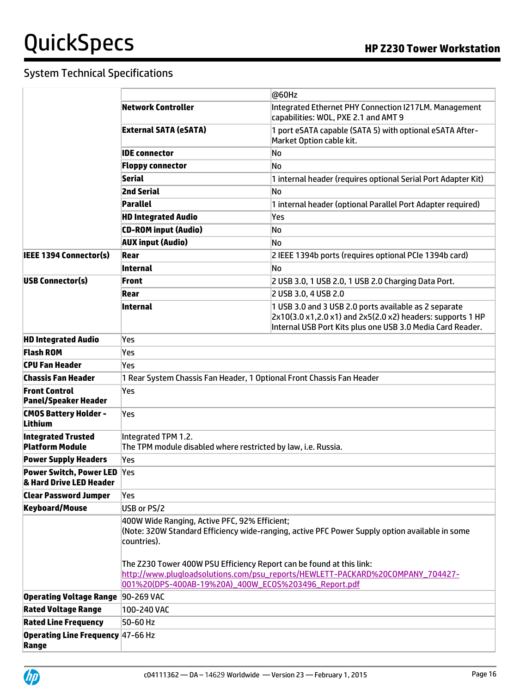|                                                               |                                                                                                                                                                                                                                                                                                                                                                                  | @60Hz                                                                                                                                                                             |  |  |  |
|---------------------------------------------------------------|----------------------------------------------------------------------------------------------------------------------------------------------------------------------------------------------------------------------------------------------------------------------------------------------------------------------------------------------------------------------------------|-----------------------------------------------------------------------------------------------------------------------------------------------------------------------------------|--|--|--|
|                                                               | Network Controller                                                                                                                                                                                                                                                                                                                                                               | Integrated Ethernet PHY Connection I217LM. Management<br>capabilities: WOL, PXE 2.1 and AMT 9                                                                                     |  |  |  |
|                                                               | <b>External SATA (eSATA)</b>                                                                                                                                                                                                                                                                                                                                                     | 1 port eSATA capable (SATA 5) with optional eSATA After-<br>Market Option cable kit.                                                                                              |  |  |  |
|                                                               | <b>IDE</b> connector                                                                                                                                                                                                                                                                                                                                                             | No                                                                                                                                                                                |  |  |  |
|                                                               | <b>Floppy connector</b>                                                                                                                                                                                                                                                                                                                                                          | No                                                                                                                                                                                |  |  |  |
|                                                               | Serial                                                                                                                                                                                                                                                                                                                                                                           | 1 internal header (requires optional Serial Port Adapter Kit)                                                                                                                     |  |  |  |
|                                                               | <b>2nd Serial</b>                                                                                                                                                                                                                                                                                                                                                                | No                                                                                                                                                                                |  |  |  |
|                                                               | Parallel                                                                                                                                                                                                                                                                                                                                                                         | 1 internal header (optional Parallel Port Adapter required)                                                                                                                       |  |  |  |
|                                                               | <b>HD Integrated Audio</b>                                                                                                                                                                                                                                                                                                                                                       | Yes                                                                                                                                                                               |  |  |  |
|                                                               | <b>CD-ROM input (Audio)</b>                                                                                                                                                                                                                                                                                                                                                      | No                                                                                                                                                                                |  |  |  |
|                                                               | <b>AUX input (Audio)</b>                                                                                                                                                                                                                                                                                                                                                         | No                                                                                                                                                                                |  |  |  |
| IEEE 1394 Connector(s)                                        | Rear                                                                                                                                                                                                                                                                                                                                                                             | 2 IEEE 1394b ports (requires optional PCIe 1394b card)                                                                                                                            |  |  |  |
|                                                               | Internal                                                                                                                                                                                                                                                                                                                                                                         | N <sub>0</sub>                                                                                                                                                                    |  |  |  |
| <b>USB Connector(s)</b>                                       | <b>Front</b>                                                                                                                                                                                                                                                                                                                                                                     | 2 USB 3.0, 1 USB 2.0, 1 USB 2.0 Charging Data Port.                                                                                                                               |  |  |  |
|                                                               | Rear                                                                                                                                                                                                                                                                                                                                                                             | 2 USB 3.0, 4 USB 2.0                                                                                                                                                              |  |  |  |
|                                                               | Internal                                                                                                                                                                                                                                                                                                                                                                         | 1 USB 3.0 and 3 USB 2.0 ports available as 2 separate<br>2x10(3.0 x1,2.0 x1) and 2x5(2.0 x2) headers: supports 1 HP<br>Internal USB Port Kits plus one USB 3.0 Media Card Reader. |  |  |  |
| <b>HD Integrated Audio</b>                                    | Yes                                                                                                                                                                                                                                                                                                                                                                              |                                                                                                                                                                                   |  |  |  |
| <b>Flash ROM</b>                                              | Yes                                                                                                                                                                                                                                                                                                                                                                              |                                                                                                                                                                                   |  |  |  |
| CPU Fan Header                                                | Yes                                                                                                                                                                                                                                                                                                                                                                              |                                                                                                                                                                                   |  |  |  |
| Chassis Fan Header                                            |                                                                                                                                                                                                                                                                                                                                                                                  | 1 Rear System Chassis Fan Header, 1 Optional Front Chassis Fan Header                                                                                                             |  |  |  |
| <b>Front Control</b><br><b>Panel/Speaker Header</b>           | Yes                                                                                                                                                                                                                                                                                                                                                                              |                                                                                                                                                                                   |  |  |  |
| <b>CMOS Battery Holder -</b><br>Lithium                       | Yes                                                                                                                                                                                                                                                                                                                                                                              |                                                                                                                                                                                   |  |  |  |
| <b>Integrated Trusted</b><br><b>Platform Module</b>           | Integrated TPM 1.2.<br>The TPM module disabled where restricted by law, i.e. Russia.                                                                                                                                                                                                                                                                                             |                                                                                                                                                                                   |  |  |  |
| <b>Power Supply Headers</b>                                   | Yes                                                                                                                                                                                                                                                                                                                                                                              |                                                                                                                                                                                   |  |  |  |
| <b>Power Switch, Power LED</b> Yes<br>& Hard Drive LED Header |                                                                                                                                                                                                                                                                                                                                                                                  |                                                                                                                                                                                   |  |  |  |
| <b>Clear Password Jumper</b>                                  | Yes                                                                                                                                                                                                                                                                                                                                                                              |                                                                                                                                                                                   |  |  |  |
| <b>Keyboard/Mouse</b>                                         | USB or PS/2                                                                                                                                                                                                                                                                                                                                                                      |                                                                                                                                                                                   |  |  |  |
|                                                               | 400W Wide Ranging, Active PFC, 92% Efficient;<br>(Note: 320W Standard Efficiency wide-ranging, active PFC Power Supply option available in some<br>countries).<br>The Z230 Tower 400W PSU Efficiency Report can be found at this link:<br>http://www.plugloadsolutions.com/psu_reports/HEWLETT-PACKARD%20COMPANY_704427-<br>001%20(DPS-400AB-19%20A)_400W_EC0S%203496_Report.pdf |                                                                                                                                                                                   |  |  |  |
| Operating Voltage Range 90-269 VAC                            |                                                                                                                                                                                                                                                                                                                                                                                  |                                                                                                                                                                                   |  |  |  |
| <b>Rated Voltage Range</b>                                    | 100-240 VAC                                                                                                                                                                                                                                                                                                                                                                      |                                                                                                                                                                                   |  |  |  |
| <b>Rated Line Frequency</b>                                   | 50-60 Hz                                                                                                                                                                                                                                                                                                                                                                         |                                                                                                                                                                                   |  |  |  |
| <b>Operating Line Frequency 47-66 Hz</b><br>Range             |                                                                                                                                                                                                                                                                                                                                                                                  |                                                                                                                                                                                   |  |  |  |

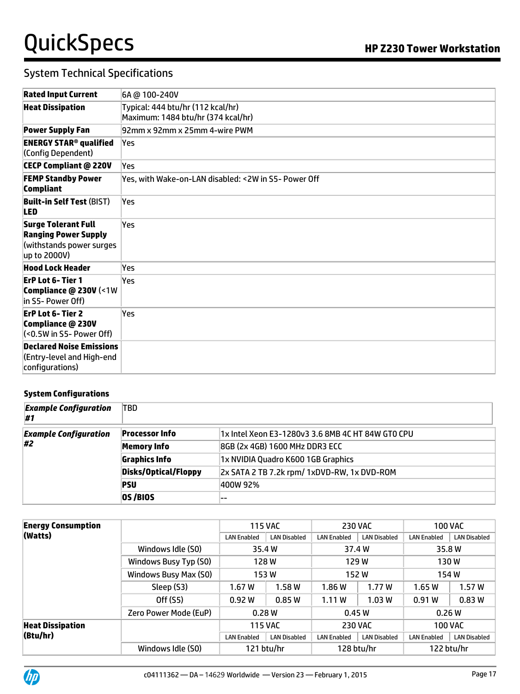### System Technical Specifications

| <b>Rated Input Current</b>                                                                     | 6A @ 100-240V                                                           |
|------------------------------------------------------------------------------------------------|-------------------------------------------------------------------------|
| <b>Heat Dissipation</b>                                                                        | Typical: 444 btu/hr (112 kcal/hr)<br>Maximum: 1484 btu/hr (374 kcal/hr) |
| <b>Power Supply Fan</b>                                                                        | 92mm x 92mm x 25mm 4-wire PWM                                           |
| <b>ENERGY STAR<sup>®</sup> qualified</b><br>(Config Dependent)                                 | lYes                                                                    |
| <b>CECP Compliant @ 220V</b>                                                                   | Yes                                                                     |
| <b>FEMP Standby Power</b><br><b>Compliant</b>                                                  | Yes, with Wake-on-LAN disabled: < 2W in S5- Power Off                   |
| <b>Built-in Self Test (BIST)</b><br><b>LED</b>                                                 | Yes                                                                     |
| Surge Tolerant Full<br><b>Ranging Power Supply</b><br>(withstands power surges<br>up to 2000V) | Yes                                                                     |
| <b>Hood Lock Header</b>                                                                        | Yes                                                                     |
| ErP Lot 6- Tier 1<br>Compliance @ 230V (<1W<br>in S5- Power Off)                               | Yes                                                                     |
| <b>ErP Lot 6- Tier 2</b><br>Compliance @ 230V<br>(<0.5W in S5- Power Off)                      | Yes                                                                     |
| <b>Declared Noise Emissions</b><br>(Entry-level and High-end<br>configurations)                |                                                                         |

#### **System Configurations**

| <b>Example Configuration</b><br>#1 | <b>TBD</b>            |                                                   |
|------------------------------------|-----------------------|---------------------------------------------------|
| <b>Example Configuration</b><br>#2 | <b>Processor Info</b> | 1x Intel Xeon E3-1280v3 3.6 8MB 4C HT 84W GTO CPU |
|                                    | <b>Memory Info</b>    | 8GB (2x 4GB) 1600 MHz DDR3 ECC                    |
|                                    | <b>Graphics Info</b>  | 1x NVIDIA Quadro K600 1GB Graphics                |
|                                    | Disks/Optical/Floppy  | 2x SATA 2 TB 7.2k rpm/ 1xDVD-RW, 1x DVD-ROM       |
|                                    | <b>PSU</b>            | 400W 92%                                          |
|                                    | OS/BIOS               |                                                   |

| <b>Energy Consumption</b> |                       | <b>115 VAC</b>     |                     | <b>230 VAC</b>     |                     |                    | <b>100 VAC</b>      |
|---------------------------|-----------------------|--------------------|---------------------|--------------------|---------------------|--------------------|---------------------|
| (Watts)                   |                       | <b>LAN Enabled</b> | <b>LAN Disabled</b> | <b>LAN Enabled</b> | <b>LAN Disabled</b> | <b>LAN Enabled</b> | <b>LAN Disabled</b> |
|                           | Windows Idle (S0)     |                    | 35.4 W              | 37.4 W             |                     | 35.8 W             |                     |
|                           | Windows Busy Typ (S0) | 128W               |                     | 129 W              |                     | 130 W              |                     |
|                           | Windows Busy Max (S0) | 153W               |                     | 152W               |                     | 154 W              |                     |
|                           | Sleep (S3)            | 1.67W              | 1.58W               | 1.86 W             | 1.77W               | 1.65W              | 1.57W               |
|                           | Off (S5)              | 0.92W              | 0.85W               | 1.11 W             | 1.03W               | 0.91W              | 0.83W               |
|                           | Zero Power Mode (EuP) | 0.28W              |                     | 0.45W              |                     | 0.26W              |                     |
| <b>Heat Dissipation</b>   |                       | <b>115 VAC</b>     |                     | <b>230 VAC</b>     |                     |                    | <b>100 VAC</b>      |
| (Btu/hr)                  |                       | <b>LAN Enabled</b> | <b>LAN Disabled</b> | <b>LAN Enabled</b> | <b>LAN Disabled</b> | <b>LAN Enabled</b> | <b>LAN Disabled</b> |
|                           | Windows Idle (S0)     |                    | 121 btu/hr          |                    | 128 btu/hr          |                    | 122 btu/hr          |

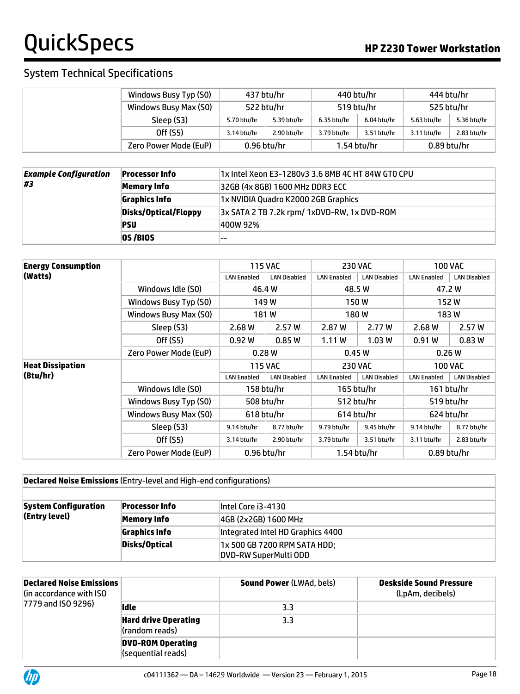### System Technical Specifications

| Windows Busy Typ (S0) | 437 btu/hr    |             | 440 btu/hr               |             | 444 btu/hr    |             |
|-----------------------|---------------|-------------|--------------------------|-------------|---------------|-------------|
| Windows Busy Max (SO) | 522 btu/hr    |             | 519 btu/hr<br>525 btu/hr |             |               |             |
| Sleep (S3)            | 5.70 btu/hr   | 5.39 btu/hr | 6.35 btu/hr              | 6.04 btu/hr | 5.63 btu/hr   | 5.36 btu/hr |
| Off (S5)              | 3.14 btu/hr   | 2.90 btu/hr | 3.79 btu/hr              | 3.51 btu/hr | 3.11 btu/hr   | 2.83 btu/hr |
| Zero Power Mode (EuP) | $0.96$ btu/hr |             | $1.54$ btu/hr            |             | $0.89$ btu/hr |             |

| <b>Example Configuration</b><br>#3 | <b>Processor Info</b> | 1x Intel Xeon E3-1280v3 3.6 8MB 4C HT 84W GTO CPU |
|------------------------------------|-----------------------|---------------------------------------------------|
|                                    | Memory Info           | 32GB (4x 8GB) 1600 MHz DDR3 ECC                   |
|                                    | <b>Graphics Info</b>  | 1x NVIDIA Quadro K2000 2GB Graphics               |
|                                    | Disks/Optical/Floppy  | 3x SATA 2 TB 7.2k rpm/ 1xDVD-RW, 1x DVD-ROM       |
|                                    | <b>PSU</b>            | 400W 92%                                          |
|                                    | <b>OS /BIOS</b>       |                                                   |

| <b>Energy Consumption</b> |                       |                    | <b>115 VAC</b>      |                    | <b>230 VAC</b>      |                    | <b>100 VAC</b>      |
|---------------------------|-----------------------|--------------------|---------------------|--------------------|---------------------|--------------------|---------------------|
| (Watts)                   |                       | <b>LAN Enabled</b> | <b>LAN Disabled</b> | <b>LAN Enabled</b> | <b>LAN Disabled</b> | <b>LAN Enabled</b> | <b>LAN Disabled</b> |
|                           | Windows Idle (S0)     | 46.4 W             |                     | 48.5 W             |                     |                    | 47.2 W              |
|                           | Windows Busy Typ (S0) |                    | 149 W               | 150 W              |                     | 152 W              |                     |
|                           | Windows Busy Max (S0) |                    | 181W                | 180 W              |                     | 183W               |                     |
|                           | Sleep (S3)            | 2.68W              | 2.57 W              | 2.87 W             | 2.77 W              | 2.68W              | 2.57 W              |
|                           | Off (S5)              | 0.92W              | 0.85W               | 1.11W              | 1.03W               | 0.91W              | 0.83W               |
|                           | Zero Power Mode (EuP) | 0.28W              |                     | 0.45W              |                     | 0.26W              |                     |
| <b>Heat Dissipation</b>   |                       | <b>115 VAC</b>     |                     | <b>230 VAC</b>     |                     | <b>100 VAC</b>     |                     |
| (Btu/hr)                  |                       | <b>LAN Enabled</b> | <b>LAN Disabled</b> | <b>LAN Enabled</b> | <b>LAN Disabled</b> | <b>LAN Enabled</b> | <b>LAN Disabled</b> |
|                           | Windows Idle (S0)     |                    | 158 btu/hr          |                    | 165 btu/hr          |                    | 161 btu/hr          |
|                           | Windows Busy Typ (S0) | 508 btu/hr         |                     | 512 btu/hr         |                     | 519 btu/hr         |                     |
|                           | Windows Busy Max (S0) | 618 btu/hr         |                     | 614 btu/hr         |                     | 624 btu/hr         |                     |
|                           | Sleep (S3)            | 9.14 btu/hr        | 8.77 btu/hr         | 9.79 btu/hr        | 9.45 btu/hr         | 9.14 btu/hr        | 8.77 btu/hr         |
|                           | Off (S5)              | 3.14 btu/hr        | 2.90 btu/hr         | 3.79 btu/hr        | $3.51$ btu/hr       | $3.11$ btu/hr      | 2.83 btu/hr         |
|                           | Zero Power Mode (EuP) | $0.96$ btu/hr      |                     |                    | $1.54$ btu/hr       | $0.89$ btu/hr      |                     |

#### **Declared Noise Emissions** (Entry-level and High-end configurations)

| <b>System Configuration</b><br>(Entry level) | <b>Processor Info</b> | lintel Core i3-4130                                   |
|----------------------------------------------|-----------------------|-------------------------------------------------------|
|                                              | Memory Info           | 4GB (2x2GB) 1600 MHz                                  |
|                                              | Graphics Info         | Integrated Intel HD Graphics 4400                     |
|                                              | Disks/Optical         | 1x 500 GB 7200 RPM SATA HDD;<br>DVD-RW SuperMulti ODD |

| Declared Noise Emissions<br>l(in accordance with ISO $\,$<br>7779 and ISO 9296) |                                                | <b>Sound Power (LWAd, bels)</b> | <b>Deskside Sound Pressure</b><br>(LpAm, decibels) |
|---------------------------------------------------------------------------------|------------------------------------------------|---------------------------------|----------------------------------------------------|
|                                                                                 | Idle                                           | 3.3                             |                                                    |
|                                                                                 | <b>Hard drive Operating</b><br>(random reads)  | 3.3                             |                                                    |
|                                                                                 | <b>DVD-ROM Operating</b><br>(sequential reads) |                                 |                                                    |

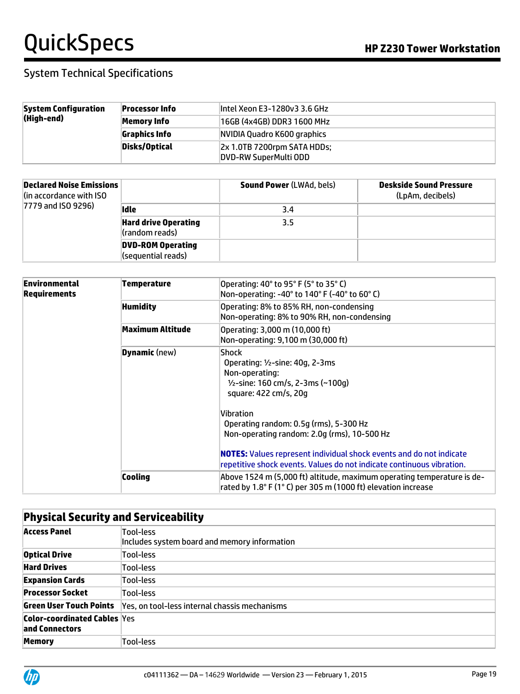| <b>System Configuration</b><br>(High-end) | <b>Processor Info</b> | lintel Xeon E3-1280v3 3.6 GHz                                             |
|-------------------------------------------|-----------------------|---------------------------------------------------------------------------|
|                                           | Memory Info           | 16GB (4x4GB) DDR3 1600 MHz                                                |
|                                           | <b>Graphics Info</b>  | NVIDIA Quadro K600 graphics                                               |
|                                           | Disks/Optical         | $\left 2x\right\rangle$ 1.0TB 7200rpm SATA HDDs;<br>DVD-RW SuperMulti ODD |

| Declared Noise Emissions<br>lin accordance with ISO<br>7779 and ISO 9296) |                                                       | <b>Sound Power (LWAd, bels)</b> | Deskside Sound Pressure<br>(LpAm, decibels) |
|---------------------------------------------------------------------------|-------------------------------------------------------|---------------------------------|---------------------------------------------|
|                                                                           | lidle                                                 | 3.4                             |                                             |
|                                                                           | <b>Hard drive Operating</b><br>$\vert$ (random reads) | 3.5                             |                                             |
|                                                                           | <b>DVD-ROM Operating</b><br>(sequential reads)        |                                 |                                             |

| Environmental<br>Requirements | Temperature          | Operating: 40° to 95° F (5° to 35° C)<br>Non-operating: -40° to 140° F (-40° to 60° C)                                                                                                                                                                                                                                                                                                                     |
|-------------------------------|----------------------|------------------------------------------------------------------------------------------------------------------------------------------------------------------------------------------------------------------------------------------------------------------------------------------------------------------------------------------------------------------------------------------------------------|
|                               | <b>Humidity</b>      | Operating: 8% to 85% RH, non-condensing<br>Non-operating: 8% to 90% RH, non-condensing                                                                                                                                                                                                                                                                                                                     |
|                               | Maximum Altitude     | Operating: 3,000 m (10,000 ft)<br>Non-operating: 9,100 m (30,000 ft)                                                                                                                                                                                                                                                                                                                                       |
|                               | <b>Dynamic</b> (new) | <b>Shock</b><br>Operating: $1/2$ -sine: 40g, 2-3ms<br>Non-operating:<br>$\frac{1}{2}$ -sine: 160 cm/s, 2-3ms (~100g)<br>square: 422 cm/s, 20g<br>Vibration<br>Operating random: 0.5g (rms), 5-300 Hz<br>Non-operating random: 2.0g (rms), 10-500 Hz<br><b>NOTES:</b> Values represent individual shock events and do not indicate<br>repetitive shock events. Values do not indicate continuous vibration. |
|                               | Cooling              | Above 1524 m (5,000 ft) altitude, maximum operating temperature is de-<br>rated by 1.8° F (1° C) per 305 m (1000 ft) elevation increase                                                                                                                                                                                                                                                                    |

|                                                       | <b>Physical Security and Serviceability</b>               |  |  |
|-------------------------------------------------------|-----------------------------------------------------------|--|--|
| <b>Access Panel</b>                                   | Tool-less<br>Includes system board and memory information |  |  |
| <b>Optical Drive</b>                                  | Tool-less                                                 |  |  |
| <b>Hard Drives</b>                                    | Tool-less                                                 |  |  |
| <b>Expansion Cards</b>                                | Tool-less                                                 |  |  |
| <b>Processor Socket</b>                               | Tool-less                                                 |  |  |
| Green User Touch Points                               | Yes, on tool-less internal chassis mechanisms             |  |  |
| <b>Color-coordinated Cables Yes</b><br>and Connectors |                                                           |  |  |
| <b>Memory</b>                                         | Tool-less                                                 |  |  |

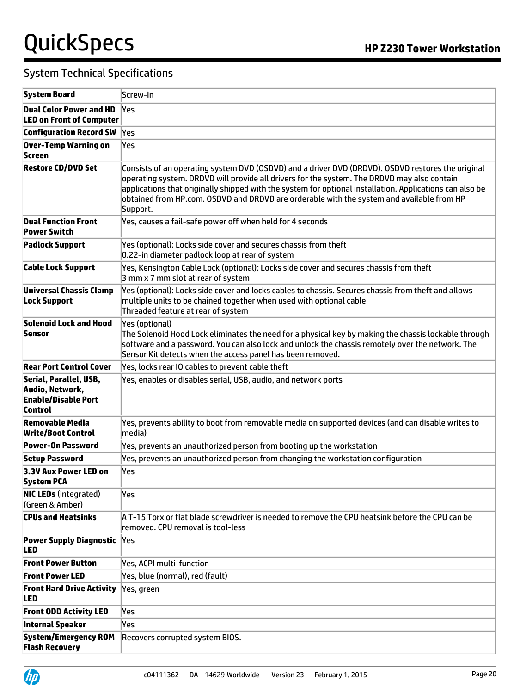| <b>System Board</b>                                                                | Screw-In                                                                                                                                                                                                                                                                                                                                                                                                              |
|------------------------------------------------------------------------------------|-----------------------------------------------------------------------------------------------------------------------------------------------------------------------------------------------------------------------------------------------------------------------------------------------------------------------------------------------------------------------------------------------------------------------|
| <b>Dual Color Power and HD</b><br><b>LED on Front of Computer</b>                  | <b>Yes</b>                                                                                                                                                                                                                                                                                                                                                                                                            |
| <b>Configuration Record SW</b>                                                     | Yes                                                                                                                                                                                                                                                                                                                                                                                                                   |
| Over-Temp Warning on<br>Screen                                                     | Yes                                                                                                                                                                                                                                                                                                                                                                                                                   |
| <b>Restore CD/DVD Set</b>                                                          | Consists of an operating system DVD (OSDVD) and a driver DVD (DRDVD). OSDVD restores the original<br>operating system. DRDVD will provide all drivers for the system. The DRDVD may also contain<br>applications that originally shipped with the system for optional installation. Applications can also be<br>obtained from HP.com. OSDVD and DRDVD are orderable with the system and available from HP<br>Support. |
| <b>Dual Function Front</b><br><b>Power Switch</b>                                  | Yes, causes a fail-safe power off when held for 4 seconds                                                                                                                                                                                                                                                                                                                                                             |
| <b>Padlock Support</b>                                                             | Yes (optional): Locks side cover and secures chassis from theft<br>0.22-in diameter padlock loop at rear of system                                                                                                                                                                                                                                                                                                    |
| <b>Cable Lock Support</b>                                                          | Yes, Kensington Cable Lock (optional): Locks side cover and secures chassis from theft<br>3 mm x 7 mm slot at rear of system                                                                                                                                                                                                                                                                                          |
| Universal Chassis Clamp<br><b>Lock Support</b>                                     | Yes (optional): Locks side cover and locks cables to chassis. Secures chassis from theft and allows<br>multiple units to be chained together when used with optional cable<br>Threaded feature at rear of system                                                                                                                                                                                                      |
| <b>Solenoid Lock and Hood</b><br>Sensor                                            | Yes (optional)<br>The Solenoid Hood Lock eliminates the need for a physical key by making the chassis lockable through<br>software and a password. You can also lock and unlock the chassis remotely over the network. The<br>Sensor Kit detects when the access panel has been removed.                                                                                                                              |
| <b>Rear Port Control Cover</b>                                                     | Yes, locks rear IO cables to prevent cable theft                                                                                                                                                                                                                                                                                                                                                                      |
| Serial, Parallel, USB,<br>Audio, Network,<br><b>Enable/Disable Port</b><br>Control | Yes, enables or disables serial, USB, audio, and network ports                                                                                                                                                                                                                                                                                                                                                        |
| Removable Media<br><b>Write/Boot Control</b>                                       | Yes, prevents ability to boot from removable media on supported devices (and can disable writes to<br>media)                                                                                                                                                                                                                                                                                                          |
| <b>Power-On Password</b>                                                           | Yes, prevents an unauthorized person from booting up the workstation                                                                                                                                                                                                                                                                                                                                                  |
| <b>Setup Password</b>                                                              | Yes, prevents an unauthorized person from changing the workstation configuration                                                                                                                                                                                                                                                                                                                                      |
| 3.3V Aux Power LED on<br><b>System PCA</b>                                         | lYes                                                                                                                                                                                                                                                                                                                                                                                                                  |
| <b>NIC LEDs</b> (integrated)<br>(Green & Amber)                                    | Yes                                                                                                                                                                                                                                                                                                                                                                                                                   |
| <b>CPUs and Heatsinks</b>                                                          | A T-15 Torx or flat blade screwdriver is needed to remove the CPU heatsink before the CPU can be<br>removed. CPU removal is tool-less                                                                                                                                                                                                                                                                                 |
| <b>Power Supply Diagnostic</b><br>LED                                              | Yes                                                                                                                                                                                                                                                                                                                                                                                                                   |
| <b>Front Power Button</b>                                                          | Yes, ACPI multi-function                                                                                                                                                                                                                                                                                                                                                                                              |
| <b>Front Power LED</b>                                                             | Yes, blue (normal), red (fault)                                                                                                                                                                                                                                                                                                                                                                                       |
| <b>Front Hard Drive Activity</b><br>LED                                            | Yes, green                                                                                                                                                                                                                                                                                                                                                                                                            |
| <b>Front ODD Activity LED</b>                                                      | Yes                                                                                                                                                                                                                                                                                                                                                                                                                   |
| <b>Internal Speaker</b>                                                            | Yes                                                                                                                                                                                                                                                                                                                                                                                                                   |
| <b>System/Emergency ROM</b><br><b>Flash Recovery</b>                               | Recovers corrupted system BIOS.                                                                                                                                                                                                                                                                                                                                                                                       |

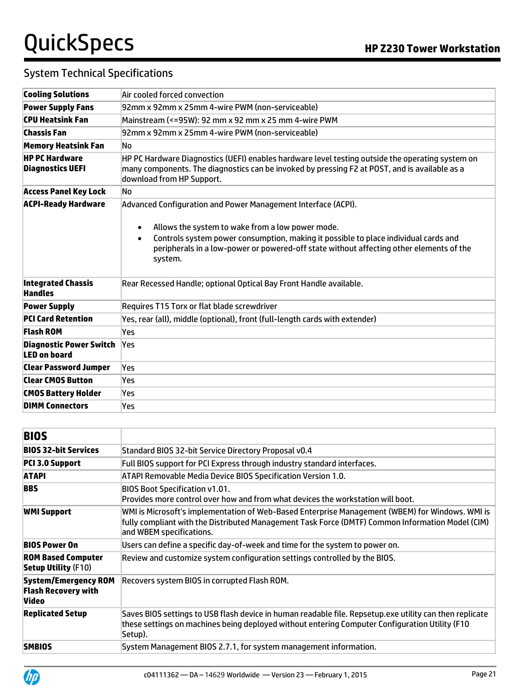| <b>Cooling Solutions</b>                              | Air cooled forced convection                                                                                                                                                                                                                                            |  |  |  |  |  |
|-------------------------------------------------------|-------------------------------------------------------------------------------------------------------------------------------------------------------------------------------------------------------------------------------------------------------------------------|--|--|--|--|--|
| <b>Power Supply Fans</b>                              | 92mm x 92mm x 25mm 4-wire PWM (non-serviceable)                                                                                                                                                                                                                         |  |  |  |  |  |
| <b>CPU Heatsink Fan</b>                               | Mainstream (<=95W): 92 mm x 92 mm x 25 mm 4-wire PWM                                                                                                                                                                                                                    |  |  |  |  |  |
| <b>Chassis Fan</b>                                    | 92mm x 92mm x 25mm 4-wire PWM (non-serviceable)                                                                                                                                                                                                                         |  |  |  |  |  |
| <b>Memory Heatsink Fan</b>                            | N٥                                                                                                                                                                                                                                                                      |  |  |  |  |  |
| <b>HP PC Hardware</b><br><b>Diagnostics UEFI</b>      | HP PC Hardware Diagnostics (UEFI) enables hardware level testing outside the operating system on<br>many components. The diagnostics can be invoked by pressing F2 at POST, and is available as a<br>download from HP Support.                                          |  |  |  |  |  |
| <b>Access Panel Key Lock</b>                          | No                                                                                                                                                                                                                                                                      |  |  |  |  |  |
| <b>ACPI-Ready Hardware</b>                            | Advanced Configuration and Power Management Interface (ACPI).                                                                                                                                                                                                           |  |  |  |  |  |
|                                                       | Allows the system to wake from a low power mode.<br>$\bullet$<br>Controls system power consumption, making it possible to place individual cards and<br>$\bullet$<br>peripherals in a low-power or powered-off state without affecting other elements of the<br>system. |  |  |  |  |  |
| <b>Integrated Chassis</b><br><b>Handles</b>           | Rear Recessed Handle; optional Optical Bay Front Handle available.                                                                                                                                                                                                      |  |  |  |  |  |
| <b>Power Supply</b>                                   | Requires T15 Torx or flat blade screwdriver                                                                                                                                                                                                                             |  |  |  |  |  |
| <b>PCI Card Retention</b>                             | Yes, rear (all), middle (optional), front (full-length cards with extender)                                                                                                                                                                                             |  |  |  |  |  |
| <b>Flash ROM</b>                                      | Yes                                                                                                                                                                                                                                                                     |  |  |  |  |  |
| <b>Diagnostic Power Switch</b><br><b>LED on board</b> | Yes                                                                                                                                                                                                                                                                     |  |  |  |  |  |
| <b>Clear Password Jumper</b>                          | Yes                                                                                                                                                                                                                                                                     |  |  |  |  |  |
| <b>Clear CMOS Button</b>                              | Yes                                                                                                                                                                                                                                                                     |  |  |  |  |  |
| <b>CMOS Battery Holder</b>                            | Yes                                                                                                                                                                                                                                                                     |  |  |  |  |  |
| <b>DIMM Connectors</b>                                | Yes                                                                                                                                                                                                                                                                     |  |  |  |  |  |

| <b>BIOS</b>                                                               |                                                                                                                                                                                                                                 |  |
|---------------------------------------------------------------------------|---------------------------------------------------------------------------------------------------------------------------------------------------------------------------------------------------------------------------------|--|
| <b>BIOS 32-bit Services</b>                                               | Standard BIOS 32-bit Service Directory Proposal v0.4                                                                                                                                                                            |  |
| PCI 3.0 Support                                                           | Full BIOS support for PCI Express through industry standard interfaces.                                                                                                                                                         |  |
| <b>ATAPI</b>                                                              | ATAPI Removable Media Device BIOS Specification Version 1.0.                                                                                                                                                                    |  |
| <b>BBS</b>                                                                | <b>BIOS Boot Specification v1.01.</b><br>Provides more control over how and from what devices the workstation will boot.                                                                                                        |  |
| <b>WMI Support</b>                                                        | WMI is Microsoft's implementation of Web-Based Enterprise Management (WBEM) for Windows. WMI is<br>fully compliant with the Distributed Management Task Force (DMTF) Common Information Model (CIM)<br>and WBEM specifications. |  |
| <b>BIOS Power On</b>                                                      | Users can define a specific day-of-week and time for the system to power on.                                                                                                                                                    |  |
| <b>ROM Based Computer</b><br><b>Setup Utility (F10)</b>                   | Review and customize system configuration settings controlled by the BIOS.                                                                                                                                                      |  |
| <b>System/Emergency ROM</b><br><b>Flash Recovery with</b><br><b>Video</b> | Recovers system BIOS in corrupted Flash ROM.                                                                                                                                                                                    |  |
| <b>Replicated Setup</b>                                                   | Saves BIOS settings to USB flash device in human readable file. Repsetup.exe utility can then replicate<br>these settings on machines being deployed without entering Computer Configuration Utility (F10)<br>Setup).           |  |
| <b>SMBIOS</b>                                                             | System Management BIOS 2.7.1, for system management information.                                                                                                                                                                |  |

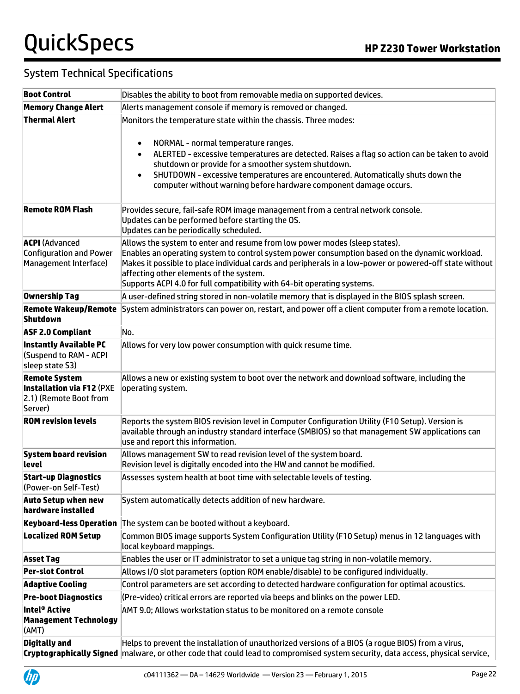| <b>Boot Control</b>                                                                           | Disables the ability to boot from removable media on supported devices.                                                                                                                                                                                                                                                                                                                                       |  |  |
|-----------------------------------------------------------------------------------------------|---------------------------------------------------------------------------------------------------------------------------------------------------------------------------------------------------------------------------------------------------------------------------------------------------------------------------------------------------------------------------------------------------------------|--|--|
| <b>Memory Change Alert</b>                                                                    | Alerts management console if memory is removed or changed.                                                                                                                                                                                                                                                                                                                                                    |  |  |
| <b>Thermal Alert</b>                                                                          | Monitors the temperature state within the chassis. Three modes:                                                                                                                                                                                                                                                                                                                                               |  |  |
|                                                                                               | NORMAL - normal temperature ranges.<br>$\bullet$<br>ALERTED - excessive temperatures are detected. Raises a flag so action can be taken to avoid<br>$\bullet$<br>shutdown or provide for a smoother system shutdown.<br>SHUTDOWN - excessive temperatures are encountered. Automatically shuts down the<br>$\bullet$<br>computer without warning before hardware component damage occurs.                     |  |  |
| <b>Remote ROM Flash</b>                                                                       | Provides secure, fail-safe ROM image management from a central network console.<br>Updates can be performed before starting the OS.<br>Updates can be periodically scheduled.                                                                                                                                                                                                                                 |  |  |
| <b>ACPI</b> (Advanced<br><b>Configuration and Power</b><br>Management Interface)              | Allows the system to enter and resume from low power modes (sleep states).<br>Enables an operating system to control system power consumption based on the dynamic workload.<br>Makes it possible to place individual cards and peripherals in a low-power or powered-off state without<br>affecting other elements of the system.<br>Supports ACPI 4.0 for full compatibility with 64-bit operating systems. |  |  |
| Ownership Tag                                                                                 | A user-defined string stored in non-volatile memory that is displayed in the BIOS splash screen.                                                                                                                                                                                                                                                                                                              |  |  |
| <b>Remote Wakeup/Remote</b><br><b>Shutdown</b>                                                | System administrators can power on, restart, and power off a client computer from a remote location.                                                                                                                                                                                                                                                                                                          |  |  |
| <b>ASF 2.0 Compliant</b>                                                                      | No.                                                                                                                                                                                                                                                                                                                                                                                                           |  |  |
| <b>Instantly Available PC</b><br>(Suspend to RAM - ACPI<br>sleep state S3)                    | Allows for very low power consumption with quick resume time.                                                                                                                                                                                                                                                                                                                                                 |  |  |
| <b>Remote System</b><br><b>Installation via F12 (PXE</b><br>2.1) (Remote Boot from<br>Server) | Allows a new or existing system to boot over the network and download software, including the<br>operating system.                                                                                                                                                                                                                                                                                            |  |  |
| <b>ROM revision levels</b>                                                                    | Reports the system BIOS revision level in Computer Configuration Utility (F10 Setup). Version is<br>available through an industry standard interface (SMBIOS) so that management SW applications can<br>use and report this information.                                                                                                                                                                      |  |  |
| <b>System board revision</b><br>level                                                         | Allows management SW to read revision level of the system board.<br>Revision level is digitally encoded into the HW and cannot be modified.                                                                                                                                                                                                                                                                   |  |  |
| <b>Start-up Diagnostics</b><br>(Power-on Self-Test)                                           | Assesses system health at boot time with selectable levels of testing.                                                                                                                                                                                                                                                                                                                                        |  |  |
| Auto Setup when new<br>hardware installed                                                     | System automatically detects addition of new hardware.                                                                                                                                                                                                                                                                                                                                                        |  |  |
| <b>Keyboard-less Operation</b>                                                                | The system can be booted without a keyboard.                                                                                                                                                                                                                                                                                                                                                                  |  |  |
| <b>Localized ROM Setup</b>                                                                    | Common BIOS image supports System Configuration Utility (F10 Setup) menus in 12 languages with<br>local keyboard mappings.                                                                                                                                                                                                                                                                                    |  |  |
| <b>Asset Tag</b>                                                                              | Enables the user or IT administrator to set a unique tag string in non-volatile memory.                                                                                                                                                                                                                                                                                                                       |  |  |
| <b>Per-slot Control</b>                                                                       | Allows I/O slot parameters (option ROM enable/disable) to be configured individually.                                                                                                                                                                                                                                                                                                                         |  |  |
| <b>Adaptive Cooling</b>                                                                       | Control parameters are set according to detected hardware configuration for optimal acoustics.                                                                                                                                                                                                                                                                                                                |  |  |
| <b>Pre-boot Diagnostics</b>                                                                   | (Pre-video) critical errors are reported via beeps and blinks on the power LED.                                                                                                                                                                                                                                                                                                                               |  |  |
| Intel® Active<br><b>Management Technology</b><br>(AMT)                                        | AMT 9.0; Allows workstation status to be monitored on a remote console                                                                                                                                                                                                                                                                                                                                        |  |  |
| <b>Digitally and</b>                                                                          | Helps to prevent the installation of unauthorized versions of a BIOS (a rogue BIOS) from a virus,<br>Cryptographically Signed malware, or other code that could lead to compromised system security, data access, physical service,                                                                                                                                                                           |  |  |

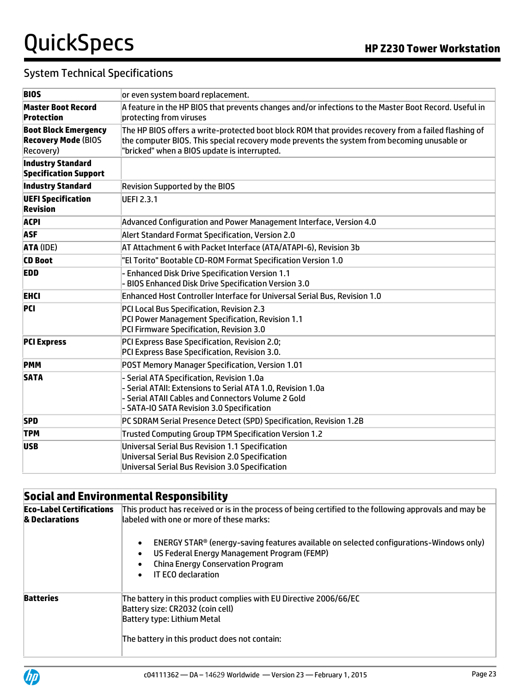### System Technical Specifications

| <b>BIOS</b>                                                            | or even system board replacement.                                                                                                                                                                                                                   |  |  |
|------------------------------------------------------------------------|-----------------------------------------------------------------------------------------------------------------------------------------------------------------------------------------------------------------------------------------------------|--|--|
| <b>Master Boot Record</b><br><b>Protection</b>                         | A feature in the HP BIOS that prevents changes and/or infections to the Master Boot Record. Useful in<br>protecting from viruses                                                                                                                    |  |  |
| <b>Boot Block Emergency</b><br><b>Recovery Mode (BIOS</b><br>Recovery) | The HP BIOS offers a write-protected boot block ROM that provides recovery from a failed flashing of<br>the computer BIOS. This special recovery mode prevents the system from becoming unusable or<br>"bricked" when a BIOS update is interrupted. |  |  |
| <b>Industry Standard</b><br><b>Specification Support</b>               |                                                                                                                                                                                                                                                     |  |  |
| <b>Industry Standard</b>                                               | <b>Revision Supported by the BIOS</b>                                                                                                                                                                                                               |  |  |
| <b>UEFI Specification</b><br><b>Revision</b>                           | <b>UEFI 2.3.1</b>                                                                                                                                                                                                                                   |  |  |
| <b>ACPI</b>                                                            | Advanced Configuration and Power Management Interface, Version 4.0                                                                                                                                                                                  |  |  |
| ASF                                                                    | Alert Standard Format Specification, Version 2.0                                                                                                                                                                                                    |  |  |
| <b>ATA (IDE)</b>                                                       | AT Attachment 6 with Packet Interface (ATA/ATAPI-6), Revision 3b                                                                                                                                                                                    |  |  |
| <b>CD Boot</b>                                                         | "El Torito" Bootable CD-ROM Format Specification Version 1.0                                                                                                                                                                                        |  |  |
| <b>EDD</b>                                                             | - Enhanced Disk Drive Specification Version 1.1<br>- BIOS Enhanced Disk Drive Specification Version 3.0                                                                                                                                             |  |  |
| <b>EHCI</b>                                                            | Enhanced Host Controller Interface for Universal Serial Bus, Revision 1.0                                                                                                                                                                           |  |  |
| PCI                                                                    | PCI Local Bus Specification, Revision 2.3<br>PCI Power Management Specification, Revision 1.1<br>PCI Firmware Specification, Revision 3.0                                                                                                           |  |  |
| <b>PCI Express</b>                                                     | PCI Express Base Specification, Revision 2.0;<br>PCI Express Base Specification, Revision 3.0.                                                                                                                                                      |  |  |
| PMM                                                                    | POST Memory Manager Specification, Version 1.01                                                                                                                                                                                                     |  |  |
| <b>SATA</b>                                                            | - Serial ATA Specification, Revision 1.0a<br>- Serial ATAII: Extensions to Serial ATA 1.0, Revision 1.0a<br>- Serial ATAII Cables and Connectors Volume 2 Gold<br>- SATA-IO SATA Revision 3.0 Specification                                         |  |  |
| <b>SPD</b>                                                             | PC SDRAM Serial Presence Detect (SPD) Specification, Revision 1.2B                                                                                                                                                                                  |  |  |
| <b>TPM</b>                                                             | Trusted Computing Group TPM Specification Version 1.2                                                                                                                                                                                               |  |  |
| <b>USB</b>                                                             | Universal Serial Bus Revision 1.1 Specification<br>Universal Serial Bus Revision 2.0 Specification<br>Universal Serial Bus Revision 3.0 Specification                                                                                               |  |  |

# **Social and Environmental Responsibility**

| <b>Eco-Label Certifications</b><br>& Declarations | This product has received or is in the process of being certified to the following approvals and may be<br>labeled with one or more of these marks:                                                                                                                 |  |  |
|---------------------------------------------------|---------------------------------------------------------------------------------------------------------------------------------------------------------------------------------------------------------------------------------------------------------------------|--|--|
|                                                   | ENERGY STAR® (energy-saving features available on selected configurations-Windows only)<br>$\bullet$<br>US Federal Energy Management Program (FEMP)<br>$\bullet$<br><b>China Energy Conservation Program</b><br>$\bullet$<br><b>IT ECO declaration</b><br>$\bullet$ |  |  |
| <b>Batteries</b>                                  | The battery in this product complies with EU Directive 2006/66/EC<br>Battery size: CR2032 (coin cell)<br>Battery type: Lithium Metal<br>The battery in this product does not contain:                                                                               |  |  |

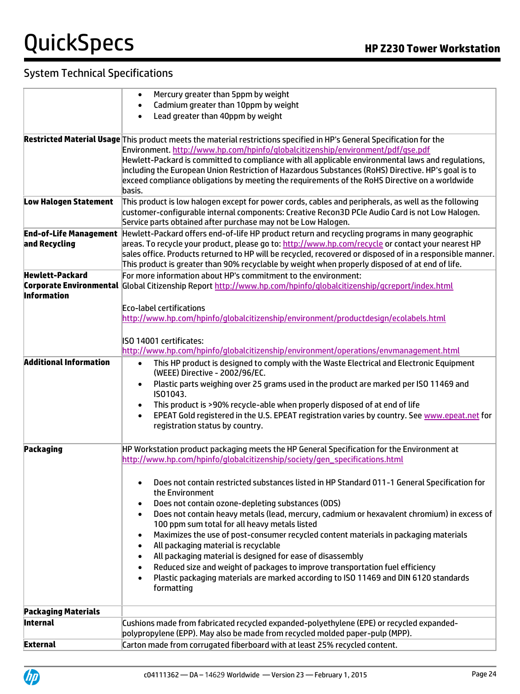|                                               | Mercury greater than 5ppm by weight<br>$\bullet$                                                                                                                 |
|-----------------------------------------------|------------------------------------------------------------------------------------------------------------------------------------------------------------------|
|                                               | Cadmium greater than 10ppm by weight                                                                                                                             |
|                                               | Lead greater than 40ppm by weight                                                                                                                                |
|                                               | Restricted Material Usage This product meets the material restrictions specified in HP's General Specification for the                                           |
|                                               | Environment. http://www.hp.com/hpinfo/globalcitizenship/environment/pdf/gse.pdf                                                                                  |
|                                               | Hewlett-Packard is committed to compliance with all applicable environmental laws and regulations,                                                               |
|                                               | including the European Union Restriction of Hazardous Substances (RoHS) Directive. HP's goal is to                                                               |
|                                               | exceed compliance obligations by meeting the requirements of the RoHS Directive on a worldwide                                                                   |
|                                               | basis.                                                                                                                                                           |
| <b>Low Halogen Statement</b>                  | This product is low halogen except for power cords, cables and peripherals, as well as the following                                                             |
|                                               | customer-configurable internal components: Creative Recon3D PCIe Audio Card is not Low Halogen.<br>Service parts obtained after purchase may not be Low Halogen. |
| <b>End-of-Life Management</b>                 | Hewlett-Packard offers end-of-life HP product return and recycling programs in many geographic                                                                   |
| and Recycling                                 | areas. To recycle your product, please go to: http://www.hp.com/recycle or contact your nearest HP                                                               |
|                                               | sales office. Products returned to HP will be recycled, recovered or disposed of in a responsible manner.                                                        |
|                                               | This product is greater than 90% recyclable by weight when properly disposed of at end of life.                                                                  |
| <b>Hewlett-Packard</b>                        | For more information about HP's commitment to the environment:                                                                                                   |
|                                               | Corporate Environmental Global Citizenship Report http://www.hp.com/hpinfo/globalcitizenship/gcreport/index.html                                                 |
| <b>Information</b>                            |                                                                                                                                                                  |
|                                               | Eco-label certifications<br>http://www.hp.com/hpinfo/globalcitizenship/environment/productdesign/ecolabels.html                                                  |
|                                               |                                                                                                                                                                  |
|                                               | ISO 14001 certificates:                                                                                                                                          |
|                                               | http://www.hp.com/hpinfo/globalcitizenship/environment/operations/envmanagement.html                                                                             |
| <b>Additional Information</b>                 | This HP product is designed to comply with the Waste Electrical and Electronic Equipment<br>$\bullet$                                                            |
|                                               | (WEEE) Directive - 2002/96/EC.                                                                                                                                   |
|                                               | Plastic parts weighing over 25 grams used in the product are marked per ISO 11469 and<br>$\bullet$                                                               |
|                                               | IS01043.                                                                                                                                                         |
|                                               | This product is >90% recycle-able when properly disposed of at end of life<br>$\bullet$                                                                          |
|                                               | EPEAT Gold registered in the U.S. EPEAT registration varies by country. See www.epeat.net for<br>$\bullet$<br>registration status by country.                    |
|                                               |                                                                                                                                                                  |
| Packaging                                     | HP Workstation product packaging meets the HP General Specification for the Environment at                                                                       |
|                                               | http://www.hp.com/hpinfo/globalcitizenship/society/gen_specifications.html                                                                                       |
|                                               |                                                                                                                                                                  |
|                                               | Does not contain restricted substances listed in HP Standard 011-1 General Specification for                                                                     |
|                                               | the Environment                                                                                                                                                  |
|                                               | Does not contain ozone-depleting substances (ODS)<br>$\bullet$                                                                                                   |
|                                               | Does not contain heavy metals (lead, mercury, cadmium or hexavalent chromium) in excess of<br>$\bullet$<br>100 ppm sum total for all heavy metals listed         |
|                                               | Maximizes the use of post-consumer recycled content materials in packaging materials<br>$\bullet$                                                                |
|                                               | All packaging material is recyclable<br>$\bullet$                                                                                                                |
|                                               | All packaging material is designed for ease of disassembly<br>$\bullet$                                                                                          |
|                                               | Reduced size and weight of packages to improve transportation fuel efficiency<br>$\bullet$                                                                       |
|                                               | Plastic packaging materials are marked according to ISO 11469 and DIN 6120 standards<br>$\bullet$                                                                |
|                                               | formatting                                                                                                                                                       |
|                                               |                                                                                                                                                                  |
| <b>Packaging Materials</b><br><b>Internal</b> | Cushions made from fabricated recycled expanded-polyethylene (EPE) or recycled expanded-                                                                         |
|                                               | polypropylene (EPP). May also be made from recycled molded paper-pulp (MPP).                                                                                     |
| <b>External</b>                               | Carton made from corrugated fiberboard with at least 25% recycled content.                                                                                       |
|                                               |                                                                                                                                                                  |

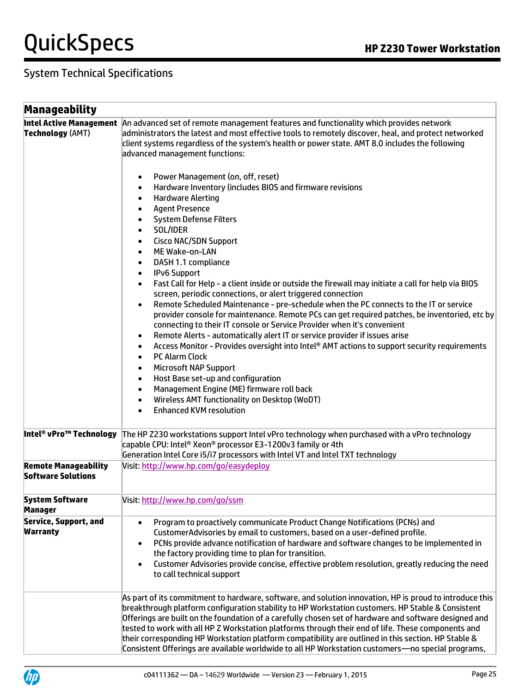| Manageability                                            |                                                                                                                                                                                                                                                                                                                                                                                                                                                                                                                                                                                                                                                                                                                                                                                                                                                                                                                                                                                                             |
|----------------------------------------------------------|-------------------------------------------------------------------------------------------------------------------------------------------------------------------------------------------------------------------------------------------------------------------------------------------------------------------------------------------------------------------------------------------------------------------------------------------------------------------------------------------------------------------------------------------------------------------------------------------------------------------------------------------------------------------------------------------------------------------------------------------------------------------------------------------------------------------------------------------------------------------------------------------------------------------------------------------------------------------------------------------------------------|
| <b>Technology (AMT)</b>                                  | Intel Active Management An advanced set of remote management features and functionality which provides network<br>administrators the latest and most effective tools to remotely discover, heal, and protect networked<br>client systems regardless of the system's health or power state. AMT 8.0 includes the following<br>advanced management functions:<br>Power Management (on, off, reset)<br>Hardware Inventory (includes BIOS and firmware revisions<br>$\bullet$<br><b>Hardware Alerting</b><br>$\bullet$<br><b>Agent Presence</b><br>$\bullet$<br><b>System Defense Filters</b><br>$\bullet$<br>SOL/IDER<br>$\bullet$<br><b>Cisco NAC/SDN Support</b><br>$\bullet$<br>ME Wake-on-LAN<br>$\bullet$<br>DASH 1.1 compliance<br>$\bullet$                                                                                                                                                                                                                                                             |
|                                                          | <b>IPv6 Support</b><br>$\bullet$<br>Fast Call for Help - a client inside or outside the firewall may initiate a call for help via BIOS<br>$\bullet$<br>screen, periodic connections, or alert triggered connection<br>Remote Scheduled Maintenance - pre-schedule when the PC connects to the IT or service<br>$\bullet$<br>provider console for maintenance. Remote PCs can get required patches, be inventoried, etc by<br>connecting to their IT console or Service Provider when it's convenient<br>Remote Alerts - automatically alert IT or service provider if issues arise<br>Access Monitor - Provides oversight into Intel® AMT actions to support security requirements<br>$\bullet$<br><b>PC Alarm Clock</b><br>$\bullet$<br><b>Microsoft NAP Support</b><br>$\bullet$<br>Host Base set-up and configuration<br>$\bullet$<br>Management Engine (ME) firmware roll back<br>$\bullet$<br>Wireless AMT functionality on Desktop (WoDT)<br>$\bullet$<br><b>Enhanced KVM resolution</b><br>$\bullet$ |
| Intel® vPro™ Technology                                  | The HP Z230 workstations support Intel vPro technology when purchased with a vPro technology<br>capable CPU: Intel® Xeon® processor E3-1200v3 family or 4th<br>Generation Intel Core i5/i7 processors with Intel VT and Intel TXT technology                                                                                                                                                                                                                                                                                                                                                                                                                                                                                                                                                                                                                                                                                                                                                                |
| <b>Remote Manageability</b><br><b>Software Solutions</b> | Visit: http://www.hp.com/go/easydeploy                                                                                                                                                                                                                                                                                                                                                                                                                                                                                                                                                                                                                                                                                                                                                                                                                                                                                                                                                                      |
| <b>System Software</b><br><b>Manager</b>                 | Visit: http://www.hp.com/go/ssm                                                                                                                                                                                                                                                                                                                                                                                                                                                                                                                                                                                                                                                                                                                                                                                                                                                                                                                                                                             |
| <b>Service, Support, and</b><br><b>Warranty</b>          | Program to proactively communicate Product Change Notifications (PCNs) and<br>$\bullet$<br>CustomerAdvisories by email to customers, based on a user-defined profile.<br>PCNs provide advance notification of hardware and software changes to be implemented in<br>$\bullet$<br>the factory providing time to plan for transition.<br>Customer Advisories provide concise, effective problem resolution, greatly reducing the need<br>$\bullet$<br>to call technical support                                                                                                                                                                                                                                                                                                                                                                                                                                                                                                                               |
|                                                          | As part of its commitment to hardware, software, and solution innovation, HP is proud to introduce this<br>breakthrough platform configuration stability to HP Workstation customers. HP Stable & Consistent<br>Offerings are built on the foundation of a carefully chosen set of hardware and software designed and<br>tested to work with all HP Z Workstation platforms through their end of life. These components and<br>their corresponding HP Workstation platform compatibility are outlined in this section. HP Stable &<br>Consistent Offerings are available worldwide to all HP Workstation customers- no special programs,                                                                                                                                                                                                                                                                                                                                                                    |

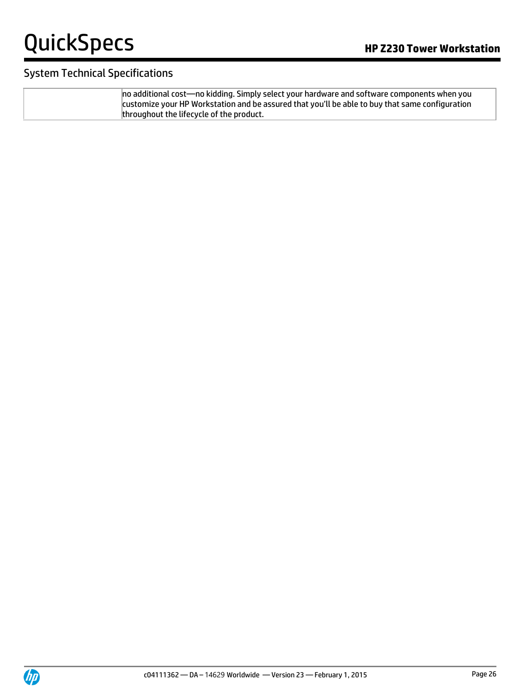#### System Technical Specifications

no additional cost—no kidding. Simply select your hardware and software components when you customize your HP Workstation and be assured that you'll be able to buy that same configuration throughout the lifecycle of the product.

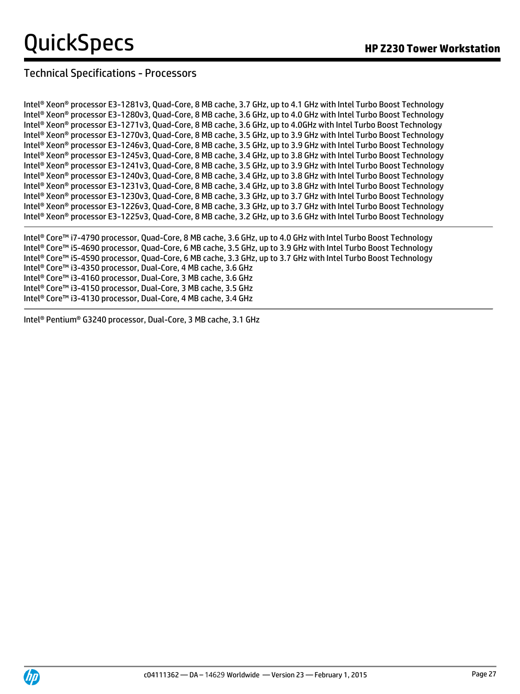### Technical Specifications - Processors

Intel® Xeon® processor E3-1281v3, Quad-Core, 8 MB cache, 3.7 GHz, up to 4.1 GHz with Intel Turbo Boost Technology Intel® Xeon® processor E3-1280v3, Quad-Core, 8 MB cache, 3.6 GHz, up to 4.0 GHz with Intel Turbo Boost Technology Intel® Xeon® processor E3-1271v3, Quad-Core, 8 MB cache, 3.6 GHz, up to 4.0GHz with Intel Turbo Boost Technology Intel® Xeon® processor E3-1270v3, Quad-Core, 8 MB cache, 3.5 GHz, up to 3.9 GHz with Intel Turbo Boost Technology Intel® Xeon® processor E3-1246v3, Quad-Core, 8 MB cache, 3.5 GHz, up to 3.9 GHz with Intel Turbo Boost Technology Intel® Xeon® processor E3-1245v3, Quad-Core, 8 MB cache, 3.4 GHz, up to 3.8 GHz with Intel Turbo Boost Technology Intel® Xeon® processor E3-1241v3, Quad-Core, 8 MB cache, 3.5 GHz, up to 3.9 GHz with Intel Turbo Boost Technology Intel® Xeon® processor E3-1240v3, Quad-Core, 8 MB cache, 3.4 GHz, up to 3.8 GHz with Intel Turbo Boost Technology Intel® Xeon® processor E3-1231v3, Quad-Core, 8 MB cache, 3.4 GHz, up to 3.8 GHz with Intel Turbo Boost Technology Intel® Xeon® processor E3-1230v3, Quad-Core, 8 MB cache, 3.3 GHz, up to 3.7 GHz with Intel Turbo Boost Technology Intel® Xeon® processor E3-1226v3, Quad-Core, 8 MB cache, 3.3 GHz, up to 3.7 GHz with Intel Turbo Boost Technology Intel® Xeon® processor E3-1225v3, Quad-Core, 8 MB cache, 3.2 GHz, up to 3.6 GHz with Intel Turbo Boost Technology

Intel® Core™ i7-4790 processor, Quad-Core, 8 MB cache, 3.6 GHz, up to 4.0 GHz with Intel Turbo Boost Technology Intel® Core™ i5-4690 processor, Quad-Core, 6 MB cache, 3.5 GHz, up to 3.9 GHz with Intel Turbo Boost Technology Intel® Core™ i5-4590 processor, Quad-Core, 6 MB cache, 3.3 GHz, up to 3.7 GHz with Intel Turbo Boost Technology Intel® Core™ i3-4350 processor, Dual-Core, 4 MB cache, 3.6 GHz Intel® Core™ i3-4160 processor, Dual-Core, 3 MB cache, 3.6 GHz Intel® Core™ i3-4150 processor, Dual-Core, 3 MB cache, 3.5 GHz Intel® Core™ i3-4130 processor, Dual-Core, 4 MB cache, 3.4 GHz

Intel® Pentium® G3240 processor, Dual-Core, 3 MB cache, 3.1 GHz

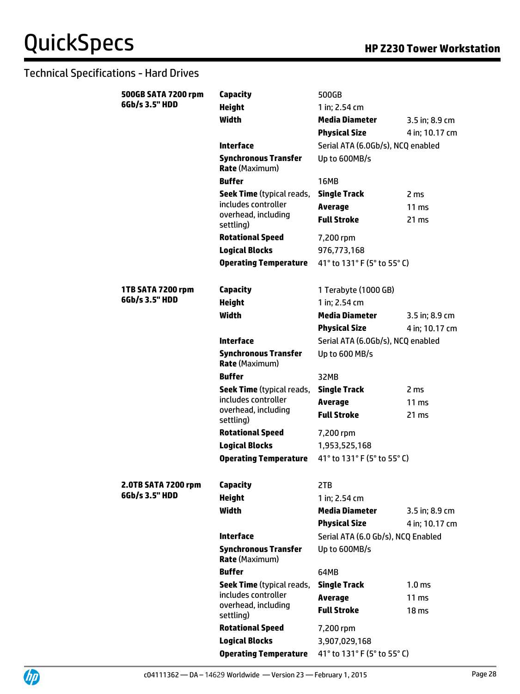### Technical Specifications - Hard Drives

| 500GB SATA 7200 rpm | Capacity                                             | 500GB                                 |                         |
|---------------------|------------------------------------------------------|---------------------------------------|-------------------------|
| 6Gb/s 3.5" HDD      | <b>Height</b>                                        | 1 in; 2.54 cm                         |                         |
|                     | Width                                                | <b>Media Diameter</b>                 | 3.5 in; 8.9 cm          |
|                     |                                                      | <b>Physical Size</b>                  | 4 in; 10.17 cm          |
|                     | <b>Interface</b>                                     | Serial ATA (6.0Gb/s), NCQ enabled     |                         |
|                     | <b>Synchronous Transfer</b><br><b>Rate (Maximum)</b> | Up to 600MB/s                         |                         |
|                     | <b>Buffer</b>                                        | <b>16MB</b>                           |                         |
|                     | Seek Time (typical reads,<br>includes controller     | <b>Single Track</b><br><b>Average</b> | 2 ms<br>$11 \text{ ms}$ |
|                     | overhead, including<br>settling)                     | <b>Full Stroke</b>                    | 21 ms                   |
|                     | <b>Rotational Speed</b>                              | 7,200 rpm                             |                         |
|                     | <b>Logical Blocks</b>                                | 976,773,168                           |                         |
|                     | <b>Operating Temperature</b>                         | 41° to 131° F (5° to 55° C)           |                         |
|                     |                                                      |                                       |                         |
| 1TB SATA 7200 rpm   | <b>Capacity</b>                                      | 1 Terabyte (1000 GB)                  |                         |
| 6Gb/s 3.5" HDD      | <b>Height</b>                                        | 1 in; 2.54 cm                         |                         |
|                     | <b>Width</b>                                         | <b>Media Diameter</b>                 | 3.5 in; 8.9 cm          |
|                     |                                                      | <b>Physical Size</b>                  | 4 in; 10.17 cm          |
|                     | <b>Interface</b>                                     | Serial ATA (6.0Gb/s), NCQ enabled     |                         |
|                     | <b>Synchronous Transfer</b><br><b>Rate (Maximum)</b> | Up to 600 MB/s                        |                         |
|                     | <b>Buffer</b>                                        | 32MB                                  |                         |
|                     | <b>Seek Time</b> (typical reads,                     | <b>Single Track</b>                   | 2 ms                    |
|                     | includes controller<br>overhead, including           | <b>Average</b>                        | 11 <sub>ms</sub>        |
|                     | settling)                                            | <b>Full Stroke</b>                    | 21 ms                   |
|                     | <b>Rotational Speed</b>                              | 7,200 rpm                             |                         |
|                     | <b>Logical Blocks</b>                                | 1,953,525,168                         |                         |
|                     | <b>Operating Temperature</b>                         | 41° to 131° F (5° to 55° C)           |                         |
|                     |                                                      |                                       |                         |
| 2.0TB SATA 7200 rpm | Capacity                                             | 2TB                                   |                         |
| 6Gb/s 3.5" HDD      | <b>Height</b>                                        | 1 in; 2.54 cm                         |                         |
|                     | Width                                                | <b>Media Diameter</b>                 | 3.5 in; 8.9 cm          |
|                     |                                                      | <b>Physical Size</b>                  | 4 in: 10.17 cm          |
|                     | <b>Interface</b>                                     | Serial ATA (6.0 Gb/s), NCQ Enabled    |                         |
|                     | <b>Synchronous Transfer</b><br><b>Rate (Maximum)</b> | Up to 600MB/s                         |                         |
|                     | <b>Buffer</b>                                        | 64MB                                  |                         |
|                     | <b>Seek Time</b> (typical reads,                     | <b>Single Track</b>                   | 1.0 <sub>ms</sub>       |
|                     | includes controller                                  | <b>Average</b>                        | 11 <sub>ms</sub>        |
|                     | overhead, including<br>settling)                     | <b>Full Stroke</b>                    | 18 <sub>ms</sub>        |
|                     | <b>Rotational Speed</b>                              | 7,200 rpm                             |                         |
|                     | <b>Logical Blocks</b>                                | 3,907,029,168                         |                         |
|                     | <b>Operating Temperature</b>                         | 41° to 131° F (5° to 55° C)           |                         |

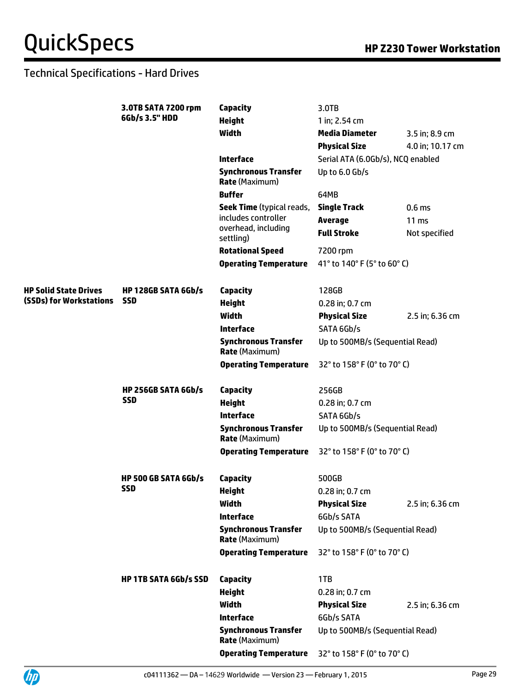### Technical Specifications - Hard Drives

|                         | 3.0TB SATA 7200 rpm<br>6Gb/s 3.5" HDD    | Capacity                                             | 3.0TB                             |                   |
|-------------------------|------------------------------------------|------------------------------------------------------|-----------------------------------|-------------------|
|                         |                                          | <b>Height</b>                                        | 1 in; 2.54 cm                     |                   |
|                         |                                          | <b>Width</b>                                         | <b>Media Diameter</b>             | 3.5 in; 8.9 cm    |
|                         |                                          |                                                      | <b>Physical Size</b>              | 4.0 in; 10.17 cm  |
|                         |                                          | <b>Interface</b>                                     | Serial ATA (6.0Gb/s), NCQ enabled |                   |
|                         |                                          | <b>Synchronous Transfer</b><br><b>Rate (Maximum)</b> | Up to 6.0 Gb/s                    |                   |
|                         |                                          | <b>Buffer</b>                                        | 64MB                              |                   |
|                         |                                          | <b>Seek Time</b> (typical reads,                     | <b>Single Track</b>               | 0.6 <sub>ms</sub> |
|                         |                                          | includes controller<br>overhead, including           | <b>Average</b>                    | 11 <sub>ms</sub>  |
|                         |                                          | settling)                                            | <b>Full Stroke</b>                | Not specified     |
|                         |                                          | <b>Rotational Speed</b>                              | 7200 rpm                          |                   |
|                         |                                          | <b>Operating Temperature</b>                         | 41° to 140° F (5° to 60° C)       |                   |
| HP Solid State Drives   | <b>HP 128GB SATA 6Gb/s</b>               | <b>Capacity</b>                                      | 128GB                             |                   |
| (SSDs) for Workstations | <b>SSD</b>                               | <b>Height</b>                                        | 0.28 in; 0.7 cm                   |                   |
|                         |                                          | <b>Width</b>                                         | <b>Physical Size</b>              | 2.5 in; 6.36 cm   |
|                         |                                          | <b>Interface</b>                                     | SATA 6Gb/s                        |                   |
|                         |                                          | <b>Synchronous Transfer</b><br><b>Rate (Maximum)</b> | Up to 500MB/s (Sequential Read)   |                   |
|                         |                                          | <b>Operating Temperature</b>                         | 32° to 158° F (0° to 70° C)       |                   |
|                         | <b>HP 256GB SATA 6Gb/s</b><br><b>SSD</b> | Capacity                                             | 256GB                             |                   |
|                         |                                          | <b>Height</b>                                        | 0.28 in; 0.7 cm                   |                   |
|                         |                                          | <b>Interface</b>                                     | SATA 6Gb/s                        |                   |
|                         |                                          | <b>Synchronous Transfer</b><br><b>Rate (Maximum)</b> | Up to 500MB/s (Sequential Read)   |                   |
|                         |                                          | <b>Operating Temperature</b>                         | 32° to 158° F (0° to 70° C)       |                   |
|                         | <b>HP 500 GB SATA 6Gb/s</b>              | Capacity                                             | 500GB                             |                   |
|                         | <b>SSD</b>                               | <b>Height</b>                                        | 0.28 in; 0.7 cm                   |                   |
|                         |                                          | Width                                                | <b>Physical Size</b>              | 2.5 in; 6.36 cm   |
|                         |                                          | <b>Interface</b>                                     | 6Gb/s SATA                        |                   |
|                         |                                          | <b>Synchronous Transfer</b><br><b>Rate (Maximum)</b> | Up to 500MB/s (Sequential Read)   |                   |
|                         |                                          | <b>Operating Temperature</b>                         | 32° to 158° F (0° to 70° C)       |                   |
|                         | <b>HP 1TB SATA 6Gb/s SSD</b>             | <b>Capacity</b>                                      | 1TB                               |                   |
|                         |                                          | <b>Height</b>                                        | 0.28 in; 0.7 cm                   |                   |
|                         |                                          | Width                                                | <b>Physical Size</b>              | 2.5 in; 6.36 cm   |
|                         |                                          | <b>Interface</b>                                     | 6Gb/s SATA                        |                   |
|                         |                                          | <b>Synchronous Transfer</b><br><b>Rate (Maximum)</b> | Up to 500MB/s (Sequential Read)   |                   |
|                         |                                          | <b>Operating Temperature</b>                         | 32° to 158° F (0° to 70° C)       |                   |
|                         |                                          |                                                      |                                   |                   |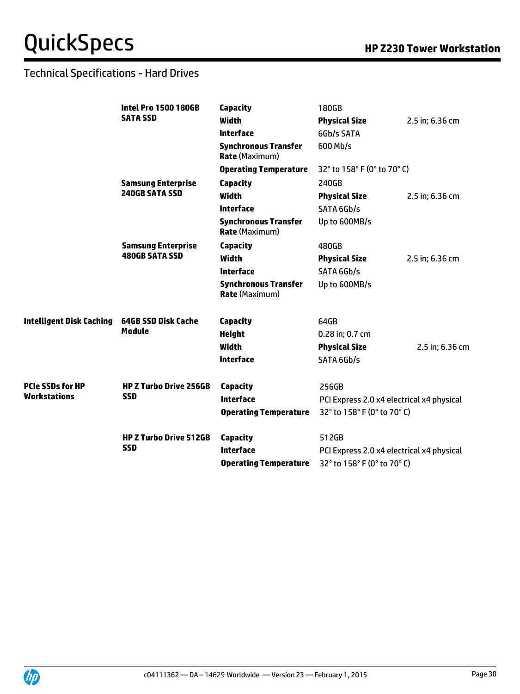### Technical Specifications - Hard Drives

|                                                | <b>Intel Pro 1500 180GB</b><br><b>SATA SSD</b> | <b>Capacity</b>                                      | 180GB                                     |                 |
|------------------------------------------------|------------------------------------------------|------------------------------------------------------|-------------------------------------------|-----------------|
|                                                |                                                | <b>Width</b>                                         | <b>Physical Size</b>                      | 2.5 in; 6.36 cm |
|                                                |                                                | <b>Interface</b>                                     | 6Gb/s SATA                                |                 |
|                                                |                                                | <b>Synchronous Transfer</b><br><b>Rate (Maximum)</b> | 600 Mb/s                                  |                 |
|                                                |                                                | <b>Operating Temperature</b>                         | 32° to 158° F (0° to 70° C)               |                 |
|                                                | <b>Samsung Enterprise</b>                      | Capacity                                             | 240GB                                     |                 |
|                                                | <b>240GB SATA SSD</b>                          | <b>Width</b>                                         | <b>Physical Size</b>                      | 2.5 in; 6.36 cm |
|                                                |                                                | <b>Interface</b>                                     | SATA 6Gb/s                                |                 |
|                                                |                                                | <b>Synchronous Transfer</b><br><b>Rate</b> (Maximum) | Up to 600MB/s                             |                 |
|                                                | <b>Samsung Enterprise</b>                      | Capacity                                             | 480GB                                     |                 |
|                                                | <b>480GB SATA SSD</b>                          | <b>Width</b>                                         | <b>Physical Size</b>                      | 2.5 in; 6.36 cm |
|                                                |                                                | <b>Interface</b>                                     | SATA 6Gb/s                                |                 |
|                                                |                                                | <b>Synchronous Transfer</b><br><b>Rate (Maximum)</b> | Up to 600MB/s                             |                 |
| <b>Intelligent Disk Caching</b>                | 64GB SSD Disk Cache<br><b>Module</b>           | Capacity                                             | 64GB                                      |                 |
|                                                |                                                | <b>Height</b>                                        | 0.28 in; 0.7 cm                           |                 |
|                                                |                                                | <b>Width</b>                                         | <b>Physical Size</b>                      | 2.5 in; 6.36 cm |
|                                                |                                                | <b>Interface</b>                                     | SATA 6Gb/s                                |                 |
| <b>PCIe SSDs for HP</b><br><b>Workstations</b> | <b>HP Z Turbo Drive 256GB</b><br><b>SSD</b>    | <b>Capacity</b>                                      | 256GB                                     |                 |
|                                                |                                                | <b>Interface</b>                                     | PCI Express 2.0 x4 electrical x4 physical |                 |
|                                                |                                                | <b>Operating Temperature</b>                         | 32° to 158° F (0° to 70° C)               |                 |
|                                                | <b>HP Z Turbo Drive 512GB</b><br><b>SSD</b>    | Capacity                                             | 512GB                                     |                 |
|                                                |                                                | <b>Interface</b>                                     | PCI Express 2.0 x4 electrical x4 physical |                 |
|                                                |                                                | <b>Operating Temperature</b>                         | 32° to 158° F (0° to 70° C)               |                 |

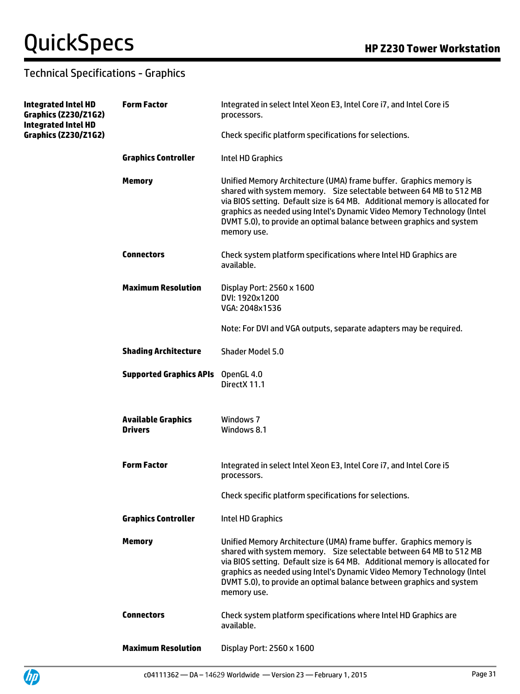Up

### Technical Specifications - Graphics

| <b>Integrated Intel HD</b><br><b>Graphics (Z230/Z1G2)</b><br><b>Integrated Intel HD</b><br><b>Graphics (Z230/Z1G2)</b> | <b>Form Factor</b>                          | Integrated in select Intel Xeon E3, Intel Core i7, and Intel Core i5<br>processors.                                                                                                                                                                                                                                                                                                       |
|------------------------------------------------------------------------------------------------------------------------|---------------------------------------------|-------------------------------------------------------------------------------------------------------------------------------------------------------------------------------------------------------------------------------------------------------------------------------------------------------------------------------------------------------------------------------------------|
|                                                                                                                        |                                             | Check specific platform specifications for selections.                                                                                                                                                                                                                                                                                                                                    |
|                                                                                                                        | <b>Graphics Controller</b>                  | Intel HD Graphics                                                                                                                                                                                                                                                                                                                                                                         |
|                                                                                                                        | <b>Memory</b>                               | Unified Memory Architecture (UMA) frame buffer. Graphics memory is<br>shared with system memory. Size selectable between 64 MB to 512 MB<br>via BIOS setting. Default size is 64 MB. Additional memory is allocated for<br>graphics as needed using Intel's Dynamic Video Memory Technology (Intel<br>DVMT 5.0), to provide an optimal balance between graphics and system<br>memory use. |
|                                                                                                                        | <b>Connectors</b>                           | Check system platform specifications where Intel HD Graphics are<br>available.                                                                                                                                                                                                                                                                                                            |
|                                                                                                                        | <b>Maximum Resolution</b>                   | Display Port: 2560 x 1600<br>DVI: 1920x1200<br>VGA: 2048x1536                                                                                                                                                                                                                                                                                                                             |
|                                                                                                                        |                                             | Note: For DVI and VGA outputs, separate adapters may be required.                                                                                                                                                                                                                                                                                                                         |
|                                                                                                                        | <b>Shading Architecture</b>                 | <b>Shader Model 5.0</b>                                                                                                                                                                                                                                                                                                                                                                   |
|                                                                                                                        | <b>Supported Graphics APIs</b>              | OpenGL 4.0<br>DirectX 11.1                                                                                                                                                                                                                                                                                                                                                                |
|                                                                                                                        | <b>Available Graphics</b><br><b>Drivers</b> | Windows 7<br>Windows 8.1                                                                                                                                                                                                                                                                                                                                                                  |
|                                                                                                                        | <b>Form Factor</b>                          | Integrated in select Intel Xeon E3, Intel Core i7, and Intel Core i5<br>processors.                                                                                                                                                                                                                                                                                                       |
|                                                                                                                        |                                             | Check specific platform specifications for selections.                                                                                                                                                                                                                                                                                                                                    |
|                                                                                                                        | <b>Graphics Controller</b>                  | Intel HD Graphics                                                                                                                                                                                                                                                                                                                                                                         |
|                                                                                                                        | <b>Memory</b>                               | Unified Memory Architecture (UMA) frame buffer. Graphics memory is<br>shared with system memory. Size selectable between 64 MB to 512 MB<br>via BIOS setting. Default size is 64 MB. Additional memory is allocated for<br>graphics as needed using Intel's Dynamic Video Memory Technology (Intel<br>DVMT 5.0), to provide an optimal balance between graphics and system<br>memory use. |
|                                                                                                                        | <b>Connectors</b>                           | Check system platform specifications where Intel HD Graphics are<br>available.                                                                                                                                                                                                                                                                                                            |
|                                                                                                                        | <b>Maximum Resolution</b>                   | Display Port: 2560 x 1600                                                                                                                                                                                                                                                                                                                                                                 |

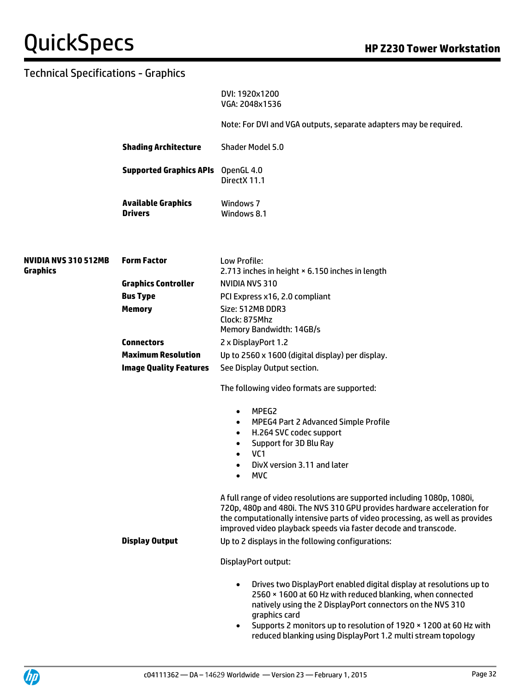DVI: 1920x1200 VGA: 2048x1536

Note: For DVI and VGA outputs, separate adapters may be required.

**Shading Architecture** Shader Model 5.0

**Supported Graphics APIs** OpenGL 4.0 DirectX 11.1

**Available Graphics Drivers** Windows 7 Windows 8.1

| <b>NVIDIA NVS 310 512MB</b><br><b>Graphics</b> | <b>Form Factor</b>            | Low Profile:<br>2.713 inches in height × 6.150 inches in length                                                                                                                                                                                                                                                                                                                 |
|------------------------------------------------|-------------------------------|---------------------------------------------------------------------------------------------------------------------------------------------------------------------------------------------------------------------------------------------------------------------------------------------------------------------------------------------------------------------------------|
|                                                | <b>Graphics Controller</b>    | NVIDIA NVS 310                                                                                                                                                                                                                                                                                                                                                                  |
|                                                | <b>Bus Type</b>               | PCI Express x16, 2.0 compliant                                                                                                                                                                                                                                                                                                                                                  |
|                                                | <b>Memory</b>                 | Size: 512MB DDR3<br>Clock: 875Mhz<br>Memory Bandwidth: 14GB/s                                                                                                                                                                                                                                                                                                                   |
|                                                | <b>Connectors</b>             | 2 x DisplayPort 1.2                                                                                                                                                                                                                                                                                                                                                             |
|                                                | <b>Maximum Resolution</b>     | Up to 2560 x 1600 (digital display) per display.                                                                                                                                                                                                                                                                                                                                |
|                                                | <b>Image Quality Features</b> | See Display Output section.                                                                                                                                                                                                                                                                                                                                                     |
|                                                |                               | The following video formats are supported:                                                                                                                                                                                                                                                                                                                                      |
|                                                |                               | MPEG2<br>$\bullet$<br>MPEG4 Part 2 Advanced Simple Profile<br>$\bullet$<br>H.264 SVC codec support<br>$\bullet$<br>Support for 3D Blu Ray<br>$\bullet$<br>VC <sub>1</sub><br>$\bullet$<br>DivX version 3.11 and later<br>$\bullet$<br><b>MVC</b><br>$\bullet$                                                                                                                   |
|                                                |                               | A full range of video resolutions are supported including 1080p, 1080i,<br>720p, 480p and 480i. The NVS 310 GPU provides hardware acceleration for<br>the computationally intensive parts of video processing, as well as provides<br>improved video playback speeds via faster decode and transcode.                                                                           |
|                                                | <b>Display Output</b>         | Up to 2 displays in the following configurations:                                                                                                                                                                                                                                                                                                                               |
|                                                |                               | DisplayPort output:                                                                                                                                                                                                                                                                                                                                                             |
|                                                |                               | Drives two DisplayPort enabled digital display at resolutions up to<br>$\bullet$<br>2560 × 1600 at 60 Hz with reduced blanking, when connected<br>natively using the 2 DisplayPort connectors on the NVS 310<br>graphics card<br>Supports 2 monitors up to resolution of 1920 × 1200 at 60 Hz with<br>$\bullet$<br>reduced blanking using DisplayPort 1.2 multi stream topology |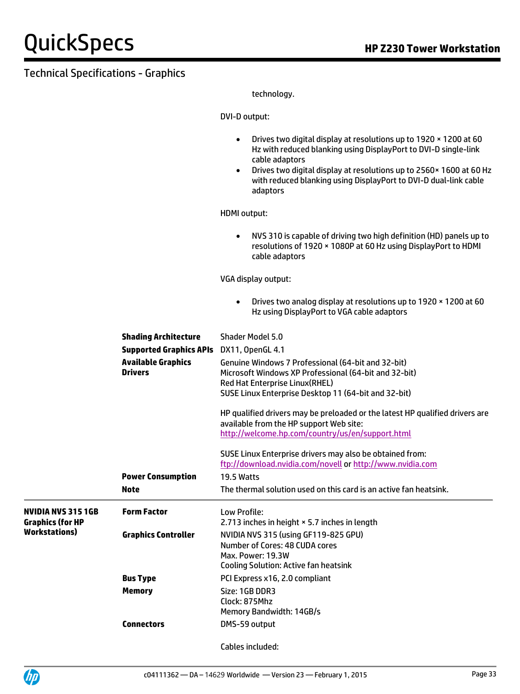technology.

DVI-D output:

|                                                      |                                             | Drives two digital display at resolutions up to 1920 x 1200 at 60<br>$\bullet$<br>Hz with reduced blanking using DisplayPort to DVI-D single-link<br>cable adaptors<br>Drives two digital display at resolutions up to 2560 x 1600 at 60 Hz<br>$\bullet$<br>with reduced blanking using DisplayPort to DVI-D dual-link cable<br>adaptors |
|------------------------------------------------------|---------------------------------------------|------------------------------------------------------------------------------------------------------------------------------------------------------------------------------------------------------------------------------------------------------------------------------------------------------------------------------------------|
|                                                      |                                             |                                                                                                                                                                                                                                                                                                                                          |
|                                                      |                                             | <b>HDMI</b> output:                                                                                                                                                                                                                                                                                                                      |
|                                                      |                                             | NVS 310 is capable of driving two high definition (HD) panels up to<br>$\bullet$<br>resolutions of 1920 × 1080P at 60 Hz using DisplayPort to HDMI<br>cable adaptors                                                                                                                                                                     |
|                                                      |                                             | VGA display output:                                                                                                                                                                                                                                                                                                                      |
|                                                      |                                             | Drives two analog display at resolutions up to 1920 x 1200 at 60<br>$\bullet$<br>Hz using DisplayPort to VGA cable adaptors                                                                                                                                                                                                              |
|                                                      | <b>Shading Architecture</b>                 | Shader Model 5.0                                                                                                                                                                                                                                                                                                                         |
|                                                      | <b>Supported Graphics APIs</b>              | DX11, OpenGL 4.1                                                                                                                                                                                                                                                                                                                         |
|                                                      | <b>Available Graphics</b><br><b>Drivers</b> | Genuine Windows 7 Professional (64-bit and 32-bit)<br>Microsoft Windows XP Professional (64-bit and 32-bit)<br>Red Hat Enterprise Linux(RHEL)<br>SUSE Linux Enterprise Desktop 11 (64-bit and 32-bit)                                                                                                                                    |
|                                                      |                                             | HP qualified drivers may be preloaded or the latest HP qualified drivers are<br>available from the HP support Web site:<br>http://welcome.hp.com/country/us/en/support.html                                                                                                                                                              |
|                                                      |                                             | SUSE Linux Enterprise drivers may also be obtained from:<br>ftp://download.nvidia.com/novell or http://www.nvidia.com                                                                                                                                                                                                                    |
|                                                      | <b>Power Consumption</b>                    | 19.5 Watts                                                                                                                                                                                                                                                                                                                               |
|                                                      | Note                                        | The thermal solution used on this card is an active fan heatsink.                                                                                                                                                                                                                                                                        |
| <b>NVIDIA NVS 315 1GB</b><br><b>Graphics (for HP</b> | <b>Form Factor</b>                          | Low Profile:<br>2.713 inches in height × 5.7 inches in length                                                                                                                                                                                                                                                                            |
| <b>Workstations</b> )                                | <b>Graphics Controller</b>                  | NVIDIA NVS 315 (using GF119-825 GPU)<br>Number of Cores: 48 CUDA cores<br>Max. Power: 19.3W<br><b>Cooling Solution: Active fan heatsink</b>                                                                                                                                                                                              |
|                                                      | <b>Bus Type</b>                             | PCI Express x16, 2.0 compliant                                                                                                                                                                                                                                                                                                           |
|                                                      | <b>Memory</b>                               | Size: 1GB DDR3<br>Clock: 875Mhz<br>Memory Bandwidth: 14GB/s                                                                                                                                                                                                                                                                              |
|                                                      | <b>Connectors</b>                           | DMS-59 output                                                                                                                                                                                                                                                                                                                            |
|                                                      |                                             | Cables included:                                                                                                                                                                                                                                                                                                                         |

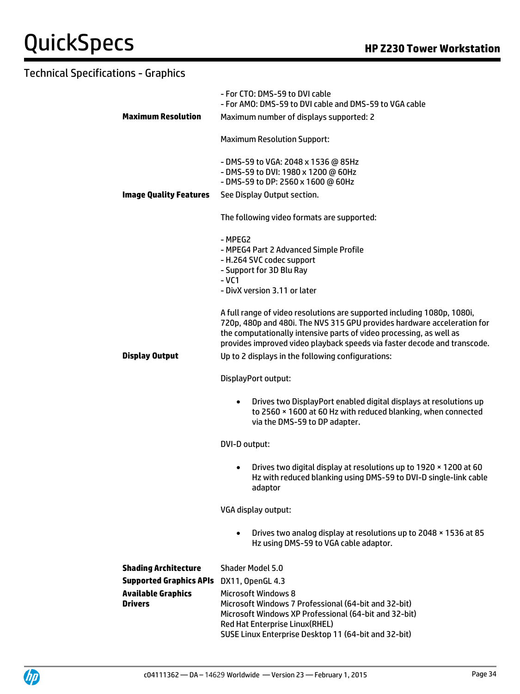|                                             | - For CTO: DMS-59 to DVI cable<br>- For AMO: DMS-59 to DVI cable and DMS-59 to VGA cable                                                                                                                                                                                                                                                                   |  |  |
|---------------------------------------------|------------------------------------------------------------------------------------------------------------------------------------------------------------------------------------------------------------------------------------------------------------------------------------------------------------------------------------------------------------|--|--|
| <b>Maximum Resolution</b>                   | Maximum number of displays supported: 2                                                                                                                                                                                                                                                                                                                    |  |  |
|                                             | <b>Maximum Resolution Support:</b>                                                                                                                                                                                                                                                                                                                         |  |  |
|                                             | - DMS-59 to VGA: 2048 x 1536 @ 85Hz<br>- DMS-59 to DVI: 1980 x 1200 @ 60Hz<br>- DMS-59 to DP: 2560 x 1600 @ 60Hz                                                                                                                                                                                                                                           |  |  |
| <b>Image Quality Features</b>               | See Display Output section.                                                                                                                                                                                                                                                                                                                                |  |  |
|                                             | The following video formats are supported:                                                                                                                                                                                                                                                                                                                 |  |  |
|                                             | - MPEG2<br>- MPEG4 Part 2 Advanced Simple Profile<br>- H.264 SVC codec support<br>- Support for 3D Blu Ray<br>- VC1<br>- DivX version 3.11 or later                                                                                                                                                                                                        |  |  |
| <b>Display Output</b>                       | A full range of video resolutions are supported including 1080p, 1080i,<br>720p, 480p and 480i. The NVS 315 GPU provides hardware acceleration for<br>the computationally intensive parts of video processing, as well as<br>provides improved video playback speeds via faster decode and transcode.<br>Up to 2 displays in the following configurations: |  |  |
|                                             | DisplayPort output:                                                                                                                                                                                                                                                                                                                                        |  |  |
|                                             | Drives two DisplayPort enabled digital displays at resolutions up<br>$\bullet$<br>to 2560 × 1600 at 60 Hz with reduced blanking, when connected<br>via the DMS-59 to DP adapter.                                                                                                                                                                           |  |  |
|                                             | DVI-D output:                                                                                                                                                                                                                                                                                                                                              |  |  |
|                                             | Drives two digital display at resolutions up to 1920 x 1200 at 60<br>$\bullet$<br>Hz with reduced blanking using DMS-59 to DVI-D single-link cable<br>adaptor                                                                                                                                                                                              |  |  |
|                                             | VGA display output:                                                                                                                                                                                                                                                                                                                                        |  |  |
|                                             | Drives two analog display at resolutions up to 2048 x 1536 at 85<br>Hz using DMS-59 to VGA cable adaptor.                                                                                                                                                                                                                                                  |  |  |
| <b>Shading Architecture</b>                 | Shader Model 5.0                                                                                                                                                                                                                                                                                                                                           |  |  |
| <b>Supported Graphics APIs</b>              | DX11, OpenGL 4.3                                                                                                                                                                                                                                                                                                                                           |  |  |
| <b>Available Graphics</b><br><b>Drivers</b> | <b>Microsoft Windows 8</b><br>Microsoft Windows 7 Professional (64-bit and 32-bit)<br>Microsoft Windows XP Professional (64-bit and 32-bit)<br>Red Hat Enterprise Linux(RHEL)                                                                                                                                                                              |  |  |
|                                             | SUSE Linux Enterprise Desktop 11 (64-bit and 32-bit)                                                                                                                                                                                                                                                                                                       |  |  |

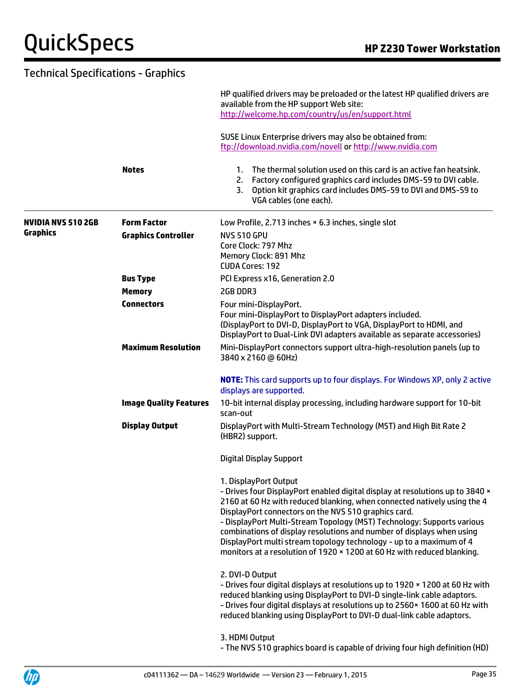#### Technical Specifications - Graphics HP qualified drivers may be preloaded or the latest HP qualified drivers are available from the HP support Web site: <http://welcome.hp.com/country/us/en/support.html> SUSE Linux Enterprise drivers may also be obtained from: <ftp://download.nvidia.com/novell> or [http://www.nvidia.com](http://www.nvidia.com/) **Notes** 1. The thermal solution used on this card is an active fan heatsink. 2. Factory configured graphics card includes DMS-59 to DVI cable. 3. Option kit graphics card includes DMS-59 to DVI and DMS-59 to VGA cables (one each). **NVIDIA NVS 510 2GB Graphics Form Factor** Low Profile, 2.713 inches × 6.3 inches, single slot **Graphics Controller** NVS 510 GPU Core Clock: 797 Mhz Memory Clock: 891 Mhz CUDA Cores: 192 **Bus Type** PCI Express x16, Generation 2.0 **Memory** 2GB DDR3 **Connectors** Four mini-DisplayPort. Four mini-DisplayPort to DisplayPort adapters included. (DisplayPort to DVI-D, DisplayPort to VGA, DisplayPort to HDMI, and DisplayPort to Dual-Link DVI adapters available as separate accessories) **Maximum Resolution** Mini-DisplayPort connectors support ultra-high-resolution panels (up to 3840 x 2160 @ 60Hz) **NOTE:** This card supports up to four displays. For Windows XP, only 2 active displays are supported. **Image Quality Features** 10-bit internal display processing, including hardware support for 10-bit scan-out **Display Output** DisplayPort with Multi-Stream Technology (MST) and High Bit Rate 2 (HBR2) support. Digital Display Support 1. DisplayPort Output - Drives four DisplayPort enabled digital display at resolutions up to 3840 × 2160 at 60 Hz with reduced blanking, when connected natively using the 4 DisplayPort connectors on the NVS 510 graphics card. - DisplayPort Multi-Stream Topology (MST) Technology: Supports various combinations of display resolutions and number of displays when using DisplayPort multi stream topology technology - up to a maximum of 4 monitors at a resolution of 1920 × 1200 at 60 Hz with reduced blanking. 2. DVI-D Output - Drives four digital displays at resolutions up to 1920 × 1200 at 60 Hz with reduced blanking using DisplayPort to DVI-D single-link cable adaptors. - Drives four digital displays at resolutions up to 2560× 1600 at 60 Hz with reduced blanking using DisplayPort to DVI-D dual-link cable adaptors. 3. HDMI Output

- The NVS 510 graphics board is capable of driving four high definition (HD)

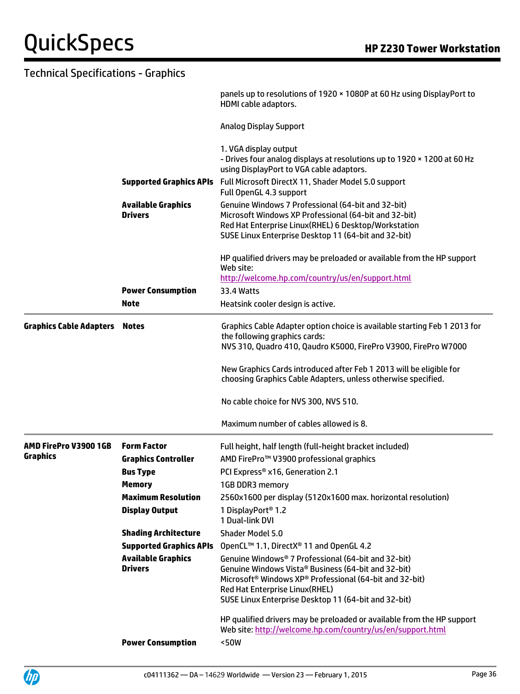| <b>Technical Specifications - Graphics</b> |                                                                                                                                                                                                                                                            |                                                                                                                                                                                                                                                                                                                                                                                                                                                                                                                                                                                                      |
|--------------------------------------------|------------------------------------------------------------------------------------------------------------------------------------------------------------------------------------------------------------------------------------------------------------|------------------------------------------------------------------------------------------------------------------------------------------------------------------------------------------------------------------------------------------------------------------------------------------------------------------------------------------------------------------------------------------------------------------------------------------------------------------------------------------------------------------------------------------------------------------------------------------------------|
|                                            |                                                                                                                                                                                                                                                            | panels up to resolutions of 1920 × 1080P at 60 Hz using DisplayPort to<br>HDMI cable adaptors.                                                                                                                                                                                                                                                                                                                                                                                                                                                                                                       |
|                                            |                                                                                                                                                                                                                                                            | <b>Analog Display Support</b>                                                                                                                                                                                                                                                                                                                                                                                                                                                                                                                                                                        |
|                                            | <b>Supported Graphics APIs</b>                                                                                                                                                                                                                             | 1. VGA display output<br>- Drives four analog displays at resolutions up to 1920 x 1200 at 60 Hz<br>using DisplayPort to VGA cable adaptors.<br>Full Microsoft DirectX 11, Shader Model 5.0 support<br>Full OpenGL 4.3 support                                                                                                                                                                                                                                                                                                                                                                       |
|                                            | <b>Available Graphics</b><br><b>Drivers</b>                                                                                                                                                                                                                | Genuine Windows 7 Professional (64-bit and 32-bit)<br>Microsoft Windows XP Professional (64-bit and 32-bit)<br>Red Hat Enterprise Linux(RHEL) 6 Desktop/Workstation<br>SUSE Linux Enterprise Desktop 11 (64-bit and 32-bit)                                                                                                                                                                                                                                                                                                                                                                          |
|                                            | <b>Power Consumption</b><br><b>Note</b>                                                                                                                                                                                                                    | HP qualified drivers may be preloaded or available from the HP support<br>Web site:<br>http://welcome.hp.com/country/us/en/support.html<br>33.4 Watts<br>Heatsink cooler design is active.                                                                                                                                                                                                                                                                                                                                                                                                           |
| <b>Graphics Cable Adapters</b>             | <b>Notes</b>                                                                                                                                                                                                                                               | Graphics Cable Adapter option choice is available starting Feb 1 2013 for<br>the following graphics cards:<br>NVS 310, Quadro 410, Qaudro K5000, FirePro V3900, FirePro W7000                                                                                                                                                                                                                                                                                                                                                                                                                        |
|                                            |                                                                                                                                                                                                                                                            | New Graphics Cards introduced after Feb 1 2013 will be eligible for<br>choosing Graphics Cable Adapters, unless otherwise specified.                                                                                                                                                                                                                                                                                                                                                                                                                                                                 |
|                                            |                                                                                                                                                                                                                                                            | No cable choice for NVS 300, NVS 510.                                                                                                                                                                                                                                                                                                                                                                                                                                                                                                                                                                |
|                                            |                                                                                                                                                                                                                                                            | Maximum number of cables allowed is 8.                                                                                                                                                                                                                                                                                                                                                                                                                                                                                                                                                               |
| AMD FirePro V3900 1GB<br>Graphics          | <b>Form Factor</b><br><b>Graphics Controller</b><br><b>Bus Type</b><br><b>Memory</b><br><b>Maximum Resolution</b><br><b>Display Output</b><br><b>Shading Architecture</b><br><b>Supported Graphics APIs</b><br><b>Available Graphics</b><br><b>Drivers</b> | Full height, half length (full-height bracket included)<br>AMD FirePro <sup>™</sup> V3900 professional graphics<br>PCI Express <sup>®</sup> x16, Generation 2.1<br>1GB DDR3 memory<br>2560x1600 per display (5120x1600 max. horizontal resolution)<br>1 DisplayPort <sup>®</sup> 1.2<br>1 Dual-link DVI<br><b>Shader Model 5.0</b><br>OpenCL™ 1.1, DirectX® 11 and OpenGL 4.2<br>Genuine Windows® 7 Professional (64-bit and 32-bit)<br>Genuine Windows Vista® Business (64-bit and 32-bit)<br>Microsoft <sup>®</sup> Windows XP® Professional (64-bit and 32-bit)<br>Red Hat Enterprise Linux(RHEL) |
|                                            | <b>Power Consumption</b>                                                                                                                                                                                                                                   | SUSE Linux Enterprise Desktop 11 (64-bit and 32-bit)<br>HP qualified drivers may be preloaded or available from the HP support<br>Web site: http://welcome.hp.com/country/us/en/support.html<br><50W                                                                                                                                                                                                                                                                                                                                                                                                 |

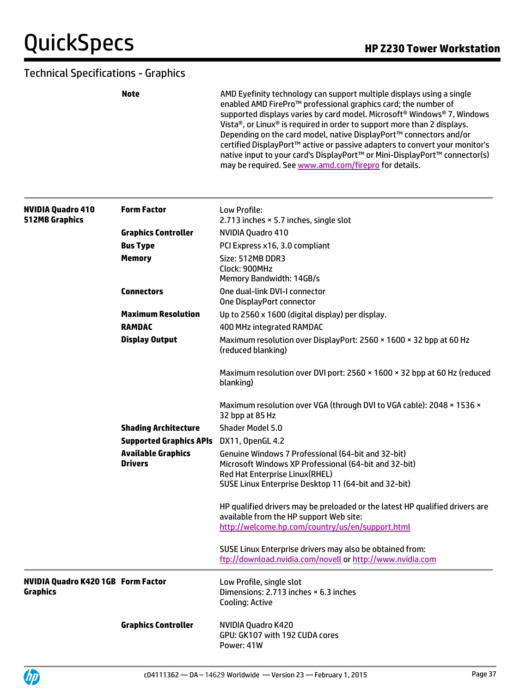**Note AMD Eyefinity technology can support multiple displays using a single** enabled AMD FirePro™ professional graphics card; the number of supported displays varies by card model. Microsoft® Windows® 7, Windows Vista®, or Linux® is required in order to support more than 2 displays. Depending on the card model, native DisplayPort™ connectors and/or certified DisplayPort™ active or passive adapters to convert your monitor's native input to your card's DisplayPort™ or Mini-DisplayPort™ connector(s) may be required. Se[e www.amd.com/firepro](http://www.amd.com/firepro) for details.

| <b>NVIDIA Quadro 410</b><br><b>512MB Graphics</b>            | <b>Form Factor</b>                          | Low Profile:<br>2.713 inches × 5.7 inches, single slot                                                                |
|--------------------------------------------------------------|---------------------------------------------|-----------------------------------------------------------------------------------------------------------------------|
|                                                              | <b>Graphics Controller</b>                  | NVIDIA Ouadro 410                                                                                                     |
|                                                              | <b>Bus Type</b>                             | PCI Express x16, 3.0 compliant                                                                                        |
|                                                              | <b>Memory</b>                               | Size: 512MB DDR3<br>Clock: 900MHz<br>Memory Bandwidth: 14GB/s                                                         |
|                                                              | <b>Connectors</b>                           | One dual-link DVI-I connector<br>One DisplayPort connector                                                            |
|                                                              | <b>Maximum Resolution</b>                   | Up to 2560 x 1600 (digital display) per display.                                                                      |
|                                                              | <b>RAMDAC</b>                               | 400 MHz integrated RAMDAC                                                                                             |
|                                                              | <b>Display Output</b>                       | Maximum resolution over DisplayPort: 2560 × 1600 × 32 bpp at 60 Hz<br>(reduced blanking)                              |
|                                                              |                                             | Maximum resolution over DVI port: 2560 × 1600 × 32 bpp at 60 Hz (reduced<br>blanking)                                 |
|                                                              |                                             | Maximum resolution over VGA (through DVI to VGA cable): 2048 x 1536 x<br>32 bpp at 85 Hz                              |
|                                                              | <b>Shading Architecture</b>                 | <b>Shader Model 5.0</b>                                                                                               |
|                                                              | <b>Supported Graphics APIs</b>              | DX11, OpenGL 4.2                                                                                                      |
|                                                              | <b>Available Graphics</b><br><b>Drivers</b> | Genuine Windows 7 Professional (64-bit and 32-bit)<br>Microsoft Windows XP Professional (64-bit and 32-bit)           |
|                                                              |                                             | Red Hat Enterprise Linux(RHEL)                                                                                        |
|                                                              |                                             | SUSE Linux Enterprise Desktop 11 (64-bit and 32-bit)                                                                  |
|                                                              |                                             | HP qualified drivers may be preloaded or the latest HP qualified drivers are                                          |
|                                                              |                                             | available from the HP support Web site:                                                                               |
|                                                              |                                             | http://welcome.hp.com/country/us/en/support.html                                                                      |
|                                                              |                                             | SUSE Linux Enterprise drivers may also be obtained from:<br>ftp://download.nvidia.com/novell or http://www.nvidia.com |
| <b>NVIDIA Quadro K420 1GB Form Factor</b><br><b>Graphics</b> |                                             | Low Profile, single slot<br>Dimensions: 2.713 inches × 6.3 inches<br>Cooling: Active                                  |
|                                                              | <b>Graphics Controller</b>                  | NVIDIA Quadro K420<br>GPU: GK107 with 192 CUDA cores<br>Power: 41W                                                    |

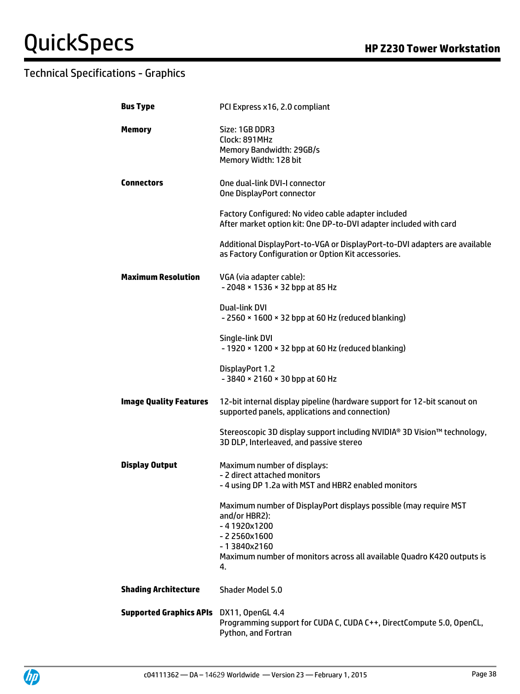| <b>Bus Type</b>                          | PCI Express x16, 2.0 compliant                                                                                                                                                                                   |
|------------------------------------------|------------------------------------------------------------------------------------------------------------------------------------------------------------------------------------------------------------------|
| <b>Memory</b>                            | Size: 1GB DDR3<br>Clock: 891MHz<br>Memory Bandwidth: 29GB/s<br>Memory Width: 128 bit                                                                                                                             |
| <b>Connectors</b>                        | One dual-link DVI-I connector<br>One DisplayPort connector                                                                                                                                                       |
|                                          | Factory Configured: No video cable adapter included<br>After market option kit: One DP-to-DVI adapter included with card                                                                                         |
|                                          | Additional DisplayPort-to-VGA or DisplayPort-to-DVI adapters are available<br>as Factory Configuration or Option Kit accessories.                                                                                |
| <b>Maximum Resolution</b>                | VGA (via adapter cable):<br>- 2048 × 1536 × 32 bpp at 85 Hz                                                                                                                                                      |
|                                          | Dual-link DVI<br>- 2560 × 1600 × 32 bpp at 60 Hz (reduced blanking)                                                                                                                                              |
|                                          | Single-link DVI<br>- 1920 × 1200 × 32 bpp at 60 Hz (reduced blanking)                                                                                                                                            |
|                                          | DisplayPort 1.2<br>- 3840 × 2160 × 30 bpp at 60 Hz                                                                                                                                                               |
| <b>Image Quality Features</b>            | 12-bit internal display pipeline (hardware support for 12-bit scanout on<br>supported panels, applications and connection)                                                                                       |
|                                          | Stereoscopic 3D display support including NVIDIA® 3D Vision™ technology,<br>3D DLP, Interleaved, and passive stereo                                                                                              |
| <b>Display Output</b>                    | Maximum number of displays:<br>- 2 direct attached monitors<br>- 4 using DP 1.2a with MST and HBR2 enabled monitors                                                                                              |
|                                          | Maximum number of DisplayPort displays possible (may require MST<br>and/or HBR2):<br>$-41920x1200$<br>-22560x1600<br>-13840x2160<br>Maximum number of monitors across all available Quadro K420 outputs is<br>4. |
| <b>Shading Architecture</b>              | <b>Shader Model 5.0</b>                                                                                                                                                                                          |
| Supported Graphics APIs DX11, OpenGL 4.4 | Programming support for CUDA C, CUDA C++, DirectCompute 5.0, OpenCL,<br>Python, and Fortran                                                                                                                      |

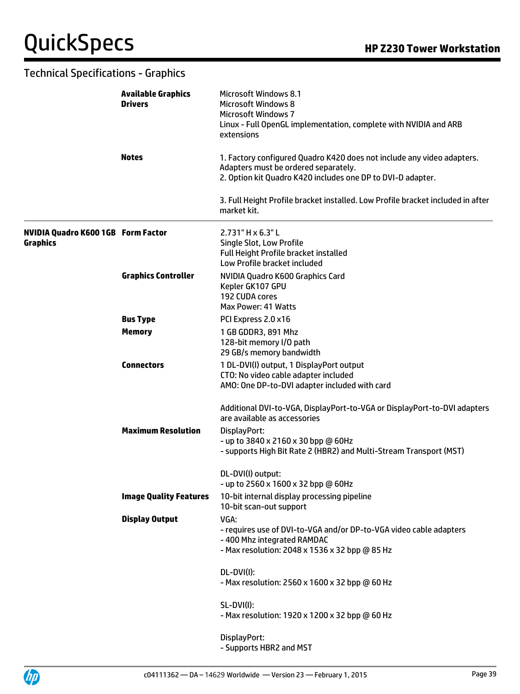|                                                              | <b>Available Graphics</b><br><b>Drivers</b> | Microsoft Windows 8.1<br><b>Microsoft Windows 8</b><br><b>Microsoft Windows 7</b><br>Linux - Full OpenGL implementation, complete with NVIDIA and ARB<br>extensions           |
|--------------------------------------------------------------|---------------------------------------------|-------------------------------------------------------------------------------------------------------------------------------------------------------------------------------|
|                                                              | <b>Notes</b>                                | 1. Factory configured Quadro K420 does not include any video adapters.<br>Adapters must be ordered separately.<br>2. Option kit Quadro K420 includes one DP to DVI-D adapter. |
|                                                              |                                             | 3. Full Height Profile bracket installed. Low Profile bracket included in after<br>market kit.                                                                                |
| <b>NVIDIA Quadro K600 1GB Form Factor</b><br><b>Graphics</b> |                                             | $2.731"$ H $\times$ 6.3" L<br>Single Slot, Low Profile<br>Full Height Profile bracket installed<br>Low Profile bracket included                                               |
|                                                              | <b>Graphics Controller</b>                  | NVIDIA Quadro K600 Graphics Card<br>Kepler GK107 GPU<br>192 CUDA cores<br>Max Power: 41 Watts                                                                                 |
|                                                              | <b>Bus Type</b>                             | PCI Express 2.0 x16                                                                                                                                                           |
|                                                              | <b>Memory</b>                               | 1 GB GDDR3, 891 Mhz<br>128-bit memory I/O path<br>29 GB/s memory bandwidth                                                                                                    |
|                                                              | <b>Connectors</b>                           | 1 DL-DVI(I) output, 1 DisplayPort output<br>CTO: No video cable adapter included<br>AMO: One DP-to-DVI adapter included with card                                             |
|                                                              |                                             | Additional DVI-to-VGA, DisplayPort-to-VGA or DisplayPort-to-DVI adapters<br>are available as accessories                                                                      |
|                                                              | <b>Maximum Resolution</b>                   | DisplayPort:<br>- up to 3840 x 2160 x 30 bpp @ 60Hz<br>- supports High Bit Rate 2 (HBR2) and Multi-Stream Transport (MST)                                                     |
|                                                              |                                             | DL-DVI(I) output:<br>- up to 2560 x 1600 x 32 bpp @ 60Hz                                                                                                                      |
|                                                              | <b>Image Quality Features</b>               | 10-bit internal display processing pipeline<br>10-bit scan-out support                                                                                                        |
|                                                              | <b>Display Output</b>                       | VGA:<br>- requires use of DVI-to-VGA and/or DP-to-VGA video cable adapters<br>-400 Mhz integrated RAMDAC<br>- Max resolution: 2048 x 1536 x 32 bpp @ 85 Hz                    |
|                                                              |                                             | DL-DVI(I):<br>- Max resolution: 2560 x 1600 x 32 bpp @ 60 Hz                                                                                                                  |
|                                                              |                                             | <b>SL-DVI(I):</b><br>- Max resolution: 1920 x 1200 x 32 bpp @ 60 Hz                                                                                                           |
|                                                              |                                             | DisplayPort:<br>- Supports HBR2 and MST                                                                                                                                       |

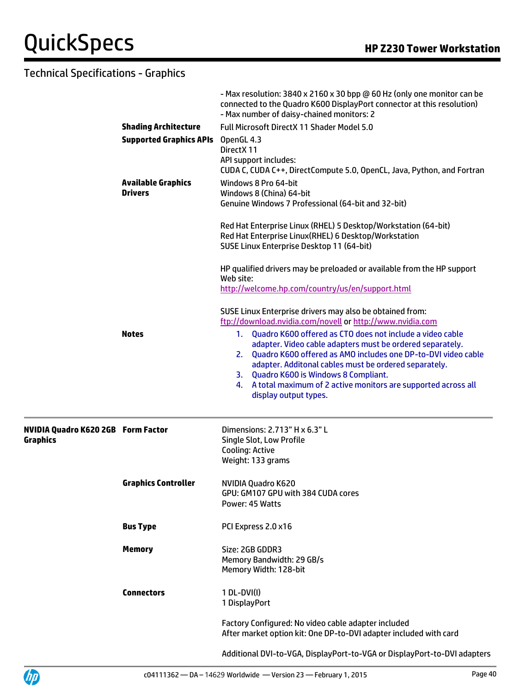|                                                              |                                             | - Max resolution: 3840 x 2160 x 30 bpp @ 60 Hz (only one monitor can be<br>connected to the Quadro K600 DisplayPort connector at this resolution)<br>- Max number of daisy-chained monitors: 2                                                                                                                                                                                                   |
|--------------------------------------------------------------|---------------------------------------------|--------------------------------------------------------------------------------------------------------------------------------------------------------------------------------------------------------------------------------------------------------------------------------------------------------------------------------------------------------------------------------------------------|
|                                                              | <b>Shading Architecture</b>                 | Full Microsoft DirectX 11 Shader Model 5.0                                                                                                                                                                                                                                                                                                                                                       |
|                                                              | <b>Supported Graphics APIs</b>              | OpenGL 4.3<br>DirectX 11<br>API support includes:<br>CUDA C, CUDA C++, DirectCompute 5.0, OpenCL, Java, Python, and Fortran                                                                                                                                                                                                                                                                      |
|                                                              | <b>Available Graphics</b><br><b>Drivers</b> | Windows 8 Pro 64-bit<br>Windows 8 (China) 64-bit<br>Genuine Windows 7 Professional (64-bit and 32-bit)                                                                                                                                                                                                                                                                                           |
|                                                              |                                             | Red Hat Enterprise Linux (RHEL) 5 Desktop/Workstation (64-bit)<br>Red Hat Enterprise Linux(RHEL) 6 Desktop/Workstation<br>SUSE Linux Enterprise Desktop 11 (64-bit)                                                                                                                                                                                                                              |
|                                                              |                                             | HP qualified drivers may be preloaded or available from the HP support<br>Web site:<br>http://welcome.hp.com/country/us/en/support.html                                                                                                                                                                                                                                                          |
|                                                              |                                             | SUSE Linux Enterprise drivers may also be obtained from:<br>ftp://download.nvidia.com/novell or http://www.nvidia.com                                                                                                                                                                                                                                                                            |
|                                                              | <b>Notes</b>                                | Quadro K600 offered as CTO does not include a video cable<br>1.<br>adapter. Video cable adapters must be ordered separately.<br>2. Quadro K600 offered as AMO includes one DP-to-DVI video cable<br>adapter. Additonal cables must be ordered separately.<br>3. Quadro K600 is Windows 8 Compliant.<br>4. A total maximum of 2 active monitors are supported across all<br>display output types. |
| <b>NVIDIA Quadro K620 2GB Form Factor</b><br><b>Graphics</b> |                                             | Dimensions: 2.713" H x 6.3" L<br>Single Slot, Low Profile<br><b>Cooling: Active</b><br>Weight: 133 grams                                                                                                                                                                                                                                                                                         |
|                                                              | <b>Graphics Controller</b>                  | NVIDIA Quadro K620<br>GPU: GM107 GPU with 384 CUDA cores<br>Power: 45 Watts                                                                                                                                                                                                                                                                                                                      |
|                                                              | <b>Bus Type</b>                             | PCI Express 2.0 x16                                                                                                                                                                                                                                                                                                                                                                              |
|                                                              | <b>Memory</b>                               | Size: 2GB GDDR3<br>Memory Bandwidth: 29 GB/s<br>Memory Width: 128-bit                                                                                                                                                                                                                                                                                                                            |
|                                                              | <b>Connectors</b>                           | 1 DL-DVI(I)<br>1 DisplayPort                                                                                                                                                                                                                                                                                                                                                                     |
|                                                              |                                             | Factory Configured: No video cable adapter included<br>After market option kit: One DP-to-DVI adapter included with card                                                                                                                                                                                                                                                                         |
|                                                              |                                             | Additional DVI-to-VGA, DisplayPort-to-VGA or DisplayPort-to-DVI adapters                                                                                                                                                                                                                                                                                                                         |

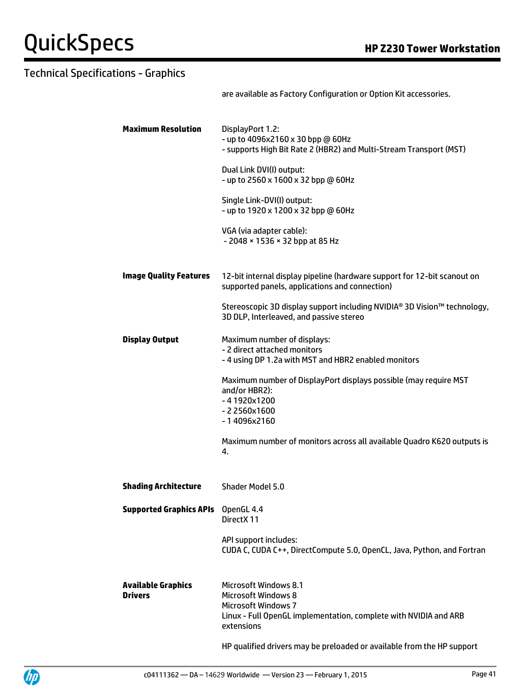are available as Factory Configuration or Option Kit accessories.

| <b>Maximum Resolution</b>                   | DisplayPort 1.2:<br>- up to 4096x2160 x 30 bpp @ 60Hz<br>- supports High Bit Rate 2 (HBR2) and Multi-Stream Transport (MST)                                         |
|---------------------------------------------|---------------------------------------------------------------------------------------------------------------------------------------------------------------------|
|                                             | Dual Link DVI(I) output:<br>- up to 2560 x 1600 x 32 bpp @ 60Hz                                                                                                     |
|                                             | Single Link-DVI(I) output:<br>- up to 1920 x 1200 x 32 bpp @ 60Hz                                                                                                   |
|                                             | VGA (via adapter cable):<br>- 2048 × 1536 × 32 bpp at 85 Hz                                                                                                         |
| <b>Image Quality Features</b>               | 12-bit internal display pipeline (hardware support for 12-bit scanout on<br>supported panels, applications and connection)                                          |
|                                             | Stereoscopic 3D display support including NVIDIA® 3D Vision™ technology,<br>3D DLP, Interleaved, and passive stereo                                                 |
| <b>Display Output</b>                       | Maximum number of displays:<br>- 2 direct attached monitors<br>- 4 using DP 1.2a with MST and HBR2 enabled monitors                                                 |
|                                             | Maximum number of DisplayPort displays possible (may require MST<br>and/or HBR2):<br>$-41920x1200$<br>$-22560x1600$<br>$-14096x2160$                                |
|                                             | Maximum number of monitors across all available Quadro K620 outputs is<br>4.                                                                                        |
| <b>Shading Architecture</b>                 | Shader Model 5.0                                                                                                                                                    |
| <b>Supported Graphics APIs</b>              | OpenGL 4.4<br>DirectX 11                                                                                                                                            |
|                                             | API support includes:<br>CUDA C, CUDA C++, DirectCompute 5.0, OpenCL, Java, Python, and Fortran                                                                     |
| <b>Available Graphics</b><br><b>Drivers</b> | Microsoft Windows 8.1<br><b>Microsoft Windows 8</b><br><b>Microsoft Windows 7</b><br>Linux - Full OpenGL implementation, complete with NVIDIA and ARB<br>extensions |
|                                             |                                                                                                                                                                     |

HP qualified drivers may be preloaded or available from the HP support

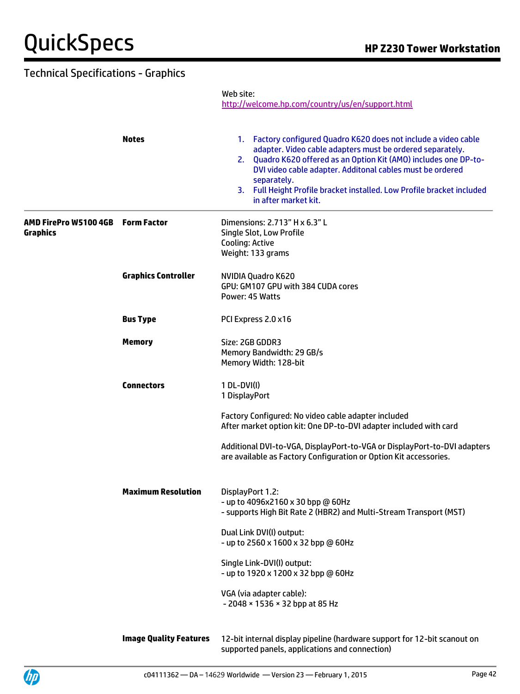Web site:

<http://welcome.hp.com/country/us/en/support.html>

|                                          | <b>Notes</b>               | 1. Factory configured Quadro K620 does not include a video cable<br>adapter. Video cable adapters must be ordered separately.<br>2. Quadro K620 offered as an Option Kit (AMO) includes one DP-to-<br>DVI video cable adapter. Additonal cables must be ordered<br>separately.<br>3. Full Height Profile bracket installed. Low Profile bracket included<br>in after market kit. |
|------------------------------------------|----------------------------|----------------------------------------------------------------------------------------------------------------------------------------------------------------------------------------------------------------------------------------------------------------------------------------------------------------------------------------------------------------------------------|
| AMD FirePro W5100 4GB<br><b>Graphics</b> | <b>Form Factor</b>         | Dimensions: 2.713" H x 6.3" L<br>Single Slot, Low Profile<br>Cooling: Active<br>Weight: 133 grams                                                                                                                                                                                                                                                                                |
|                                          | <b>Graphics Controller</b> | NVIDIA Quadro K620<br>GPU: GM107 GPU with 384 CUDA cores<br>Power: 45 Watts                                                                                                                                                                                                                                                                                                      |
|                                          | <b>Bus Type</b>            | PCI Express 2.0 x16                                                                                                                                                                                                                                                                                                                                                              |
|                                          | <b>Memory</b>              | Size: 2GB GDDR3<br>Memory Bandwidth: 29 GB/s<br>Memory Width: 128-bit                                                                                                                                                                                                                                                                                                            |
|                                          | <b>Connectors</b>          | 1 DL-DVI(I)<br>1 DisplayPort                                                                                                                                                                                                                                                                                                                                                     |
|                                          |                            | Factory Configured: No video cable adapter included<br>After market option kit: One DP-to-DVI adapter included with card                                                                                                                                                                                                                                                         |
|                                          |                            | Additional DVI-to-VGA, DisplayPort-to-VGA or DisplayPort-to-DVI adapters<br>are available as Factory Configuration or Option Kit accessories.                                                                                                                                                                                                                                    |
|                                          | <b>Maximum Resolution</b>  | DisplayPort 1.2:<br>- up to 4096x2160 x 30 bpp @ 60Hz<br>- supports High Bit Rate 2 (HBR2) and Multi-Stream Transport (MST)                                                                                                                                                                                                                                                      |
|                                          |                            | Dual Link DVI(I) output:<br>- up to 2560 x 1600 x 32 bpp @ 60Hz                                                                                                                                                                                                                                                                                                                  |
|                                          |                            | Single Link-DVI(I) output:<br>- up to 1920 x 1200 x 32 bpp @ 60Hz                                                                                                                                                                                                                                                                                                                |
|                                          |                            | VGA (via adapter cable):<br>- 2048 × 1536 × 32 bpp at 85 Hz                                                                                                                                                                                                                                                                                                                      |
|                                          |                            |                                                                                                                                                                                                                                                                                                                                                                                  |

**Image Quality Features** 12-bit internal display pipeline (hardware support for 12-bit scanout on supported panels, applications and connection)

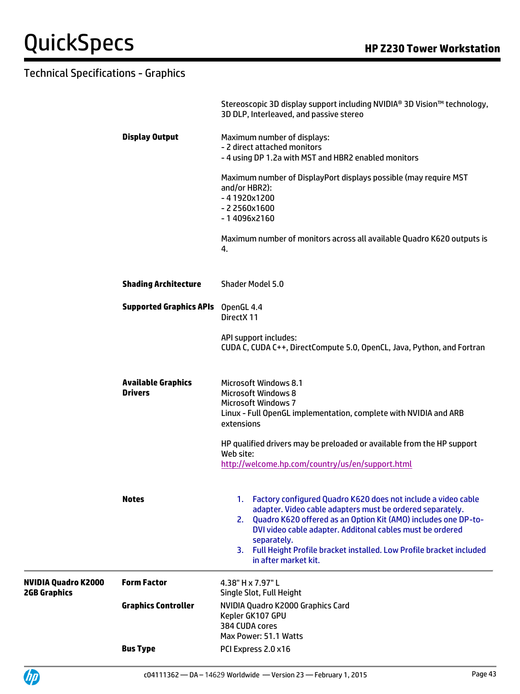|                                                   |                                             | Stereoscopic 3D display support including NVIDIA® 3D Vision™ technology,<br>3D DLP, Interleaved, and passive stereo                                                                                                                                                                                                                                                                 |
|---------------------------------------------------|---------------------------------------------|-------------------------------------------------------------------------------------------------------------------------------------------------------------------------------------------------------------------------------------------------------------------------------------------------------------------------------------------------------------------------------------|
|                                                   | <b>Display Output</b>                       | Maximum number of displays:<br>- 2 direct attached monitors<br>- 4 using DP 1.2a with MST and HBR2 enabled monitors                                                                                                                                                                                                                                                                 |
|                                                   |                                             | Maximum number of DisplayPort displays possible (may require MST<br>and/or HBR2):<br>$-41920x1200$<br>$-22560x1600$<br>$-14096x2160$                                                                                                                                                                                                                                                |
|                                                   |                                             | Maximum number of monitors across all available Quadro K620 outputs is<br>4.                                                                                                                                                                                                                                                                                                        |
|                                                   | <b>Shading Architecture</b>                 | Shader Model 5.0                                                                                                                                                                                                                                                                                                                                                                    |
|                                                   | <b>Supported Graphics APIs</b> OpenGL 4.4   | DirectX 11                                                                                                                                                                                                                                                                                                                                                                          |
|                                                   |                                             | API support includes:<br>CUDA C, CUDA C++, DirectCompute 5.0, OpenCL, Java, Python, and Fortran                                                                                                                                                                                                                                                                                     |
|                                                   | <b>Available Graphics</b><br><b>Drivers</b> | <b>Microsoft Windows 8.1</b><br><b>Microsoft Windows 8</b><br><b>Microsoft Windows 7</b><br>Linux - Full OpenGL implementation, complete with NVIDIA and ARB<br>extensions                                                                                                                                                                                                          |
|                                                   |                                             | HP qualified drivers may be preloaded or available from the HP support<br>Web site:<br>http://welcome.hp.com/country/us/en/support.html                                                                                                                                                                                                                                             |
|                                                   | <b>Notes</b>                                | 1. Factory configured Quadro K620 does not include a video cable<br>adapter. Video cable adapters must be ordered separately.<br>Quadro K620 offered as an Option Kit (AMO) includes one DP-to-<br>2.<br>DVI video cable adapter. Additonal cables must be ordered<br>separately.<br>3. Full Height Profile bracket installed. Low Profile bracket included<br>in after market kit. |
| <b>NVIDIA Quadro K2000</b><br><b>2GB Graphics</b> | <b>Form Factor</b>                          | 4.38" H x 7.97" L<br>Single Slot, Full Height                                                                                                                                                                                                                                                                                                                                       |
|                                                   | <b>Graphics Controller</b>                  | NVIDIA Quadro K2000 Graphics Card<br>Kepler GK107 GPU<br>384 CUDA cores<br>Max Power: 51.1 Watts                                                                                                                                                                                                                                                                                    |
|                                                   | <b>Bus Type</b>                             | PCI Express 2.0 x16                                                                                                                                                                                                                                                                                                                                                                 |

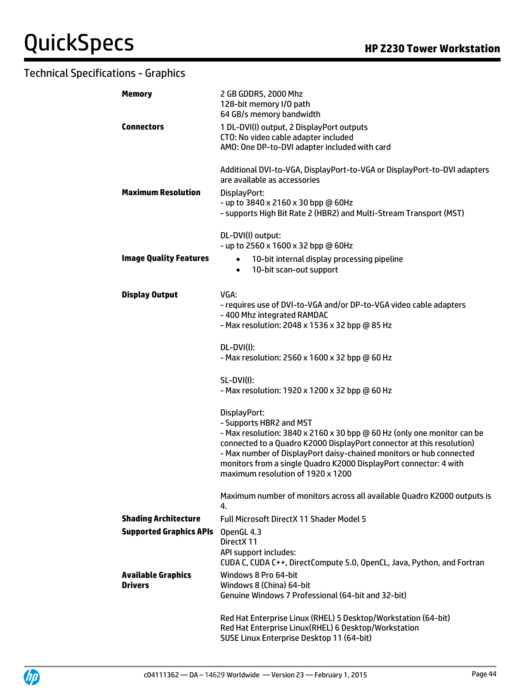| <b>Memory</b>                               | 2 GB GDDR5, 2000 Mhz<br>128-bit memory I/O path<br>64 GB/s memory bandwidth                                                                                                                                                                                                                                                                                                  |  |  |
|---------------------------------------------|------------------------------------------------------------------------------------------------------------------------------------------------------------------------------------------------------------------------------------------------------------------------------------------------------------------------------------------------------------------------------|--|--|
| <b>Connectors</b>                           | 1 DL-DVI(I) output, 2 DisplayPort outputs<br>CTO: No video cable adapter included<br>AMO: One DP-to-DVI adapter included with card                                                                                                                                                                                                                                           |  |  |
| <b>Maximum Resolution</b>                   | Additional DVI-to-VGA, DisplayPort-to-VGA or DisplayPort-to-DVI adapters<br>are available as accessories<br>DisplayPort:<br>- up to 3840 x 2160 x 30 bpp @ 60Hz<br>- supports High Bit Rate 2 (HBR2) and Multi-Stream Transport (MST)                                                                                                                                        |  |  |
| <b>Image Quality Features</b>               | DL-DVI(I) output:<br>- up to 2560 x 1600 x 32 bpp @ 60Hz<br>10-bit internal display processing pipeline<br>$\bullet$<br>10-bit scan-out support<br>$\bullet$                                                                                                                                                                                                                 |  |  |
| <b>Display Output</b>                       | VGA:<br>- requires use of DVI-to-VGA and/or DP-to-VGA video cable adapters<br>-400 Mhz integrated RAMDAC<br>- Max resolution: 2048 x 1536 x 32 bpp @ 85 Hz                                                                                                                                                                                                                   |  |  |
|                                             | DL-DVI(I):<br>- Max resolution: 2560 x 1600 x 32 bpp @ 60 Hz                                                                                                                                                                                                                                                                                                                 |  |  |
|                                             | <b>SL-DVI(I):</b><br>- Max resolution: 1920 x 1200 x 32 bpp @ 60 Hz                                                                                                                                                                                                                                                                                                          |  |  |
|                                             | DisplayPort:<br>- Supports HBR2 and MST<br>- Max resolution: 3840 x 2160 x 30 bpp @ 60 Hz (only one monitor can be<br>connected to a Quadro K2000 DisplayPort connector at this resolution)<br>- Max number of DisplayPort daisy-chained monitors or hub connected<br>monitors from a single Quadro K2000 DisplayPort connector: 4 with<br>maximum resolution of 1920 x 1200 |  |  |
|                                             | Maximum number of monitors across all available Quadro K2000 outputs is<br>4.                                                                                                                                                                                                                                                                                                |  |  |
| <b>Shading Architecture</b>                 | <b>Full Microsoft DirectX 11 Shader Model 5</b>                                                                                                                                                                                                                                                                                                                              |  |  |
| <b>Supported Graphics APIs</b>              | OpenGL 4.3<br>DirectX 11<br>API support includes:<br>CUDA C, CUDA C++, DirectCompute 5.0, OpenCL, Java, Python, and Fortran                                                                                                                                                                                                                                                  |  |  |
| <b>Available Graphics</b><br><b>Drivers</b> | Windows 8 Pro 64-bit<br>Windows 8 (China) 64-bit<br>Genuine Windows 7 Professional (64-bit and 32-bit)                                                                                                                                                                                                                                                                       |  |  |
|                                             | Red Hat Enterprise Linux (RHEL) 5 Desktop/Workstation (64-bit)<br>Red Hat Enterprise Linux(RHEL) 6 Desktop/Workstation<br>SUSE Linux Enterprise Desktop 11 (64-bit)                                                                                                                                                                                                          |  |  |

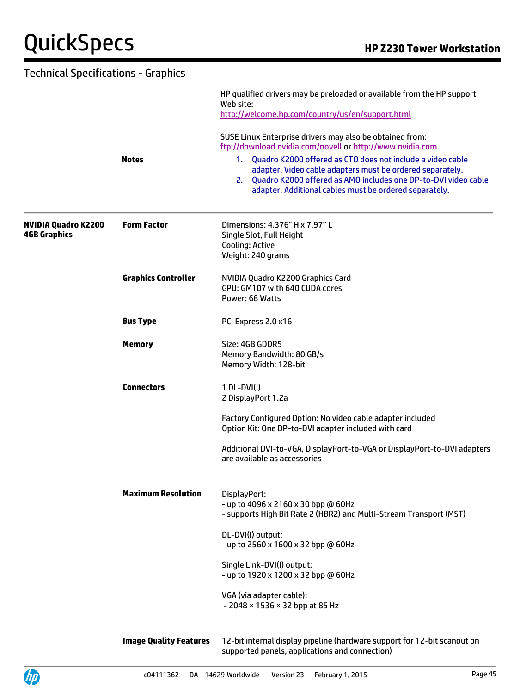| <b>Technical Specifications - Graphics</b>        |                               |                                                                                                                                                                                                                                                                  |
|---------------------------------------------------|-------------------------------|------------------------------------------------------------------------------------------------------------------------------------------------------------------------------------------------------------------------------------------------------------------|
|                                                   |                               | HP qualified drivers may be preloaded or available from the HP support<br>Web site:<br>http://welcome.hp.com/country/us/en/support.html<br>SUSE Linux Enterprise drivers may also be obtained from:<br>ftp://download.nvidia.com/novell or http://www.nvidia.com |
|                                                   |                               |                                                                                                                                                                                                                                                                  |
|                                                   | <b>Notes</b>                  | Quadro K2000 offered as CTO does not include a video cable<br>1.<br>adapter. Video cable adapters must be ordered separately.<br>2. Quadro K2000 offered as AMO includes one DP-to-DVI video cable<br>adapter. Additional cables must be ordered separately.     |
| <b>NVIDIA Quadro K2200</b><br><b>4GB Graphics</b> | <b>Form Factor</b>            | Dimensions: 4.376" H x 7.97" L<br>Single Slot, Full Height<br><b>Cooling: Active</b><br>Weight: 240 grams                                                                                                                                                        |
|                                                   | <b>Graphics Controller</b>    | NVIDIA Quadro K2200 Graphics Card<br>GPU: GM107 with 640 CUDA cores<br>Power: 68 Watts                                                                                                                                                                           |
|                                                   | <b>Bus Type</b>               | PCI Express 2.0 x16                                                                                                                                                                                                                                              |
|                                                   | <b>Memory</b>                 | Size: 4GB GDDR5<br>Memory Bandwidth: 80 GB/s<br>Memory Width: 128-bit                                                                                                                                                                                            |
|                                                   | <b>Connectors</b>             | 1 DL-DVI(I)<br>2 DisplayPort 1.2a                                                                                                                                                                                                                                |
|                                                   |                               | Factory Configured Option: No video cable adapter included<br>Option Kit: One DP-to-DVI adapter included with card                                                                                                                                               |
|                                                   |                               | Additional DVI-to-VGA, DisplayPort-to-VGA or DisplayPort-to-DVI adapters<br>are available as accessories                                                                                                                                                         |
|                                                   | <b>Maximum Resolution</b>     | DisplayPort:<br>- up to 4096 x 2160 x 30 bpp @ 60Hz<br>- supports High Bit Rate 2 (HBR2) and Multi-Stream Transport (MST)                                                                                                                                        |
|                                                   |                               | DL-DVI(I) output:<br>- up to 2560 x 1600 x 32 bpp @ 60Hz                                                                                                                                                                                                         |
|                                                   |                               | Single Link-DVI(I) output:<br>- up to 1920 x 1200 x 32 bpp @ 60Hz                                                                                                                                                                                                |
|                                                   |                               | VGA (via adapter cable):<br>- 2048 × 1536 × 32 bpp at 85 Hz                                                                                                                                                                                                      |
|                                                   | <b>Image Quality Features</b> | 12-bit internal display pipeline (hardware support for 12-bit scanout on                                                                                                                                                                                         |

supported panels, applications and connection)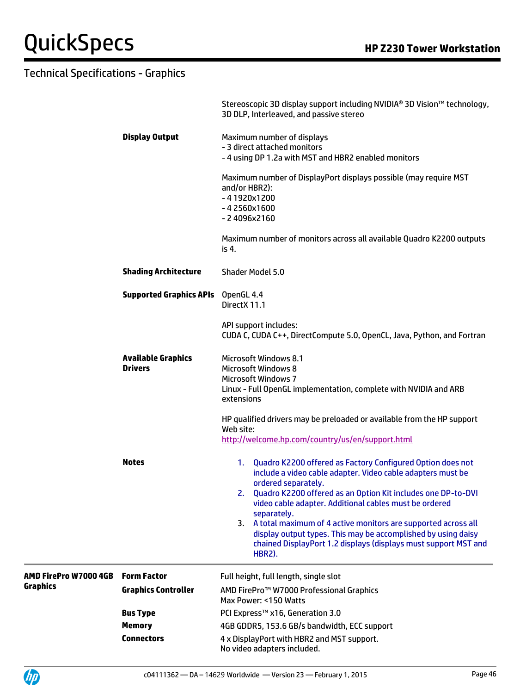|                       |                                             | Stereoscopic 3D display support including NVIDIA® 3D Vision™ technology,<br>3D DLP, Interleaved, and passive stereo                                                                                                                                                                 |
|-----------------------|---------------------------------------------|-------------------------------------------------------------------------------------------------------------------------------------------------------------------------------------------------------------------------------------------------------------------------------------|
|                       | <b>Display Output</b>                       | Maximum number of displays                                                                                                                                                                                                                                                          |
|                       |                                             | - 3 direct attached monitors                                                                                                                                                                                                                                                        |
|                       |                                             | - 4 using DP 1.2a with MST and HBR2 enabled monitors                                                                                                                                                                                                                                |
|                       |                                             | Maximum number of DisplayPort displays possible (may require MST<br>and/or HBR2):<br>$-41920x1200$<br>$-42560x1600$<br>$-24096x2160$                                                                                                                                                |
|                       |                                             | Maximum number of monitors across all available Quadro K2200 outputs<br>is 4.                                                                                                                                                                                                       |
|                       | <b>Shading Architecture</b>                 | <b>Shader Model 5.0</b>                                                                                                                                                                                                                                                             |
|                       | <b>Supported Graphics APIs</b> OpenGL 4.4   | DirectX 11.1                                                                                                                                                                                                                                                                        |
|                       |                                             | API support includes:<br>CUDA C, CUDA C++, DirectCompute 5.0, OpenCL, Java, Python, and Fortran                                                                                                                                                                                     |
|                       | <b>Available Graphics</b><br><b>Drivers</b> | <b>Microsoft Windows 8.1</b><br><b>Microsoft Windows 8</b>                                                                                                                                                                                                                          |
|                       |                                             | <b>Microsoft Windows 7</b><br>Linux - Full OpenGL implementation, complete with NVIDIA and ARB<br>extensions                                                                                                                                                                        |
|                       |                                             | HP qualified drivers may be preloaded or available from the HP support<br>Web site:<br>http://welcome.hp.com/country/us/en/support.html                                                                                                                                             |
|                       | <b>Notes</b>                                | Quadro K2200 offered as Factory Configured Option does not<br>1.<br>include a video cable adapter. Video cable adapters must be<br>ordered separately.<br>2. Quadro K2200 offered as an Option Kit includes one DP-to-DVI<br>video cable adapter. Additional cables must be ordered |
|                       |                                             | separately.<br>3. A total maximum of 4 active monitors are supported across all<br>display output types. This may be accomplished by using daisy<br>chained DisplayPort 1.2 displays (displays must support MST and<br><b>HBR2).</b>                                                |
| AMD FirePro W7000 4GB | <b>Form Factor</b>                          | Full height, full length, single slot                                                                                                                                                                                                                                               |
| <b>Graphics</b>       | <b>Graphics Controller</b>                  | AMD FirePro™ W7000 Professional Graphics<br>Max Power: <150 Watts                                                                                                                                                                                                                   |
|                       | <b>Bus Type</b>                             | PCI Express™ x16, Generation 3.0                                                                                                                                                                                                                                                    |
|                       | <b>Memory</b>                               | 4GB GDDR5, 153.6 GB/s bandwidth, ECC support                                                                                                                                                                                                                                        |
|                       | <b>Connectors</b>                           | 4 x DisplayPort with HBR2 and MST support.<br>No video adapters included.                                                                                                                                                                                                           |

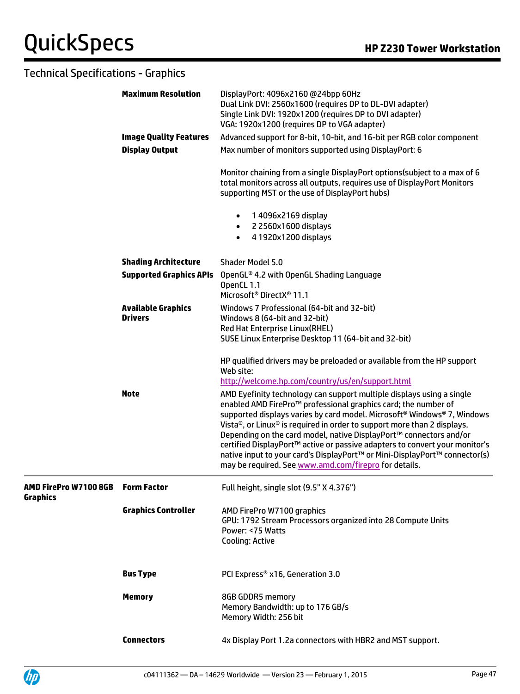|                                          | <b>Maximum Resolution</b>                   | DisplayPort: 4096x2160 @24bpp 60Hz<br>Dual Link DVI: 2560x1600 (requires DP to DL-DVI adapter)<br>Single Link DVI: 1920x1200 (requires DP to DVI adapter)<br>VGA: 1920x1200 (requires DP to VGA adapter)                                                                                                                                                                                                                                                                                                                     |
|------------------------------------------|---------------------------------------------|------------------------------------------------------------------------------------------------------------------------------------------------------------------------------------------------------------------------------------------------------------------------------------------------------------------------------------------------------------------------------------------------------------------------------------------------------------------------------------------------------------------------------|
|                                          | <b>Image Quality Features</b>               | Advanced support for 8-bit, 10-bit, and 16-bit per RGB color component                                                                                                                                                                                                                                                                                                                                                                                                                                                       |
|                                          | <b>Display Output</b>                       | Max number of monitors supported using DisplayPort: 6                                                                                                                                                                                                                                                                                                                                                                                                                                                                        |
|                                          |                                             | Monitor chaining from a single DisplayPort options (subject to a max of 6<br>total monitors across all outputs, requires use of DisplayPort Monitors<br>supporting MST or the use of DisplayPort hubs)                                                                                                                                                                                                                                                                                                                       |
|                                          |                                             | 1 4096x2169 display<br>$\bullet$<br>2 2560x1600 displays<br>$\bullet$<br>4 1920x1200 displays<br>$\bullet$                                                                                                                                                                                                                                                                                                                                                                                                                   |
|                                          | <b>Shading Architecture</b>                 | Shader Model 5.0                                                                                                                                                                                                                                                                                                                                                                                                                                                                                                             |
|                                          | <b>Supported Graphics APIs</b>              | OpenGL® 4.2 with OpenGL Shading Language<br>OpenCL 1.1<br>Microsoft <sup>®</sup> DirectX <sup>®</sup> 11.1                                                                                                                                                                                                                                                                                                                                                                                                                   |
|                                          | <b>Available Graphics</b><br><b>Drivers</b> | Windows 7 Professional (64-bit and 32-bit)<br>Windows 8 (64-bit and 32-bit)<br>Red Hat Enterprise Linux(RHEL)                                                                                                                                                                                                                                                                                                                                                                                                                |
|                                          | <b>Note</b>                                 | SUSE Linux Enterprise Desktop 11 (64-bit and 32-bit)<br>HP qualified drivers may be preloaded or available from the HP support<br>Web site:<br>http://welcome.hp.com/country/us/en/support.html<br>AMD Eyefinity technology can support multiple displays using a single                                                                                                                                                                                                                                                     |
|                                          |                                             | enabled AMD FirePro™ professional graphics card; the number of<br>supported displays varies by card model. Microsoft <sup>®</sup> Windows® 7, Windows<br>Vista®, or Linux® is required in order to support more than 2 displays.<br>Depending on the card model, native DisplayPort™ connectors and/or<br>certified DisplayPort™ active or passive adapters to convert your monitor's<br>native input to your card's DisplayPort™ or Mini-DisplayPort™ connector(s)<br>may be required. See www.amd.com/firepro for details. |
| AMD FirePro W7100 8GB<br><b>Graphics</b> | <b>Form Factor</b>                          | Full height, single slot (9.5" X 4.376")                                                                                                                                                                                                                                                                                                                                                                                                                                                                                     |
|                                          | <b>Graphics Controller</b>                  | AMD FirePro W7100 graphics<br>GPU: 1792 Stream Processors organized into 28 Compute Units<br>Power: <75 Watts<br><b>Cooling: Active</b>                                                                                                                                                                                                                                                                                                                                                                                      |
|                                          | <b>Bus Type</b>                             | PCI Express® x16, Generation 3.0                                                                                                                                                                                                                                                                                                                                                                                                                                                                                             |
|                                          | <b>Memory</b>                               | 8GB GDDR5 memory<br>Memory Bandwidth: up to 176 GB/s<br>Memory Width: 256 bit                                                                                                                                                                                                                                                                                                                                                                                                                                                |
|                                          | <b>Connectors</b>                           | 4x Display Port 1.2a connectors with HBR2 and MST support.                                                                                                                                                                                                                                                                                                                                                                                                                                                                   |

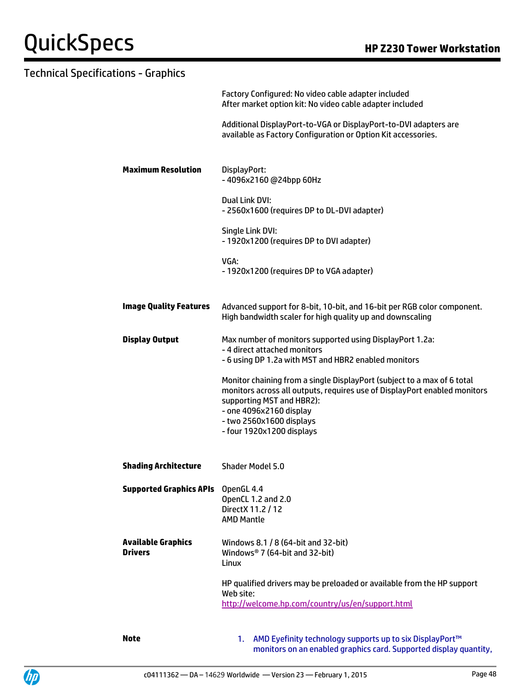|                                             | Factory Configured: No video cable adapter included<br>After market option kit: No video cable adapter included                                                                                                                                                       |
|---------------------------------------------|-----------------------------------------------------------------------------------------------------------------------------------------------------------------------------------------------------------------------------------------------------------------------|
|                                             | Additional DisplayPort-to-VGA or DisplayPort-to-DVI adapters are<br>available as Factory Configuration or Option Kit accessories.                                                                                                                                     |
| <b>Maximum Resolution</b>                   | DisplayPort:<br>-4096x2160@24bpp 60Hz                                                                                                                                                                                                                                 |
|                                             | Dual Link DVI:<br>- 2560x1600 (requires DP to DL-DVI adapter)                                                                                                                                                                                                         |
|                                             | Single Link DVI:<br>- 1920x1200 (requires DP to DVI adapter)                                                                                                                                                                                                          |
|                                             | VGA:<br>- 1920x1200 (requires DP to VGA adapter)                                                                                                                                                                                                                      |
| <b>Image Quality Features</b>               | Advanced support for 8-bit, 10-bit, and 16-bit per RGB color component.<br>High bandwidth scaler for high quality up and downscaling                                                                                                                                  |
| <b>Display Output</b>                       | Max number of monitors supported using DisplayPort 1.2a:<br>- 4 direct attached monitors<br>- 6 using DP 1.2a with MST and HBR2 enabled monitors                                                                                                                      |
|                                             | Monitor chaining from a single DisplayPort (subject to a max of 6 total<br>monitors across all outputs, requires use of DisplayPort enabled monitors<br>supporting MST and HBR2):<br>- one 4096x2160 display<br>- two 2560x1600 displays<br>- four 1920x1200 displays |
| <b>Shading Architecture</b>                 | Shader Model 5.0                                                                                                                                                                                                                                                      |
| <b>Supported Graphics APIs</b> OpenGL 4.4   | OpenCL 1.2 and 2.0<br>Direct X 11.2 / 12<br><b>AMD Mantle</b>                                                                                                                                                                                                         |
| <b>Available Graphics</b><br><b>Drivers</b> | Windows 8.1 / 8 (64-bit and 32-bit)<br>Windows® 7 (64-bit and 32-bit)<br>Linux                                                                                                                                                                                        |
|                                             | HP qualified drivers may be preloaded or available from the HP support<br>Web site:<br>http://welcome.hp.com/country/us/en/support.html                                                                                                                               |
| <b>Note</b>                                 | 1. AMD Eyefinity technology supports up to six DisplayPort™<br>monitors on an enabled graphics card. Supported display quantity,                                                                                                                                      |

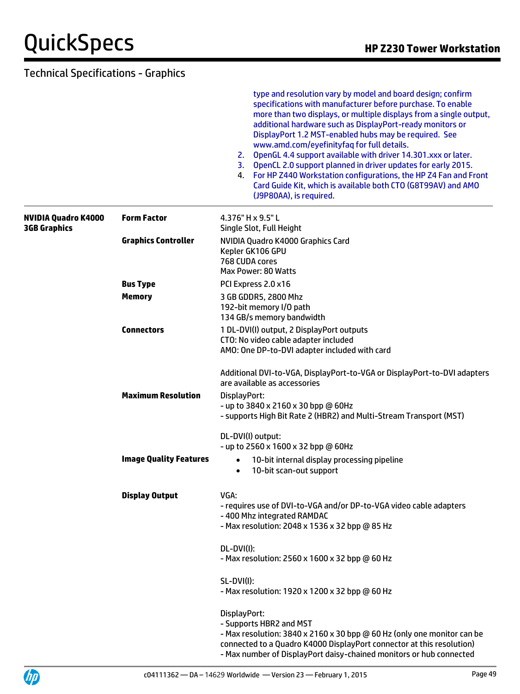|                                            |                               | type and resolution vary by model and board design; confirm<br>specifications with manufacturer before purchase. To enable<br>more than two displays, or multiple displays from a single output,<br>additional hardware such as DisplayPort-ready monitors or<br>DisplayPort 1.2 MST-enabled hubs may be required. See<br>www.amd.com/eyefinityfaq for full details.<br>2. OpenGL 4.4 support available with driver 14.301.xxx or later.<br>3. OpenCL 2.0 support planned in driver updates for early 2015.<br>4. For HP Z440 Workstation configurations, the HP Z4 Fan and Front<br>Card Guide Kit, which is available both CTO (G8T99AV) and AMO<br>(J9P80AA), is required. |
|--------------------------------------------|-------------------------------|-------------------------------------------------------------------------------------------------------------------------------------------------------------------------------------------------------------------------------------------------------------------------------------------------------------------------------------------------------------------------------------------------------------------------------------------------------------------------------------------------------------------------------------------------------------------------------------------------------------------------------------------------------------------------------|
| NVIDIA Quadro K4000<br><b>3GB Graphics</b> | <b>Form Factor</b>            | 4.376" H x 9.5" L<br>Single Slot, Full Height                                                                                                                                                                                                                                                                                                                                                                                                                                                                                                                                                                                                                                 |
|                                            | <b>Graphics Controller</b>    | NVIDIA Quadro K4000 Graphics Card<br>Kepler GK106 GPU<br>768 CUDA cores<br>Max Power: 80 Watts                                                                                                                                                                                                                                                                                                                                                                                                                                                                                                                                                                                |
|                                            | <b>Bus Type</b>               | PCI Express 2.0 x16                                                                                                                                                                                                                                                                                                                                                                                                                                                                                                                                                                                                                                                           |
|                                            | <b>Memory</b>                 | 3 GB GDDR5, 2800 Mhz<br>192-bit memory I/O path<br>134 GB/s memory bandwidth                                                                                                                                                                                                                                                                                                                                                                                                                                                                                                                                                                                                  |
|                                            | <b>Connectors</b>             | 1 DL-DVI(I) output, 2 DisplayPort outputs<br>CTO: No video cable adapter included<br>AMO: One DP-to-DVI adapter included with card                                                                                                                                                                                                                                                                                                                                                                                                                                                                                                                                            |
|                                            |                               | Additional DVI-to-VGA, DisplayPort-to-VGA or DisplayPort-to-DVI adapters<br>are available as accessories                                                                                                                                                                                                                                                                                                                                                                                                                                                                                                                                                                      |
|                                            | <b>Maximum Resolution</b>     | DisplayPort:<br>- up to 3840 x 2160 x 30 bpp @ 60Hz<br>- supports High Bit Rate 2 (HBR2) and Multi-Stream Transport (MST)                                                                                                                                                                                                                                                                                                                                                                                                                                                                                                                                                     |
|                                            |                               | DL-DVI(I) output:<br>- up to 2560 x 1600 x 32 bpp @ 60Hz                                                                                                                                                                                                                                                                                                                                                                                                                                                                                                                                                                                                                      |
|                                            | <b>Image Quality Features</b> | 10-bit internal display processing pipeline<br>10-bit scan-out support<br>$\bullet$                                                                                                                                                                                                                                                                                                                                                                                                                                                                                                                                                                                           |
|                                            | <b>Display Output</b>         | VGA:<br>- requires use of DVI-to-VGA and/or DP-to-VGA video cable adapters<br>-400 Mhz integrated RAMDAC<br>- Max resolution: 2048 x 1536 x 32 bpp @ 85 Hz                                                                                                                                                                                                                                                                                                                                                                                                                                                                                                                    |
|                                            |                               | DL-DVI(I):<br>- Max resolution: 2560 x 1600 x 32 bpp @ 60 Hz                                                                                                                                                                                                                                                                                                                                                                                                                                                                                                                                                                                                                  |
|                                            |                               | SL-DVI(I):<br>- Max resolution: 1920 x 1200 x 32 bpp @ 60 Hz                                                                                                                                                                                                                                                                                                                                                                                                                                                                                                                                                                                                                  |
|                                            |                               | DisplayPort:<br>- Supports HBR2 and MST<br>- Max resolution: 3840 x 2160 x 30 bpp @ 60 Hz (only one monitor can be<br>connected to a Quadro K4000 DisplayPort connector at this resolution)<br>- Max number of DisplayPort daisy-chained monitors or hub connected                                                                                                                                                                                                                                                                                                                                                                                                            |

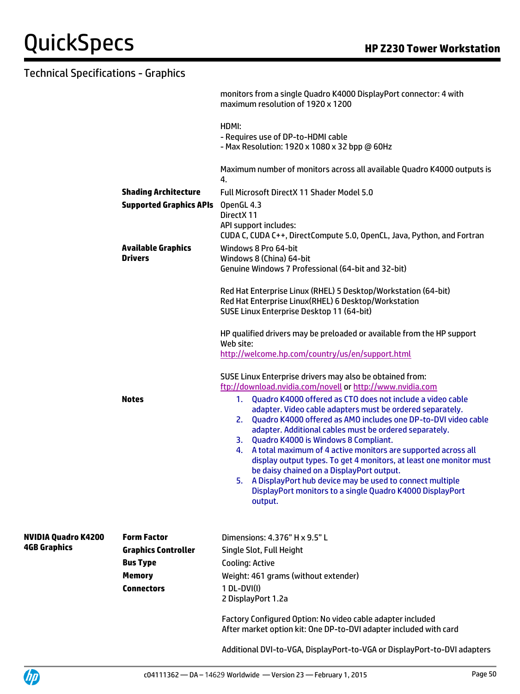|                            |                                | monitors from a single Quadro K4000 DisplayPort connector: 4 with<br>maximum resolution of 1920 x 1200                                                                                                                                                                                                                                                                                                                                                                                                                                                                                                                                                                                                                                                            |
|----------------------------|--------------------------------|-------------------------------------------------------------------------------------------------------------------------------------------------------------------------------------------------------------------------------------------------------------------------------------------------------------------------------------------------------------------------------------------------------------------------------------------------------------------------------------------------------------------------------------------------------------------------------------------------------------------------------------------------------------------------------------------------------------------------------------------------------------------|
|                            |                                | HDMI:<br>- Requires use of DP-to-HDMI cable<br>- Max Resolution: 1920 x 1080 x 32 bpp @ 60Hz                                                                                                                                                                                                                                                                                                                                                                                                                                                                                                                                                                                                                                                                      |
|                            |                                | Maximum number of monitors across all available Quadro K4000 outputs is<br>4.                                                                                                                                                                                                                                                                                                                                                                                                                                                                                                                                                                                                                                                                                     |
|                            | <b>Shading Architecture</b>    | Full Microsoft DirectX 11 Shader Model 5.0                                                                                                                                                                                                                                                                                                                                                                                                                                                                                                                                                                                                                                                                                                                        |
|                            | <b>Supported Graphics APIs</b> | OpenGL 4.3                                                                                                                                                                                                                                                                                                                                                                                                                                                                                                                                                                                                                                                                                                                                                        |
|                            |                                | DirectX 11                                                                                                                                                                                                                                                                                                                                                                                                                                                                                                                                                                                                                                                                                                                                                        |
|                            |                                | API support includes:<br>CUDA C, CUDA C++, DirectCompute 5.0, OpenCL, Java, Python, and Fortran                                                                                                                                                                                                                                                                                                                                                                                                                                                                                                                                                                                                                                                                   |
|                            | <b>Available Graphics</b>      | Windows 8 Pro 64-bit                                                                                                                                                                                                                                                                                                                                                                                                                                                                                                                                                                                                                                                                                                                                              |
|                            | <b>Drivers</b>                 | Windows 8 (China) 64-bit                                                                                                                                                                                                                                                                                                                                                                                                                                                                                                                                                                                                                                                                                                                                          |
|                            |                                | Genuine Windows 7 Professional (64-bit and 32-bit)                                                                                                                                                                                                                                                                                                                                                                                                                                                                                                                                                                                                                                                                                                                |
|                            |                                | Red Hat Enterprise Linux (RHEL) 5 Desktop/Workstation (64-bit)<br>Red Hat Enterprise Linux(RHEL) 6 Desktop/Workstation<br>SUSE Linux Enterprise Desktop 11 (64-bit)                                                                                                                                                                                                                                                                                                                                                                                                                                                                                                                                                                                               |
|                            |                                | HP qualified drivers may be preloaded or available from the HP support<br>Web site:                                                                                                                                                                                                                                                                                                                                                                                                                                                                                                                                                                                                                                                                               |
|                            |                                | http://welcome.hp.com/country/us/en/support.html                                                                                                                                                                                                                                                                                                                                                                                                                                                                                                                                                                                                                                                                                                                  |
|                            | <b>Notes</b>                   | SUSE Linux Enterprise drivers may also be obtained from:<br>ftp://download.nvidia.com/novell or http://www.nvidia.com<br>Quadro K4000 offered as CTO does not include a video cable<br>1.<br>adapter. Video cable adapters must be ordered separately.<br>Quadro K4000 offered as AMO includes one DP-to-DVI video cable<br>2.<br>adapter. Additional cables must be ordered separately.<br>3. Quadro K4000 is Windows 8 Compliant.<br>A total maximum of 4 active monitors are supported across all<br>4.<br>display output types. To get 4 monitors, at least one monitor must<br>be daisy chained on a DisplayPort output.<br>A DisplayPort hub device may be used to connect multiple<br>DisplayPort monitors to a single Quadro K4000 DisplayPort<br>output. |
| <b>NVIDIA Quadro K4200</b> | <b>Form Factor</b>             | Dimensions: 4.376" H x 9.5" L                                                                                                                                                                                                                                                                                                                                                                                                                                                                                                                                                                                                                                                                                                                                     |
| <b>4GB Graphics</b>        | <b>Graphics Controller</b>     | Single Slot, Full Height                                                                                                                                                                                                                                                                                                                                                                                                                                                                                                                                                                                                                                                                                                                                          |
|                            | <b>Bus Type</b>                | <b>Cooling: Active</b>                                                                                                                                                                                                                                                                                                                                                                                                                                                                                                                                                                                                                                                                                                                                            |
|                            | <b>Memory</b>                  | Weight: 461 grams (without extender)                                                                                                                                                                                                                                                                                                                                                                                                                                                                                                                                                                                                                                                                                                                              |
|                            | <b>Connectors</b>              | $1 DL-DVI(I)$<br>2 DisplayPort 1.2a                                                                                                                                                                                                                                                                                                                                                                                                                                                                                                                                                                                                                                                                                                                               |
|                            |                                | Factory Configured Option: No video cable adapter included<br>After market option kit: One DP-to-DVI adapter included with card                                                                                                                                                                                                                                                                                                                                                                                                                                                                                                                                                                                                                                   |
|                            |                                | Additional DVI-to-VGA, DisplayPort-to-VGA or DisplayPort-to-DVI adapters                                                                                                                                                                                                                                                                                                                                                                                                                                                                                                                                                                                                                                                                                          |

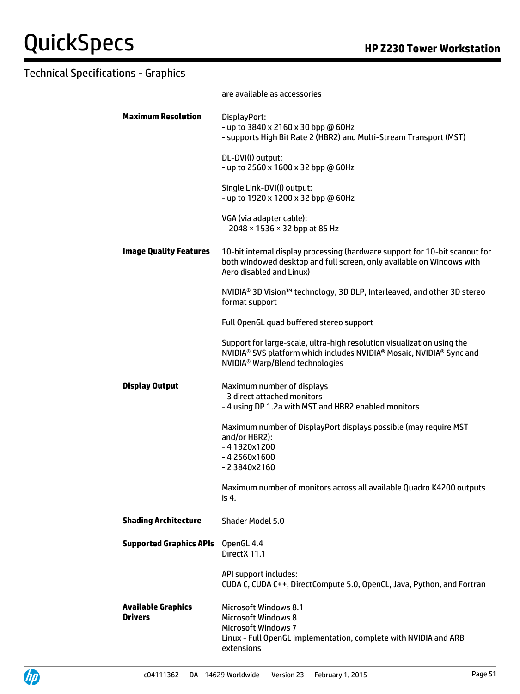|                                             | are available as accessories                                                                                                                                                                                                      |
|---------------------------------------------|-----------------------------------------------------------------------------------------------------------------------------------------------------------------------------------------------------------------------------------|
| <b>Maximum Resolution</b>                   | DisplayPort:<br>- up to 3840 x 2160 x 30 bpp @ 60Hz<br>- supports High Bit Rate 2 (HBR2) and Multi-Stream Transport (MST)                                                                                                         |
|                                             | DL-DVI(I) output:<br>- up to 2560 x 1600 x 32 bpp @ 60Hz                                                                                                                                                                          |
|                                             | Single Link-DVI(I) output:<br>- up to 1920 x 1200 x 32 bpp @ 60Hz                                                                                                                                                                 |
|                                             | VGA (via adapter cable):<br>- 2048 × 1536 × 32 bpp at 85 Hz                                                                                                                                                                       |
| <b>Image Quality Features</b>               | 10-bit internal display processing (hardware support for 10-bit scanout for<br>both windowed desktop and full screen, only available on Windows with<br>Aero disabled and Linux)                                                  |
|                                             | NVIDIA <sup>®</sup> 3D Vision <sup>™</sup> technology, 3D DLP, Interleaved, and other 3D stereo<br>format support                                                                                                                 |
|                                             | Full OpenGL quad buffered stereo support                                                                                                                                                                                          |
|                                             | Support for large-scale, ultra-high resolution visualization using the<br>NVIDIA <sup>®</sup> SVS platform which includes NVIDIA <sup>®</sup> Mosaic, NVIDIA <sup>®</sup> Sync and<br>NVIDIA <sup>®</sup> Warp/Blend technologies |
| <b>Display Output</b>                       | Maximum number of displays<br>- 3 direct attached monitors<br>- 4 using DP 1.2a with MST and HBR2 enabled monitors                                                                                                                |
|                                             | Maximum number of DisplayPort displays possible (may require MST<br>and/or HBR2):<br>$-41920x1200$<br>$-42560x1600$<br>$-23840x2160$                                                                                              |
|                                             | Maximum number of monitors across all available Quadro K4200 outputs<br>is 4.                                                                                                                                                     |
| <b>Shading Architecture</b>                 | Shader Model 5.0                                                                                                                                                                                                                  |
| <b>Supported Graphics APIs</b>              | OpenGL 4.4<br>DirectX 11.1                                                                                                                                                                                                        |
|                                             | API support includes:<br>CUDA C, CUDA C++, DirectCompute 5.0, OpenCL, Java, Python, and Fortran                                                                                                                                   |
| <b>Available Graphics</b><br><b>Drivers</b> | <b>Microsoft Windows 8.1</b><br><b>Microsoft Windows 8</b><br><b>Microsoft Windows 7</b><br>Linux - Full OpenGL implementation, complete with NVIDIA and ARB<br>extensions                                                        |

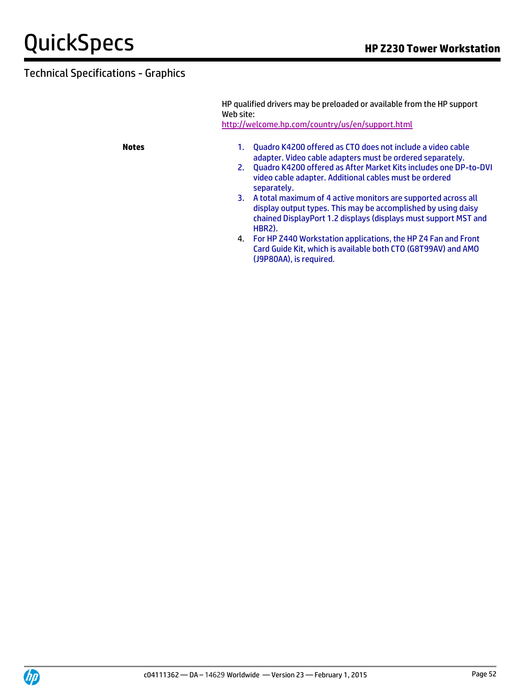HP qualified drivers may be preloaded or available from the HP support Web site: <http://welcome.hp.com/country/us/en/support.html>

- **Notes** 1. Quadro K4200 offered as CTO does not include a video cable adapter. Video cable adapters must be ordered separately.
	- 2. Quadro K4200 offered as After Market Kits includes one DP-to-DVI video cable adapter. Additional cables must be ordered separately.
	- 3. A total maximum of 4 active monitors are supported across all display output types. This may be accomplished by using daisy chained DisplayPort 1.2 displays (displays must support MST and HBR2).
	- 4. For HP Z440 Workstation applications, the HP Z4 Fan and Front Card Guide Kit, which is available both CTO (G8T99AV) and AMO (J9P80AA), is required.

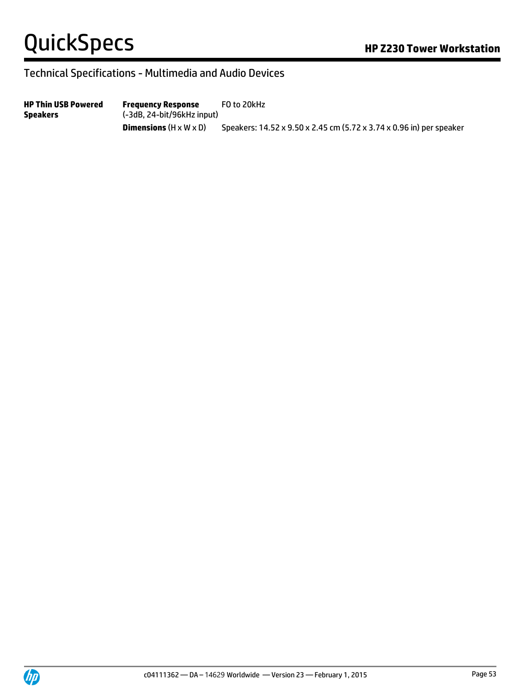### Technical Specifications - Multimedia and Audio Devices

**HP Thin USB Powered Speakers Frequency Response** (-3dB, 24-bit/96kHz input) FO to 20kHz **Dimensions** (H x W x D) Speakers: 14.52 x 9.50 x 2.45 cm (5.72 x 3.74 x 0.96 in) per speaker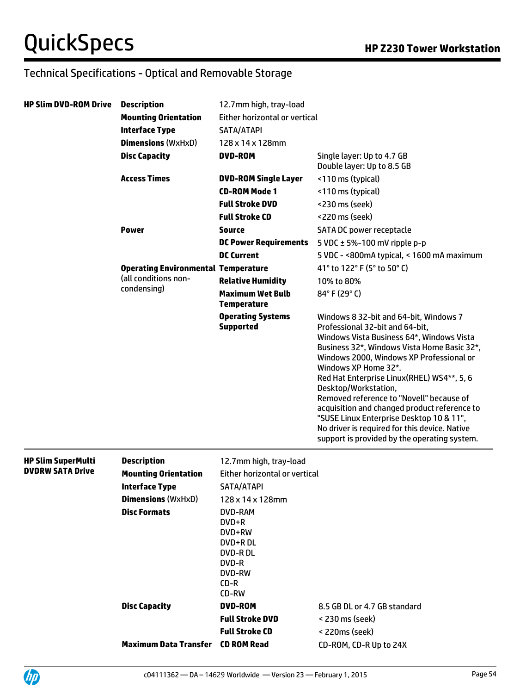| <b>HP Slim DVD-ROM Drive</b> | <b>Description</b>                         | 12.7mm high, tray-load                                                                       |                                                                                                                                                                                                                                                                                                                                                                                                                                                                                                                                                          |
|------------------------------|--------------------------------------------|----------------------------------------------------------------------------------------------|----------------------------------------------------------------------------------------------------------------------------------------------------------------------------------------------------------------------------------------------------------------------------------------------------------------------------------------------------------------------------------------------------------------------------------------------------------------------------------------------------------------------------------------------------------|
|                              | <b>Mounting Orientation</b>                | Either horizontal or vertical                                                                |                                                                                                                                                                                                                                                                                                                                                                                                                                                                                                                                                          |
|                              | <b>Interface Type</b>                      | SATA/ATAPI                                                                                   |                                                                                                                                                                                                                                                                                                                                                                                                                                                                                                                                                          |
|                              | <b>Dimensions (WxHxD)</b>                  | 128 x 14 x 128mm                                                                             |                                                                                                                                                                                                                                                                                                                                                                                                                                                                                                                                                          |
|                              | <b>Disc Capacity</b>                       | <b>DVD-ROM</b>                                                                               | Single layer: Up to 4.7 GB<br>Double layer: Up to 8.5 GB                                                                                                                                                                                                                                                                                                                                                                                                                                                                                                 |
|                              | <b>Access Times</b>                        | <b>DVD-ROM Single Layer</b>                                                                  | <110 ms (typical)                                                                                                                                                                                                                                                                                                                                                                                                                                                                                                                                        |
|                              |                                            | <b>CD-ROM Mode 1</b>                                                                         | <110 ms (typical)                                                                                                                                                                                                                                                                                                                                                                                                                                                                                                                                        |
|                              |                                            | <b>Full Stroke DVD</b>                                                                       | <230 ms (seek)                                                                                                                                                                                                                                                                                                                                                                                                                                                                                                                                           |
|                              |                                            | <b>Full Stroke CD</b>                                                                        | <220 ms (seek)                                                                                                                                                                                                                                                                                                                                                                                                                                                                                                                                           |
|                              | <b>Power</b>                               | <b>Source</b>                                                                                | SATA DC power receptacle                                                                                                                                                                                                                                                                                                                                                                                                                                                                                                                                 |
|                              |                                            | <b>DC Power Requirements</b>                                                                 | 5 VDC $\pm$ 5%-100 mV ripple p-p                                                                                                                                                                                                                                                                                                                                                                                                                                                                                                                         |
|                              |                                            | <b>DC Current</b>                                                                            | 5 VDC - <800mA typical, < 1600 mA maximum                                                                                                                                                                                                                                                                                                                                                                                                                                                                                                                |
|                              | <b>Operating Environmental Temperature</b> |                                                                                              | 41° to 122° F (5° to 50° C)                                                                                                                                                                                                                                                                                                                                                                                                                                                                                                                              |
|                              | (all conditions non-                       | <b>Relative Humidity</b>                                                                     | 10% to 80%                                                                                                                                                                                                                                                                                                                                                                                                                                                                                                                                               |
|                              | condensing)                                | <b>Maximum Wet Bulb</b><br><b>Temperature</b>                                                | 84°F (29°C)                                                                                                                                                                                                                                                                                                                                                                                                                                                                                                                                              |
|                              |                                            | <b>Operating Systems</b><br><b>Supported</b>                                                 | Windows 8 32-bit and 64-bit, Windows 7<br>Professional 32-bit and 64-bit,<br>Windows Vista Business 64*, Windows Vista<br>Business 32*, Windows Vista Home Basic 32*,<br>Windows 2000, Windows XP Professional or<br>Windows XP Home 32*.<br>Red Hat Enterprise Linux(RHEL) WS4**, 5, 6<br>Desktop/Workstation,<br>Removed reference to "Novell" because of<br>acquisition and changed product reference to<br>"SUSE Linux Enterprise Desktop 10 & 11",<br>No driver is required for this device. Native<br>support is provided by the operating system. |
| <b>HP Slim SuperMulti</b>    | <b>Description</b>                         | 12.7mm high, tray-load                                                                       |                                                                                                                                                                                                                                                                                                                                                                                                                                                                                                                                                          |
| <b>DVDRW SATA Drive</b>      | <b>Mounting Orientation</b>                | Either horizontal or vertical                                                                |                                                                                                                                                                                                                                                                                                                                                                                                                                                                                                                                                          |
|                              | <b>Interface Type</b>                      | SATA/ATAPI                                                                                   |                                                                                                                                                                                                                                                                                                                                                                                                                                                                                                                                                          |
|                              | <b>Dimensions (WxHxD)</b>                  | 128 x 14 x 128mm                                                                             |                                                                                                                                                                                                                                                                                                                                                                                                                                                                                                                                                          |
|                              | <b>Disc Formats</b>                        | DVD-RAM<br>DVD+R<br>DVD+RW<br>DVD+R DL<br><b>DVD-RDL</b><br>DVD-R<br>DVD-RW<br>CD-R<br>CD-RW |                                                                                                                                                                                                                                                                                                                                                                                                                                                                                                                                                          |
|                              | <b>Disc Capacity</b>                       | <b>DVD-ROM</b>                                                                               | 8.5 GB DL or 4.7 GB standard                                                                                                                                                                                                                                                                                                                                                                                                                                                                                                                             |
|                              |                                            | <b>Full Stroke DVD</b>                                                                       | < 230 ms (seek)                                                                                                                                                                                                                                                                                                                                                                                                                                                                                                                                          |
|                              |                                            | <b>Full Stroke CD</b>                                                                        | < 220ms (seek)                                                                                                                                                                                                                                                                                                                                                                                                                                                                                                                                           |
|                              | <b>Maximum Data Transfer</b>               | <b>CD ROM Read</b>                                                                           | CD-ROM, CD-R Up to 24X                                                                                                                                                                                                                                                                                                                                                                                                                                                                                                                                   |

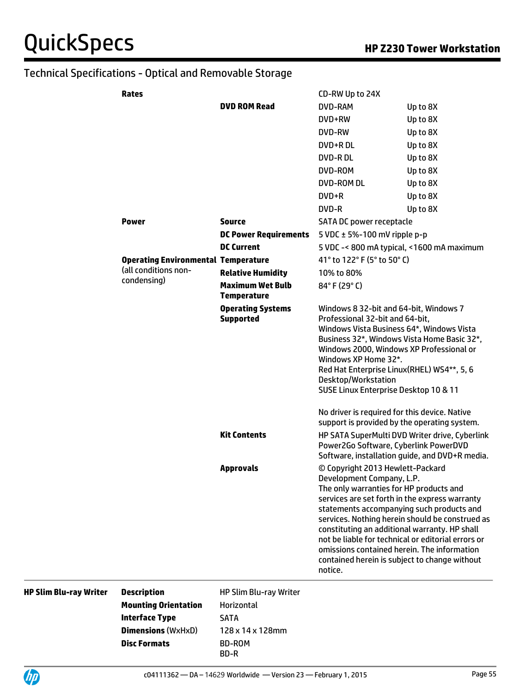| Rates                                      |                                               | CD-RW Up to 24X                                                                                                                                                                                                                                                                                                                                                                                                                                                              |          |
|--------------------------------------------|-----------------------------------------------|------------------------------------------------------------------------------------------------------------------------------------------------------------------------------------------------------------------------------------------------------------------------------------------------------------------------------------------------------------------------------------------------------------------------------------------------------------------------------|----------|
|                                            | <b>DVD ROM Read</b>                           | DVD-RAM                                                                                                                                                                                                                                                                                                                                                                                                                                                                      | Up to 8X |
|                                            |                                               | DVD+RW                                                                                                                                                                                                                                                                                                                                                                                                                                                                       | Up to 8X |
|                                            |                                               | DVD-RW                                                                                                                                                                                                                                                                                                                                                                                                                                                                       | Up to 8X |
|                                            |                                               | DVD+RDL                                                                                                                                                                                                                                                                                                                                                                                                                                                                      | Up to 8X |
|                                            |                                               | <b>DVD-RDL</b>                                                                                                                                                                                                                                                                                                                                                                                                                                                               | Up to 8X |
|                                            |                                               | DVD-ROM                                                                                                                                                                                                                                                                                                                                                                                                                                                                      | Up to 8X |
|                                            |                                               | <b>DVD-ROM DL</b>                                                                                                                                                                                                                                                                                                                                                                                                                                                            | Up to 8X |
|                                            |                                               | $DVD+R$                                                                                                                                                                                                                                                                                                                                                                                                                                                                      | Up to 8X |
|                                            |                                               | DVD-R                                                                                                                                                                                                                                                                                                                                                                                                                                                                        | Up to 8X |
| <b>Power</b>                               | <b>Source</b>                                 | SATA DC power receptacle                                                                                                                                                                                                                                                                                                                                                                                                                                                     |          |
|                                            | <b>DC Power Requirements</b>                  | 5 VDC $\pm$ 5%-100 mV ripple p-p                                                                                                                                                                                                                                                                                                                                                                                                                                             |          |
|                                            | <b>DC Current</b>                             | 5 VDC -< 800 mA typical, <1600 mA maximum                                                                                                                                                                                                                                                                                                                                                                                                                                    |          |
| <b>Operating Environmental Temperature</b> |                                               | 41° to 122° F (5° to 50° C)                                                                                                                                                                                                                                                                                                                                                                                                                                                  |          |
| (all conditions non-                       | <b>Relative Humidity</b>                      | 10% to 80%                                                                                                                                                                                                                                                                                                                                                                                                                                                                   |          |
| condensing)                                | <b>Maximum Wet Bulb</b><br><b>Temperature</b> | 84°F (29°C)                                                                                                                                                                                                                                                                                                                                                                                                                                                                  |          |
|                                            | <b>Operating Systems</b><br><b>Supported</b>  | Windows 8 32-bit and 64-bit, Windows 7<br>Professional 32-bit and 64-bit,<br>Windows Vista Business 64*, Windows Vista<br>Business 32*, Windows Vista Home Basic 32*,<br>Windows 2000, Windows XP Professional or<br>Windows XP Home 32*.<br>Red Hat Enterprise Linux(RHEL) WS4**, 5, 6<br>Desktop/Workstation<br>SUSE Linux Enterprise Desktop 10 & 11<br>No driver is required for this device. Native                                                                     |          |
|                                            | <b>Kit Contents</b>                           | support is provided by the operating system.<br>HP SATA SuperMulti DVD Writer drive, Cyberlink<br>Power2Go Software, Cyberlink PowerDVD<br>Software, installation guide, and DVD+R media.                                                                                                                                                                                                                                                                                    |          |
|                                            | <b>Approvals</b>                              | © Copyright 2013 Hewlett-Packard<br>Development Company, L.P.<br>The only warranties for HP products and<br>services are set forth in the express warranty<br>statements accompanying such products and<br>services. Nothing herein should be construed as<br>constituting an additional warranty. HP shall<br>not be liable for technical or editorial errors or<br>omissions contained herein. The information<br>contained herein is subject to change without<br>notice. |          |

|  |  | <b>HP Slim Blu-ray Writer</b> |  |
|--|--|-------------------------------|--|
|--|--|-------------------------------|--|

**Description HP Slim Blu-ray Writer Mounting Orientation** Horizontal **Interface Type** SATA **Dimensions** (WxHxD) 128 x 14 x 128mm **Disc Formats** BD-ROM

BD-R

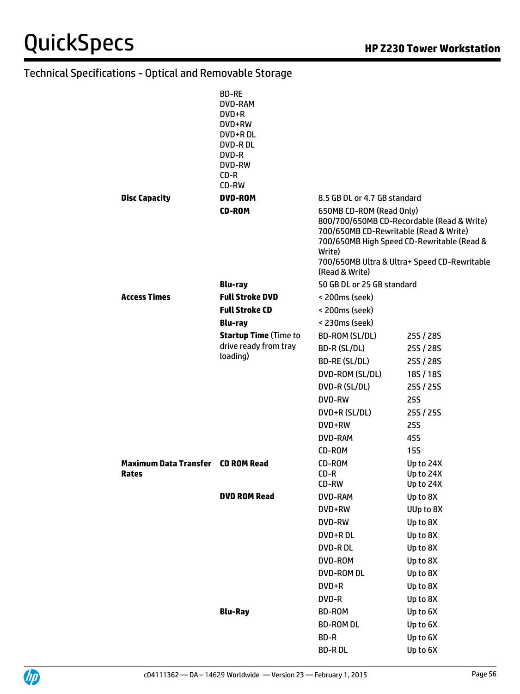|                                          | <b>BD-RE</b><br>DVD-RAM<br>DVD+R<br>DVD+RW<br>DVD+R DL<br><b>DVD-RDL</b><br>DVD-R<br>DVD-RW<br>$CD-R$<br>CD-RW |                                                                                                |                                                                                                                                          |
|------------------------------------------|----------------------------------------------------------------------------------------------------------------|------------------------------------------------------------------------------------------------|------------------------------------------------------------------------------------------------------------------------------------------|
| <b>Disc Capacity</b>                     | <b>DVD-ROM</b>                                                                                                 | 8.5 GB DL or 4.7 GB standard                                                                   |                                                                                                                                          |
|                                          | <b>CD-ROM</b>                                                                                                  | 650MB CD-ROM (Read Only)<br>700/650MB CD-Rewritable (Read & Write)<br>Write)<br>(Read & Write) | 800/700/650MB CD-Recordable (Read & Write)<br>700/650MB High Speed CD-Rewritable (Read &<br>700/650MB Ultra & Ultra+ Speed CD-Rewritable |
|                                          | <b>Blu-ray</b>                                                                                                 | 50 GB DL or 25 GB standard                                                                     |                                                                                                                                          |
| <b>Access Times</b>                      | <b>Full Stroke DVD</b>                                                                                         | < 200ms (seek)                                                                                 |                                                                                                                                          |
|                                          | <b>Full Stroke CD</b>                                                                                          | < 200ms (seek)<br>< 230ms (seek)                                                               |                                                                                                                                          |
|                                          | <b>Blu-ray</b><br><b>Startup Time (Time to</b>                                                                 | BD-ROM (SL/DL)                                                                                 | 25S / 28S                                                                                                                                |
|                                          | drive ready from tray                                                                                          | BD-R (SL/DL)                                                                                   | 25S / 28S                                                                                                                                |
|                                          | loading)                                                                                                       | BD-RE (SL/DL)                                                                                  | 25S / 28S                                                                                                                                |
|                                          |                                                                                                                | DVD-ROM (SL/DL)                                                                                | 18S/18S                                                                                                                                  |
|                                          |                                                                                                                | DVD-R (SL/DL)                                                                                  | 25S / 25S                                                                                                                                |
|                                          |                                                                                                                | DVD-RW                                                                                         | <b>25S</b>                                                                                                                               |
|                                          |                                                                                                                | DVD+R (SL/DL)                                                                                  | 25S / 25S                                                                                                                                |
|                                          |                                                                                                                | DVD+RW                                                                                         | <b>25S</b>                                                                                                                               |
|                                          |                                                                                                                | DVD-RAM                                                                                        | 45S                                                                                                                                      |
|                                          |                                                                                                                | CD-ROM                                                                                         | <b>15S</b>                                                                                                                               |
| <b>Maximum Data Transfer CD ROM Read</b> |                                                                                                                | CD-ROM                                                                                         | Up to 24X                                                                                                                                |
| Rates                                    |                                                                                                                | $CD-R$<br>CD-RW                                                                                | Up to 24X<br>Up to 24X                                                                                                                   |
|                                          | <b>DVD ROM Read</b>                                                                                            | DVD-RAM                                                                                        | Up to 8X                                                                                                                                 |
|                                          |                                                                                                                | DVD+RW                                                                                         | UUp to 8X                                                                                                                                |
|                                          |                                                                                                                | DVD-RW                                                                                         | Up to 8X                                                                                                                                 |
|                                          |                                                                                                                | DVD+R DL                                                                                       | Up to 8X                                                                                                                                 |
|                                          |                                                                                                                | DVD-RDL                                                                                        | Up to 8X                                                                                                                                 |
|                                          |                                                                                                                | DVD-ROM                                                                                        | Up to 8X                                                                                                                                 |
|                                          |                                                                                                                | DVD-ROM DL                                                                                     | Up to 8X                                                                                                                                 |
|                                          |                                                                                                                | DVD+R                                                                                          | Up to 8X                                                                                                                                 |
|                                          |                                                                                                                | DVD-R                                                                                          | Up to 8X                                                                                                                                 |
|                                          | <b>Blu-Ray</b>                                                                                                 | BD-ROM                                                                                         | Up to 6X                                                                                                                                 |
|                                          |                                                                                                                | <b>BD-ROM DL</b>                                                                               | Up to 6X                                                                                                                                 |
|                                          |                                                                                                                | BD-R                                                                                           | Up to 6X                                                                                                                                 |
|                                          |                                                                                                                | <b>BD-RDL</b>                                                                                  | Up to 6X                                                                                                                                 |
|                                          |                                                                                                                |                                                                                                |                                                                                                                                          |

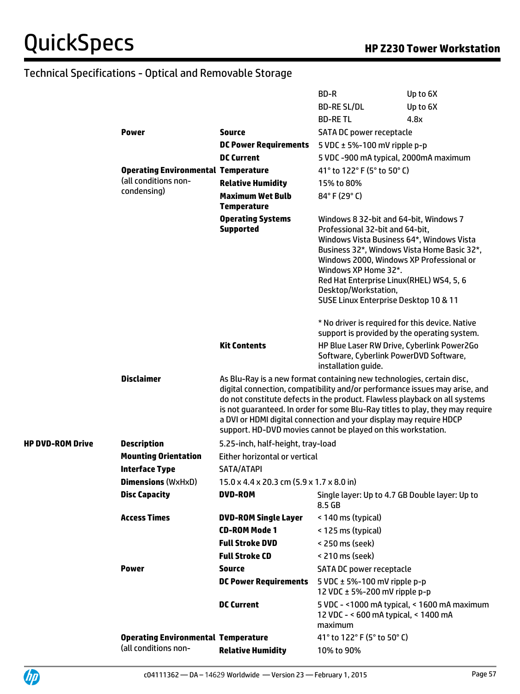|                         |                                            |                                                                                                                                                                                                                                                                                                                                                                         | BD-R                                                                                                                                                                                                                                                                                                                                                                                                  | Up to 6X                                                                                                                                  |
|-------------------------|--------------------------------------------|-------------------------------------------------------------------------------------------------------------------------------------------------------------------------------------------------------------------------------------------------------------------------------------------------------------------------------------------------------------------------|-------------------------------------------------------------------------------------------------------------------------------------------------------------------------------------------------------------------------------------------------------------------------------------------------------------------------------------------------------------------------------------------------------|-------------------------------------------------------------------------------------------------------------------------------------------|
|                         |                                            |                                                                                                                                                                                                                                                                                                                                                                         | <b>BD-RE SL/DL</b>                                                                                                                                                                                                                                                                                                                                                                                    | Up to 6X                                                                                                                                  |
|                         |                                            |                                                                                                                                                                                                                                                                                                                                                                         | <b>BD-RETL</b>                                                                                                                                                                                                                                                                                                                                                                                        | 4.8x                                                                                                                                      |
|                         | <b>Power</b>                               | <b>Source</b>                                                                                                                                                                                                                                                                                                                                                           | SATA DC power receptacle                                                                                                                                                                                                                                                                                                                                                                              |                                                                                                                                           |
|                         |                                            | <b>DC Power Requirements</b>                                                                                                                                                                                                                                                                                                                                            | 5 VDC $\pm$ 5%-100 mV ripple p-p                                                                                                                                                                                                                                                                                                                                                                      |                                                                                                                                           |
|                         |                                            | <b>DC Current</b>                                                                                                                                                                                                                                                                                                                                                       | 5 VDC -900 mA typical, 2000mA maximum                                                                                                                                                                                                                                                                                                                                                                 |                                                                                                                                           |
|                         | <b>Operating Environmental Temperature</b> |                                                                                                                                                                                                                                                                                                                                                                         | 41° to 122° F (5° to 50° C)                                                                                                                                                                                                                                                                                                                                                                           |                                                                                                                                           |
|                         | (all conditions non-                       | <b>Relative Humidity</b>                                                                                                                                                                                                                                                                                                                                                | 15% to 80%                                                                                                                                                                                                                                                                                                                                                                                            |                                                                                                                                           |
|                         | condensing)                                | <b>Maximum Wet Bulb</b><br><b>Temperature</b>                                                                                                                                                                                                                                                                                                                           | 84°F (29°C)                                                                                                                                                                                                                                                                                                                                                                                           |                                                                                                                                           |
|                         |                                            | <b>Operating Systems</b><br><b>Supported</b><br><b>Kit Contents</b>                                                                                                                                                                                                                                                                                                     | Windows 8 32-bit and 64-bit, Windows 7<br>Professional 32-bit and 64-bit,<br>Windows Vista Business 64*, Windows Vista<br>Windows 2000, Windows XP Professional or<br>Windows XP Home 32*.<br>Red Hat Enterprise Linux (RHEL) WS4, 5, 6<br>Desktop/Workstation,<br>SUSE Linux Enterprise Desktop 10 & 11<br>* No driver is required for this device. Native<br>Software, Cyberlink PowerDVD Software, | Business 32*, Windows Vista Home Basic 32*,<br>support is provided by the operating system.<br>HP Blue Laser RW Drive, Cyberlink Power2Go |
|                         | <b>Disclaimer</b>                          | As Blu-Ray is a new format containing new technologies, certain disc,<br>digital connection, compatibility and/or performance issues may arise, and<br>do not constitute defects in the product. Flawless playback on all systems<br>a DVI or HDMI digital connection and your display may require HDCP<br>support. HD-DVD movies cannot be played on this workstation. | installation guide.                                                                                                                                                                                                                                                                                                                                                                                   | is not guaranteed. In order for some Blu-Ray titles to play, they may require                                                             |
| <b>HP DVD-ROM Drive</b> | <b>Description</b>                         | 5.25-inch, half-height, tray-load                                                                                                                                                                                                                                                                                                                                       |                                                                                                                                                                                                                                                                                                                                                                                                       |                                                                                                                                           |
|                         | <b>Mounting Orientation</b>                | Either horizontal or vertical                                                                                                                                                                                                                                                                                                                                           |                                                                                                                                                                                                                                                                                                                                                                                                       |                                                                                                                                           |
|                         | <b>Interface Type</b>                      | SATA/ATAPI                                                                                                                                                                                                                                                                                                                                                              |                                                                                                                                                                                                                                                                                                                                                                                                       |                                                                                                                                           |
|                         | <b>Dimensions (WxHxD)</b>                  | 15.0 x 4.4 x 20.3 cm (5.9 x 1.7 x 8.0 in)                                                                                                                                                                                                                                                                                                                               |                                                                                                                                                                                                                                                                                                                                                                                                       |                                                                                                                                           |
|                         | <b>Disc Capacity</b>                       | <b>DVD-ROM</b>                                                                                                                                                                                                                                                                                                                                                          | 8.5 GB                                                                                                                                                                                                                                                                                                                                                                                                | Single layer: Up to 4.7 GB Double layer: Up to                                                                                            |
|                         | <b>Access Times</b>                        | <b>DVD-ROM Single Layer</b>                                                                                                                                                                                                                                                                                                                                             | < 140 ms (typical)                                                                                                                                                                                                                                                                                                                                                                                    |                                                                                                                                           |
|                         |                                            | <b>CD-ROM Mode 1</b>                                                                                                                                                                                                                                                                                                                                                    | < 125 ms (typical)                                                                                                                                                                                                                                                                                                                                                                                    |                                                                                                                                           |
|                         |                                            | <b>Full Stroke DVD</b>                                                                                                                                                                                                                                                                                                                                                  | < 250 ms (seek)                                                                                                                                                                                                                                                                                                                                                                                       |                                                                                                                                           |
|                         |                                            | <b>Full Stroke CD</b>                                                                                                                                                                                                                                                                                                                                                   | < 210 ms (seek)                                                                                                                                                                                                                                                                                                                                                                                       |                                                                                                                                           |
|                         | <b>Power</b>                               | <b>Source</b>                                                                                                                                                                                                                                                                                                                                                           | SATA DC power receptacle                                                                                                                                                                                                                                                                                                                                                                              |                                                                                                                                           |
|                         |                                            | <b>DC Power Requirements</b>                                                                                                                                                                                                                                                                                                                                            | 5 VDC $\pm$ 5%-100 mV ripple p-p<br>12 VDC ± 5%-200 mV ripple p-p                                                                                                                                                                                                                                                                                                                                     |                                                                                                                                           |
|                         |                                            | <b>DC Current</b>                                                                                                                                                                                                                                                                                                                                                       | 12 VDC - < 600 mA typical, < 1400 mA<br>maximum                                                                                                                                                                                                                                                                                                                                                       | 5 VDC - <1000 mA typical, < 1600 mA maximum                                                                                               |
|                         | <b>Operating Environmental Temperature</b> |                                                                                                                                                                                                                                                                                                                                                                         | 41° to 122° F (5° to 50° C)                                                                                                                                                                                                                                                                                                                                                                           |                                                                                                                                           |
|                         | (all conditions non-                       | <b>Relative Humidity</b>                                                                                                                                                                                                                                                                                                                                                | 10% to 90%                                                                                                                                                                                                                                                                                                                                                                                            |                                                                                                                                           |
|                         |                                            |                                                                                                                                                                                                                                                                                                                                                                         |                                                                                                                                                                                                                                                                                                                                                                                                       |                                                                                                                                           |

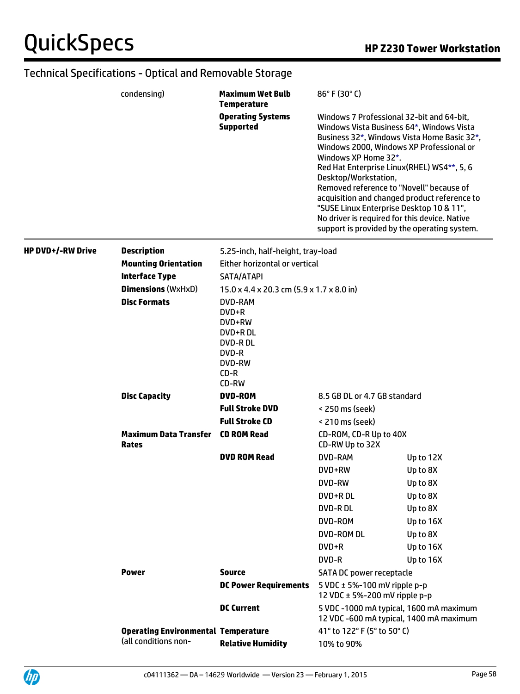|                          | condensing)                                  | <b>Maximum Wet Bulb</b><br><b>Temperature</b>                                                                | $86^{\circ}$ F (30 $^{\circ}$ C)                                                                                                                                                                                                                                                                                                                                          |                                                                                                                                             |
|--------------------------|----------------------------------------------|--------------------------------------------------------------------------------------------------------------|---------------------------------------------------------------------------------------------------------------------------------------------------------------------------------------------------------------------------------------------------------------------------------------------------------------------------------------------------------------------------|---------------------------------------------------------------------------------------------------------------------------------------------|
|                          |                                              | <b>Operating Systems</b><br><b>Supported</b>                                                                 | Windows 7 Professional 32-bit and 64-bit,<br>Windows Vista Business 64*, Windows Vista<br>Windows 2000, Windows XP Professional or<br>Windows XP Home 32*.<br>Red Hat Enterprise Linux(RHEL) WS4**, 5, 6<br>Desktop/Workstation,<br>Removed reference to "Novell" because of<br>"SUSE Linux Enterprise Desktop 10 & 11",<br>No driver is required for this device. Native | Business 32*, Windows Vista Home Basic 32*,<br>acquisition and changed product reference to<br>support is provided by the operating system. |
| <b>HP DVD+/-RW Drive</b> | <b>Description</b>                           | 5.25-inch, half-height, tray-load                                                                            |                                                                                                                                                                                                                                                                                                                                                                           |                                                                                                                                             |
|                          | <b>Mounting Orientation</b>                  | Either horizontal or vertical                                                                                |                                                                                                                                                                                                                                                                                                                                                                           |                                                                                                                                             |
|                          | <b>Interface Type</b>                        | SATA/ATAPI                                                                                                   |                                                                                                                                                                                                                                                                                                                                                                           |                                                                                                                                             |
|                          | <b>Dimensions (WxHxD)</b>                    | $15.0 \times 4.4 \times 20.3$ cm $(5.9 \times 1.7 \times 8.0)$ in                                            |                                                                                                                                                                                                                                                                                                                                                                           |                                                                                                                                             |
|                          | <b>Disc Formats</b>                          | <b>DVD-RAM</b><br>DVD+R<br>DVD+RW<br>DVD+R DL<br><b>DVD-RDL</b><br>DVD-R<br><b>DVD-RW</b><br>$CD-R$<br>CD-RW |                                                                                                                                                                                                                                                                                                                                                                           |                                                                                                                                             |
|                          | <b>Disc Capacity</b>                         | <b>DVD-ROM</b>                                                                                               | 8.5 GB DL or 4.7 GB standard                                                                                                                                                                                                                                                                                                                                              |                                                                                                                                             |
|                          |                                              | <b>Full Stroke DVD</b>                                                                                       | < 250 ms (seek)                                                                                                                                                                                                                                                                                                                                                           |                                                                                                                                             |
|                          |                                              | <b>Full Stroke CD</b>                                                                                        | < 210 ms (seek)                                                                                                                                                                                                                                                                                                                                                           |                                                                                                                                             |
|                          | <b>Maximum Data Transfer</b><br><b>Rates</b> | CD ROM Read                                                                                                  | CD-ROM, CD-R Up to 40X<br>CD-RW Up to 32X                                                                                                                                                                                                                                                                                                                                 |                                                                                                                                             |
|                          |                                              | <b>DVD ROM Read</b>                                                                                          | DVD-RAM                                                                                                                                                                                                                                                                                                                                                                   | Up to 12X                                                                                                                                   |
|                          |                                              |                                                                                                              | DVD+RW                                                                                                                                                                                                                                                                                                                                                                    | Up to 8X                                                                                                                                    |
|                          |                                              |                                                                                                              | <b>DVD-RW</b>                                                                                                                                                                                                                                                                                                                                                             | Up to 8X                                                                                                                                    |
|                          |                                              |                                                                                                              | DVD+R DL                                                                                                                                                                                                                                                                                                                                                                  | Up to 8X                                                                                                                                    |
|                          |                                              |                                                                                                              | DVD-RDL                                                                                                                                                                                                                                                                                                                                                                   | Up to 8X                                                                                                                                    |
|                          |                                              |                                                                                                              | DVD-ROM                                                                                                                                                                                                                                                                                                                                                                   | Up to 16X                                                                                                                                   |
|                          |                                              |                                                                                                              | DVD-ROM DL                                                                                                                                                                                                                                                                                                                                                                | Up to 8X                                                                                                                                    |
|                          |                                              |                                                                                                              | DVD+R                                                                                                                                                                                                                                                                                                                                                                     | Up to 16X                                                                                                                                   |
|                          |                                              |                                                                                                              | DVD-R                                                                                                                                                                                                                                                                                                                                                                     | Up to 16X                                                                                                                                   |
|                          | <b>Power</b>                                 | <b>Source</b>                                                                                                | SATA DC power receptacle                                                                                                                                                                                                                                                                                                                                                  |                                                                                                                                             |
|                          |                                              | <b>DC Power Requirements</b>                                                                                 | 5 VDC $\pm$ 5%-100 mV ripple p-p<br>12 VDC $\pm$ 5%-200 mV ripple p-p                                                                                                                                                                                                                                                                                                     |                                                                                                                                             |
|                          |                                              | <b>DC Current</b>                                                                                            |                                                                                                                                                                                                                                                                                                                                                                           | 5 VDC -1000 mA typical, 1600 mA maximum<br>12 VDC -600 mA typical, 1400 mA maximum                                                          |
|                          | <b>Operating Environmental Temperature</b>   |                                                                                                              | 41° to 122° F (5° to 50° C)                                                                                                                                                                                                                                                                                                                                               |                                                                                                                                             |
|                          | (all conditions non-                         | <b>Relative Humidity</b>                                                                                     | 10% to 90%                                                                                                                                                                                                                                                                                                                                                                |                                                                                                                                             |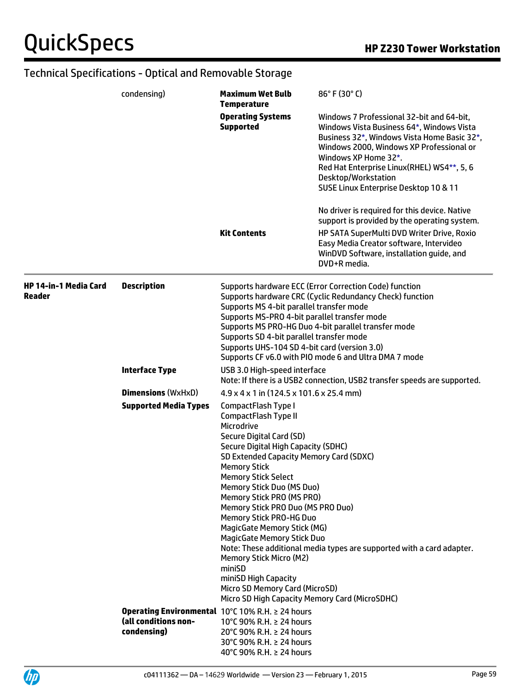UP

|                                 | condensing)                                                                             | <b>Maximum Wet Bulb</b><br><b>Temperature</b>                                                                                                                                                                                                                                                                                                                                                                                                                                                                                                                                             | 86°F (30°C)                                                                                                                                                                                                                                                                                                             |
|---------------------------------|-----------------------------------------------------------------------------------------|-------------------------------------------------------------------------------------------------------------------------------------------------------------------------------------------------------------------------------------------------------------------------------------------------------------------------------------------------------------------------------------------------------------------------------------------------------------------------------------------------------------------------------------------------------------------------------------------|-------------------------------------------------------------------------------------------------------------------------------------------------------------------------------------------------------------------------------------------------------------------------------------------------------------------------|
|                                 |                                                                                         | <b>Operating Systems</b><br><b>Supported</b>                                                                                                                                                                                                                                                                                                                                                                                                                                                                                                                                              | Windows 7 Professional 32-bit and 64-bit,<br>Windows Vista Business 64*, Windows Vista<br>Business 32*, Windows Vista Home Basic 32*,<br>Windows 2000, Windows XP Professional or<br>Windows XP Home 32*.<br>Red Hat Enterprise Linux(RHEL) WS4**, 5, 6<br>Desktop/Workstation<br>SUSE Linux Enterprise Desktop 10 & 11 |
|                                 |                                                                                         | <b>Kit Contents</b>                                                                                                                                                                                                                                                                                                                                                                                                                                                                                                                                                                       | No driver is required for this device. Native<br>support is provided by the operating system.<br>HP SATA SuperMulti DVD Writer Drive, Roxio<br>Easy Media Creator software, Intervideo<br>WinDVD Software, installation guide, and<br>DVD+R media.                                                                      |
| HP 14-in-1 Media Card<br>Reader | <b>Description</b>                                                                      | Supports MS 4-bit parallel transfer mode<br>Supports MS-PRO 4-bit parallel transfer mode<br>Supports SD 4-bit parallel transfer mode<br>Supports UHS-104 SD 4-bit card (version 3.0)                                                                                                                                                                                                                                                                                                                                                                                                      | Supports hardware ECC (Error Correction Code) function<br>Supports hardware CRC (Cyclic Redundancy Check) function<br>Supports MS PRO-HG Duo 4-bit parallel transfer mode<br>Supports CF v6.0 with PIO mode 6 and Ultra DMA 7 mode                                                                                      |
|                                 | <b>Interface Type</b>                                                                   | USB 3.0 High-speed interface                                                                                                                                                                                                                                                                                                                                                                                                                                                                                                                                                              | Note: If there is a USB2 connection, USB2 transfer speeds are supported.                                                                                                                                                                                                                                                |
|                                 | <b>Dimensions (WxHxD)</b>                                                               | $4.9 \times 4 \times 1$ in (124.5 x 101.6 x 25.4 mm)                                                                                                                                                                                                                                                                                                                                                                                                                                                                                                                                      |                                                                                                                                                                                                                                                                                                                         |
|                                 | <b>Supported Media Types</b>                                                            | CompactFlash Type I<br>CompactFlash Type II<br>Microdrive<br>Secure Digital Card (SD)<br>Secure Digital High Capacity (SDHC)<br>SD Extended Capacity Memory Card (SDXC)<br><b>Memory Stick</b><br><b>Memory Stick Select</b><br>Memory Stick Duo (MS Duo)<br>Memory Stick PRO (MS PRO)<br>Memory Stick PRO Duo (MS PRO Duo)<br><b>Memory Stick PRO-HG Duo</b><br>MagicGate Memory Stick (MG)<br><b>MagicGate Memory Stick Duo</b><br><b>Memory Stick Micro (M2)</b><br>miniSD<br>miniSD High Capacity<br>Micro SD Memory Card (MicroSD)<br>Micro SD High Capacity Memory Card (MicroSDHC) | Note: These additional media types are supported with a card adapter.                                                                                                                                                                                                                                                   |
|                                 | Operating Environmental 10°C 10% R.H. ≥ 24 hours<br>(all conditions non-<br>condensing) | 10°C 90% R.H. ≥ 24 hours<br>20°C 90% R.H. ≥ 24 hours<br>30°C 90% R.H. ≥ 24 hours<br>40°C 90% R.H. ≥ 24 hours                                                                                                                                                                                                                                                                                                                                                                                                                                                                              |                                                                                                                                                                                                                                                                                                                         |

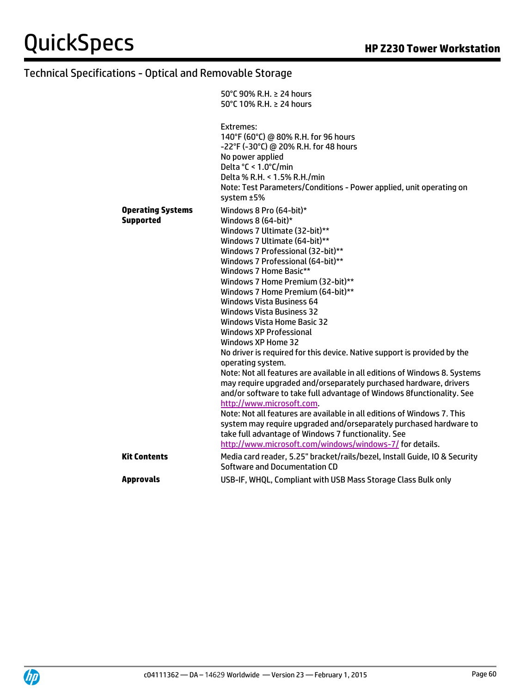|                                              | 50°C 90% R.H. ≥ 24 hours                                                                                                                                                                                                                                                                                                                                                                                                                                                                                                                                                                                                                                                                                                                                                                                                                                                                                                                                                                                                                                                                           |
|----------------------------------------------|----------------------------------------------------------------------------------------------------------------------------------------------------------------------------------------------------------------------------------------------------------------------------------------------------------------------------------------------------------------------------------------------------------------------------------------------------------------------------------------------------------------------------------------------------------------------------------------------------------------------------------------------------------------------------------------------------------------------------------------------------------------------------------------------------------------------------------------------------------------------------------------------------------------------------------------------------------------------------------------------------------------------------------------------------------------------------------------------------|
|                                              | 50°C 10% R.H. ≥ 24 hours                                                                                                                                                                                                                                                                                                                                                                                                                                                                                                                                                                                                                                                                                                                                                                                                                                                                                                                                                                                                                                                                           |
|                                              | Extremes:<br>140°F (60°C) @ 80% R.H. for 96 hours<br>-22°F (-30°C) @ 20% R.H. for 48 hours<br>No power applied<br>Delta °C < 1.0°C/min<br>Delta % R.H. < 1.5% R.H./min<br>Note: Test Parameters/Conditions - Power applied, unit operating on<br>system ±5%                                                                                                                                                                                                                                                                                                                                                                                                                                                                                                                                                                                                                                                                                                                                                                                                                                        |
| <b>Operating Systems</b><br><b>Supported</b> | Windows 8 Pro (64-bit)*<br>Windows 8 (64-bit)*<br>Windows 7 Ultimate (32-bit)**<br>Windows 7 Ultimate (64-bit)**<br>Windows 7 Professional (32-bit)**<br>Windows 7 Professional (64-bit)**<br>Windows 7 Home Basic**<br>Windows 7 Home Premium (32-bit)**<br>Windows 7 Home Premium (64-bit)**<br><b>Windows Vista Business 64</b><br><b>Windows Vista Business 32</b><br><b>Windows Vista Home Basic 32</b><br><b>Windows XP Professional</b><br>Windows XP Home 32<br>No driver is required for this device. Native support is provided by the<br>operating system.<br>Note: Not all features are available in all editions of Windows 8. Systems<br>may require upgraded and/orseparately purchased hardware, drivers<br>and/or software to take full advantage of Windows 8functionality. See<br>http://www.microsoft.com.<br>Note: Not all features are available in all editions of Windows 7. This<br>system may require upgraded and/orseparately purchased hardware to<br>take full advantage of Windows 7 functionality. See<br>http://www.microsoft.com/windows/windows-7/ for details. |
| <b>Kit Contents</b>                          | Media card reader, 5.25" bracket/rails/bezel, Install Guide, IO & Security                                                                                                                                                                                                                                                                                                                                                                                                                                                                                                                                                                                                                                                                                                                                                                                                                                                                                                                                                                                                                         |
|                                              | Software and Documentation CD                                                                                                                                                                                                                                                                                                                                                                                                                                                                                                                                                                                                                                                                                                                                                                                                                                                                                                                                                                                                                                                                      |
| <b>Approvals</b>                             | USB-IF, WHQL, Compliant with USB Mass Storage Class Bulk only                                                                                                                                                                                                                                                                                                                                                                                                                                                                                                                                                                                                                                                                                                                                                                                                                                                                                                                                                                                                                                      |

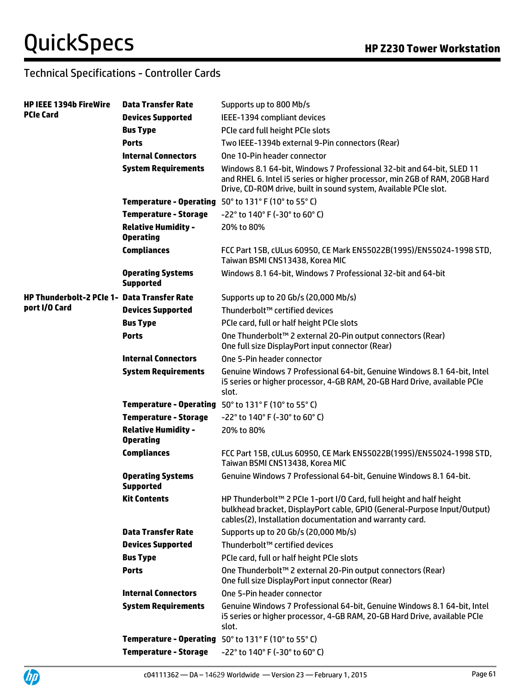UP

### Technical Specifications - Controller Cards

| <b>HP IEEE 1394b FireWire</b>               | <b>Data Transfer Rate</b>                      | Supports up to 800 Mb/s                                                                                                                                                                                                 |
|---------------------------------------------|------------------------------------------------|-------------------------------------------------------------------------------------------------------------------------------------------------------------------------------------------------------------------------|
| PCIe Card                                   | <b>Devices Supported</b>                       | IEEE-1394 compliant devices                                                                                                                                                                                             |
|                                             | <b>Bus Type</b>                                | PCIe card full height PCIe slots                                                                                                                                                                                        |
|                                             | <b>Ports</b>                                   | Two IEEE-1394b external 9-Pin connectors (Rear)                                                                                                                                                                         |
|                                             | <b>Internal Connectors</b>                     | One 10-Pin header connector                                                                                                                                                                                             |
|                                             | <b>System Requirements</b>                     | Windows 8.1 64-bit, Windows 7 Professional 32-bit and 64-bit, SLED 11<br>and RHEL 6. Intel i5 series or higher processor, min 2GB of RAM, 20GB Hard<br>Drive, CD-ROM drive, built in sound system, Available PCIe slot. |
|                                             |                                                | <b>Temperature - Operating</b> $50^{\circ}$ to $131^{\circ}$ F (10 $^{\circ}$ to 55 $^{\circ}$ C)                                                                                                                       |
|                                             | <b>Temperature - Storage</b>                   | -22° to 140° F (-30° to 60° C)                                                                                                                                                                                          |
|                                             | <b>Relative Humidity -</b><br><b>Operating</b> | 20% to 80%                                                                                                                                                                                                              |
|                                             | <b>Compliances</b>                             | FCC Part 15B, cULus 60950, CE Mark EN55022B(1995)/EN55024-1998 STD,<br>Taiwan BSMI CNS13438, Korea MIC                                                                                                                  |
|                                             | <b>Operating Systems</b><br><b>Supported</b>   | Windows 8.1 64-bit, Windows 7 Professional 32-bit and 64-bit                                                                                                                                                            |
| HP Thunderbolt-2 PCIe 1- Data Transfer Rate |                                                | Supports up to 20 Gb/s (20,000 Mb/s)                                                                                                                                                                                    |
| port I/O Card                               | <b>Devices Supported</b>                       | Thunderbolt™ certified devices                                                                                                                                                                                          |
|                                             | <b>Bus Type</b>                                | PCIe card, full or half height PCIe slots                                                                                                                                                                               |
|                                             | <b>Ports</b>                                   | One Thunderbolt™ 2 external 20-Pin output connectors (Rear)<br>One full size DisplayPort input connector (Rear)                                                                                                         |
|                                             | <b>Internal Connectors</b>                     | One 5-Pin header connector                                                                                                                                                                                              |
|                                             | <b>System Requirements</b>                     | Genuine Windows 7 Professional 64-bit, Genuine Windows 8.1 64-bit, Intel<br>i5 series or higher processor, 4-GB RAM, 20-GB Hard Drive, available PCIe<br>slot.                                                          |
|                                             | <b>Temperature - Operating</b>                 | 50° to 131° F (10° to 55° C)                                                                                                                                                                                            |
|                                             | <b>Temperature - Storage</b>                   | -22° to 140° F (-30° to 60° C)                                                                                                                                                                                          |
|                                             | <b>Relative Humidity -</b><br><b>Operating</b> | 20% to 80%                                                                                                                                                                                                              |
|                                             | <b>Compliances</b>                             | FCC Part 15B, cULus 60950, CE Mark EN55022B(1995)/EN55024-1998 STD,<br>Taiwan BSMI CNS13438, Korea MIC                                                                                                                  |
|                                             | <b>Operating Systems</b><br><b>Supported</b>   | Genuine Windows 7 Professional 64-bit, Genuine Windows 8.1 64-bit.                                                                                                                                                      |
|                                             | <b>Kit Contents</b>                            | HP Thunderbolt <sup>™</sup> 2 PCIe 1-port I/O Card, full height and half height<br>bulkhead bracket, DisplayPort cable, GPIO (General-Purpose Input/Output)<br>cables(2), Installation documentation and warranty card. |
|                                             | <b>Data Transfer Rate</b>                      | Supports up to 20 Gb/s (20,000 Mb/s)                                                                                                                                                                                    |
|                                             | <b>Devices Supported</b>                       | Thunderbolt™ certified devices                                                                                                                                                                                          |
|                                             | <b>Bus Type</b>                                | PCIe card, full or half height PCIe slots                                                                                                                                                                               |
|                                             | <b>Ports</b>                                   | One Thunderbolt™ 2 external 20-Pin output connectors (Rear)<br>One full size DisplayPort input connector (Rear)                                                                                                         |
|                                             | <b>Internal Connectors</b>                     | One 5-Pin header connector                                                                                                                                                                                              |
|                                             | <b>System Requirements</b>                     | Genuine Windows 7 Professional 64-bit, Genuine Windows 8.1 64-bit, Intel<br>i5 series or higher processor, 4-GB RAM, 20-GB Hard Drive, available PCIe<br>slot.                                                          |
|                                             |                                                | Temperature - Operating 50° to 131° F (10° to 55° C)                                                                                                                                                                    |
|                                             | <b>Temperature - Storage</b>                   | $-22^{\circ}$ to 140° F (-30° to 60° C)                                                                                                                                                                                 |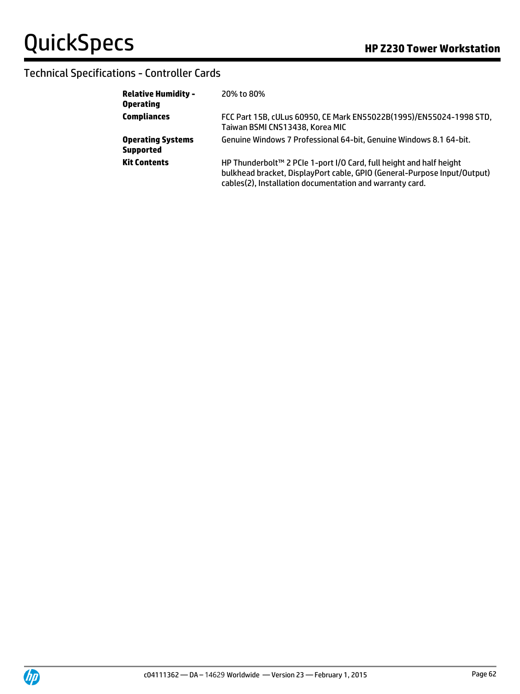### Technical Specifications - Controller Cards

| <b>Relative Humidity -</b><br><b>Operating</b> | 20% to 80%                                                                                                                                                                                                  |
|------------------------------------------------|-------------------------------------------------------------------------------------------------------------------------------------------------------------------------------------------------------------|
| <b>Compliances</b>                             | FCC Part 15B, cULus 60950, CE Mark EN55022B(1995)/EN55024-1998 STD,<br>Taiwan BSMI CNS13438, Korea MIC                                                                                                      |
| <b>Operating Systems</b><br><b>Supported</b>   | Genuine Windows 7 Professional 64-bit, Genuine Windows 8.1 64-bit.                                                                                                                                          |
| <b>Kit Contents</b>                            | HP Thunderbolt™ 2 PCIe 1-port I/O Card, full height and half height<br>bulkhead bracket, DisplayPort cable, GPIO (General-Purpose Input/Output)<br>cables(2), Installation documentation and warranty card. |

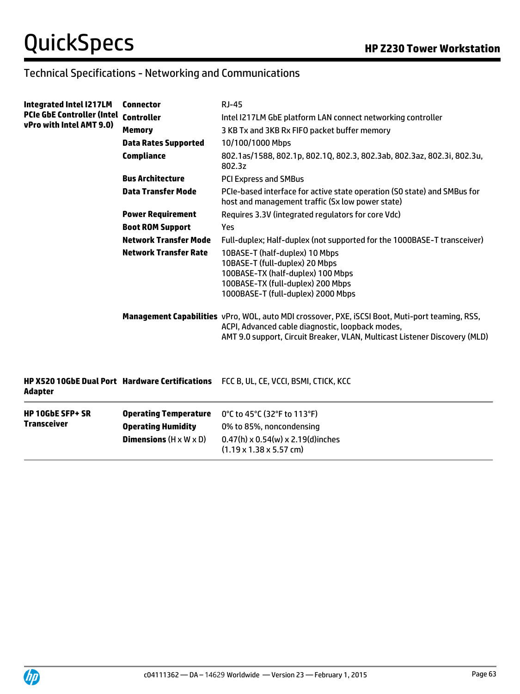### Technical Specifications - Networking and Communications

| Integrated Intel I217LM<br><b>PCIe GbE Controller (Intel</b><br>vPro with Intel AMT 9.0) | <b>Connector</b>                          | $RJ-45$                                                                                                                                                                                                                           |
|------------------------------------------------------------------------------------------|-------------------------------------------|-----------------------------------------------------------------------------------------------------------------------------------------------------------------------------------------------------------------------------------|
|                                                                                          | <b>Controller</b>                         | Intel I217LM GbE platform LAN connect networking controller                                                                                                                                                                       |
|                                                                                          | <b>Memory</b>                             | 3 KB Tx and 3KB Rx FIFO packet buffer memory                                                                                                                                                                                      |
|                                                                                          | <b>Data Rates Supported</b>               | 10/100/1000 Mbps                                                                                                                                                                                                                  |
|                                                                                          | <b>Compliance</b>                         | 802.1as/1588, 802.1p, 802.1Q, 802.3, 802.3ab, 802.3az, 802.3i, 802.3u,<br>802.3z                                                                                                                                                  |
|                                                                                          | <b>Bus Architecture</b>                   | <b>PCI Express and SMBus</b>                                                                                                                                                                                                      |
|                                                                                          | <b>Data Transfer Mode</b>                 | PCIe-based interface for active state operation (SO state) and SMBus for<br>host and management traffic (Sx low power state)                                                                                                      |
|                                                                                          | <b>Power Requirement</b>                  | Requires 3.3V (integrated regulators for core Vdc)                                                                                                                                                                                |
|                                                                                          | <b>Boot ROM Support</b>                   | Yes                                                                                                                                                                                                                               |
|                                                                                          | <b>Network Transfer Mode</b>              | Full-duplex; Half-duplex (not supported for the 1000BASE-T transceiver)                                                                                                                                                           |
|                                                                                          | <b>Network Transfer Rate</b>              | 10BASE-T (half-duplex) 10 Mbps<br>10BASE-T (full-duplex) 20 Mbps<br>100BASE-TX (half-duplex) 100 Mbps<br>100BASE-TX (full-duplex) 200 Mbps<br>1000BASE-T (full-duplex) 2000 Mbps                                                  |
|                                                                                          |                                           | Management Capabilities vPro, WOL, auto MDI crossover, PXE, iSCSI Boot, Muti-port teaming, RSS,<br>ACPI, Advanced cable diagnostic, loopback modes,<br>AMT 9.0 support, Circuit Breaker, VLAN, Multicast Listener Discovery (MLD) |
| <b>HP X520 10GbE Dual Port Hardware Certifications</b><br><b>Adapter</b>                 |                                           | FCC B, UL, CE, VCCI, BSMI, CTICK, KCC                                                                                                                                                                                             |
| <b>HP 10GbE SFP+ SR</b>                                                                  | <b>Operating Temperature</b>              | 0°C to 45°C (32°F to 113°F)                                                                                                                                                                                                       |
| <b>Transceiver</b>                                                                       | <b>Operating Humidity</b>                 | 0% to 85%, noncondensing                                                                                                                                                                                                          |
|                                                                                          | <b>Dimensions</b> $(H \times W \times D)$ | $0.47(h) \times 0.54(w) \times 2.19(d)$ inches                                                                                                                                                                                    |

(1.19 x 1.38 x 5.57 cm)

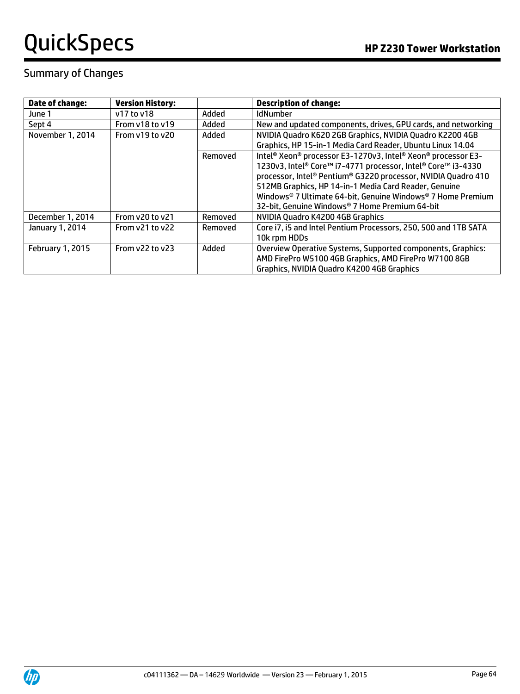### Summary of Changes

| <b>Date of change:</b>  | <b>Version History:</b> |         | <b>Description of change:</b>                                   |
|-------------------------|-------------------------|---------|-----------------------------------------------------------------|
| June 1                  | v17 to v18              | Added   | IdNumber                                                        |
| Sept 4                  | From v18 to v19         | Added   | New and updated components, drives, GPU cards, and networking   |
| November 1, 2014        | From y19 to y20         | Added   | NVIDIA Quadro K620 2GB Graphics, NVIDIA Quadro K2200 4GB        |
|                         |                         |         | Graphics, HP 15-in-1 Media Card Reader, Ubuntu Linux 14.04      |
|                         |                         | Removed | Intel® Xeon® processor E3-1270v3, Intel® Xeon® processor E3-    |
|                         |                         |         | 1230v3, Intel® Core™ i7-4771 processor, Intel® Core™ i3-4330    |
|                         |                         |         | processor, Intel® Pentium® G3220 processor, NVIDIA Quadro 410   |
|                         |                         |         | 512MB Graphics, HP 14-in-1 Media Card Reader, Genuine           |
|                         |                         |         | Windows® 7 Ultimate 64-bit, Genuine Windows® 7 Home Premium     |
|                         |                         |         | 32-bit, Genuine Windows® 7 Home Premium 64-bit                  |
| December 1, 2014        | From $v20$ to $v21$     | Removed | NVIDIA Quadro K4200 4GB Graphics                                |
| January 1, 2014         | From y21 to y22         | Removed | Core i7, i5 and Intel Pentium Processors, 250, 500 and 1TB SATA |
|                         |                         |         | 10k rpm HDDs                                                    |
| <b>February 1, 2015</b> | From $v22$ to $v23$     | Added   | Overview Operative Systems, Supported components, Graphics:     |
|                         |                         |         | AMD FirePro W5100 4GB Graphics, AMD FirePro W7100 8GB           |
|                         |                         |         | Graphics, NVIDIA Quadro K4200 4GB Graphics                      |